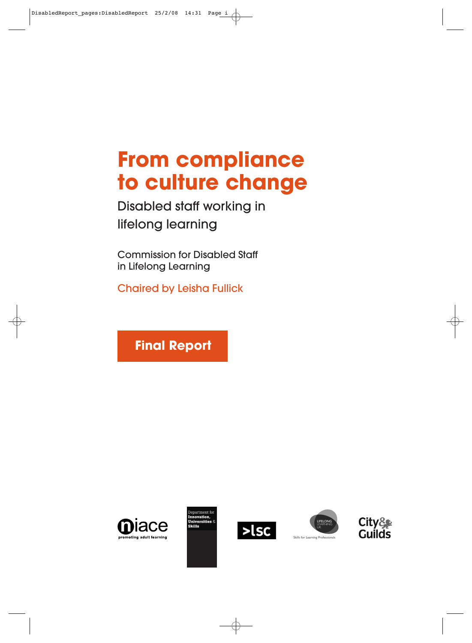Disabled staff working in lifelong learning

Commission for Disabled Staff in Lifelong Learning

Chaired by Leisha Fullick

**Final Report** 









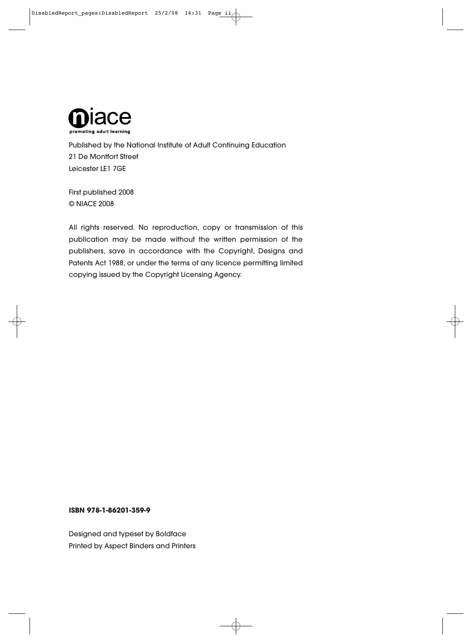

Published by the National Institute of Adult Continuing Education 21 De Montfort Street Leicester LE1 7GE

First published 2008 © NIACE 2008

All rights reserved. No reproduction, copy or transmission of this publication may be made without the written permission of the publishers, save in accordance with the Copyright, Designs and Patents Act 1988, or under the terms of any licence permitting limited copying issued by the Copyright Licensing Agency.

#### **ISBN 978-1-86201-359-9**

Designed and typeset by Boldface Printed by Aspect Binders and Printers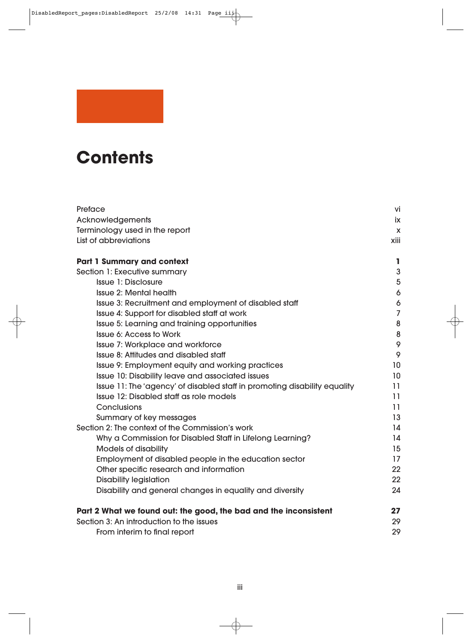# **Contents**

| Preface                                                                   | vi              |  |
|---------------------------------------------------------------------------|-----------------|--|
| Acknowledgements                                                          |                 |  |
| Terminology used in the report                                            | <b>X</b>        |  |
| List of abbreviations                                                     |                 |  |
| <b>Part 1 Summary and context</b>                                         | L               |  |
| Section 1: Executive summary                                              | 3               |  |
| <b>Issue 1: Disclosure</b>                                                | 5               |  |
| <b>Issue 2: Mental health</b>                                             | 6               |  |
| Issue 3: Recruitment and employment of disabled staff                     | 6               |  |
| Issue 4: Support for disabled staff at work                               | $\overline{7}$  |  |
| Issue 5: Learning and training opportunities                              | 8               |  |
| <b>Issue 6: Access to Work</b>                                            | 8               |  |
| Issue 7: Workplace and workforce                                          | 9               |  |
| Issue 8: Attitudes and disabled staff                                     | 9               |  |
| Issue 9: Employment equity and working practices                          | 10              |  |
| Issue 10: Disability leave and associated issues                          | 10 <sup>°</sup> |  |
| Issue 11: The 'agency' of disabled staff in promoting disability equality | 11              |  |
| Issue 12: Disabled staff as role models                                   | 11              |  |
| Conclusions                                                               | 11              |  |
| Summary of key messages                                                   | 13              |  |
| Section 2: The context of the Commission's work                           | 14              |  |
| Why a Commission for Disabled Staff in Lifelong Learning?                 | 14              |  |
| <b>Models of disability</b>                                               | 15              |  |
| Employment of disabled people in the education sector                     | 17              |  |
| Other specific research and information                                   | 22              |  |
| <b>Disability legislation</b>                                             | 22              |  |
| Disability and general changes in equality and diversity                  | 24              |  |
| Part 2 What we found out: the good, the bad and the inconsistent          | 27              |  |
| Section 3: An introduction to the issues                                  | 29              |  |
| From interim to final report                                              | 29              |  |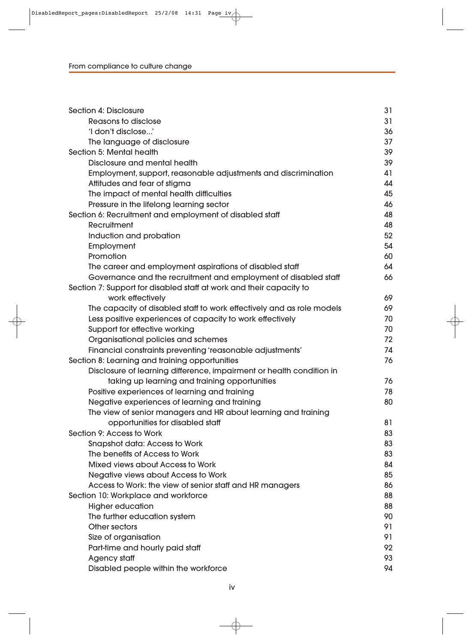| Section 4: Disclosure                                                 | 31 |  |  |
|-----------------------------------------------------------------------|----|--|--|
| <b>Reasons to disclose</b>                                            |    |  |  |
| 'I don't disclose'                                                    |    |  |  |
| The language of disclosure                                            | 37 |  |  |
| Section 5: Mental health                                              |    |  |  |
| Disclosure and mental health                                          | 39 |  |  |
| Employment, support, reasonable adjustments and discrimination        | 41 |  |  |
| Attitudes and fear of stigma                                          | 44 |  |  |
| The impact of mental health difficulties                              | 45 |  |  |
| Pressure in the lifelong learning sector                              | 46 |  |  |
| Section 6: Recruitment and employment of disabled staff               | 48 |  |  |
| Recruitment                                                           | 48 |  |  |
| Induction and probation                                               | 52 |  |  |
| Employment                                                            | 54 |  |  |
| Promotion                                                             | 60 |  |  |
| The career and employment aspirations of disabled staff               | 64 |  |  |
| Governance and the recruitment and employment of disabled staff       | 66 |  |  |
| Section 7: Support for disabled staff at work and their capacity to   |    |  |  |
| work effectively                                                      | 69 |  |  |
| The capacity of disabled staff to work effectively and as role models | 69 |  |  |
| Less positive experiences of capacity to work effectively             | 70 |  |  |
| Support for effective working                                         | 70 |  |  |
| Organisational policies and schemes                                   | 72 |  |  |
| Financial constraints preventing 'reasonable adjustments'             | 74 |  |  |
| Section 8: Learning and training opportunities                        | 76 |  |  |
| Disclosure of learning difference, impairment or health condition in  |    |  |  |
| taking up learning and training opportunities                         | 76 |  |  |
| Positive experiences of learning and training                         | 78 |  |  |
| Negative experiences of learning and training                         | 80 |  |  |
| The view of senior managers and HR about learning and training        |    |  |  |
| opportunities for disabled staff                                      | 81 |  |  |
| Section 9: Access to Work                                             | 83 |  |  |
| <b>Snapshot data: Access to Work</b>                                  | 83 |  |  |
| The benefits of Access to Work                                        | 83 |  |  |
| <b>Mixed views about Access to Work</b>                               | 84 |  |  |
| Negative views about Access to Work                                   | 85 |  |  |
| Access to Work: the view of senior staff and HR managers              | 86 |  |  |
| Section 10: Workplace and workforce                                   | 88 |  |  |
| <b>Higher education</b>                                               | 88 |  |  |
| The further education system                                          | 90 |  |  |
| Other sectors                                                         | 91 |  |  |
| Size of organisation                                                  | 91 |  |  |
| Part-time and hourly paid staff                                       | 92 |  |  |
| <b>Agency staff</b>                                                   | 93 |  |  |
| Disabled people within the workforce                                  | 94 |  |  |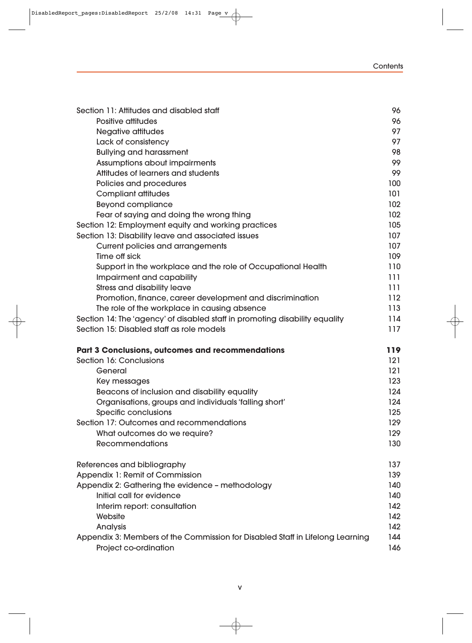#### **Contents**

|                                                                               | 96  |  |
|-------------------------------------------------------------------------------|-----|--|
| Section 11: Attitudes and disabled staff                                      |     |  |
| Positive attitudes                                                            | 96  |  |
| <b>Negative attitudes</b>                                                     | 97  |  |
| Lack of consistency                                                           | 97  |  |
| <b>Bullying and harassment</b>                                                | 98  |  |
| Assumptions about impairments                                                 | 99  |  |
| Attitudes of learners and students                                            | 99  |  |
| Policies and procedures                                                       | 100 |  |
| <b>Compliant attitudes</b>                                                    | 101 |  |
| <b>Beyond compliance</b>                                                      | 102 |  |
| Fear of saying and doing the wrong thing                                      | 102 |  |
| Section 12: Employment equity and working practices                           | 105 |  |
| Section 13: Disability leave and associated issues                            | 107 |  |
| <b>Current policies and arrangements</b>                                      | 107 |  |
| Time off sick                                                                 | 109 |  |
| Support in the workplace and the role of Occupational Health                  | 110 |  |
| Impairment and capability                                                     | 111 |  |
| <b>Stress and disability leave</b>                                            | 111 |  |
| Promotion, finance, career development and discrimination                     | 112 |  |
| The role of the workplace in causing absence                                  | 113 |  |
| Section 14: The 'agency' of disabled staff in promoting disability equality   | 114 |  |
| Section 15: Disabled staff as role models                                     | 117 |  |
| <b>Part 3 Conclusions, outcomes and recommendations</b>                       | 119 |  |
| Section 16: Conclusions                                                       | 121 |  |
| General                                                                       | 121 |  |
| Key messages                                                                  | 123 |  |
| Beacons of inclusion and disability equality                                  | 124 |  |
| Organisations, groups and individuals 'falling short'                         | 124 |  |
| Specific conclusions                                                          | 125 |  |
| Section 17: Outcomes and recommendations                                      | 129 |  |
| What outcomes do we require?                                                  | 129 |  |
| <b>Recommendations</b>                                                        | 130 |  |
| References and bibliography                                                   | 137 |  |
| Appendix 1: Remit of Commission                                               | 139 |  |
| Appendix 2: Gathering the evidence - methodology                              | 140 |  |
| Initial call for evidence                                                     | 140 |  |
| Interim report: consultation                                                  | 142 |  |
| Website                                                                       | 142 |  |
| Analysis                                                                      | 142 |  |
| Appendix 3: Members of the Commission for Disabled Staff in Lifelong Learning | 144 |  |
| Project co-ordination                                                         | 146 |  |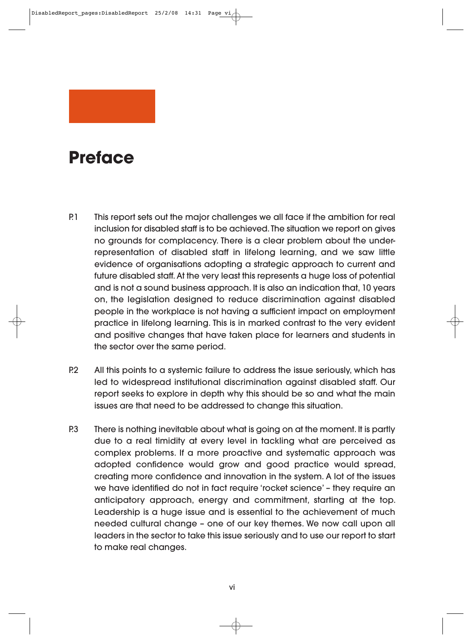# **Preface**

- P.1 This report sets out the major challenges we all face if the ambition for real inclusion for disabled staff is to be achieved. The situation we report on gives no grounds for complacency. There is a clear problem about the underrepresentation of disabled staff in lifelong learning, and we saw little evidence of organisations adopting a strategic approach to current and future disabled staff. At the very least this represents a huge loss of potential and is not a sound business approach. It is also an indication that, 10 years on, the legislation designed to reduce discrimination against disabled people in the workplace is not having a sufficient impact on employment practice in lifelong learning. This is in marked contrast to the very evident and positive changes that have taken place for learners and students in the sector over the same period.
- P.2 All this points to a systemic failure to address the issue seriously, which has led to widespread institutional discrimination against disabled staff. Our report seeks to explore in depth why this should be so and what the main issues are that need to be addressed to change this situation.
- P.3 There is nothing inevitable about what is going on at the moment. It is partly due to a real timidity at every level in tackling what are perceived as complex problems. If a more proactive and systematic approach was adopted confidence would grow and good practice would spread, creating more confidence and innovation in the system. A lot of the issues we have identified do not in fact require 'rocket science' – they require an anticipatory approach, energy and commitment, starting at the top. Leadership is a huge issue and is essential to the achievement of much needed cultural change – one of our key themes. We now call upon all leaders in the sector to take this issue seriously and to use our report to start to make real changes.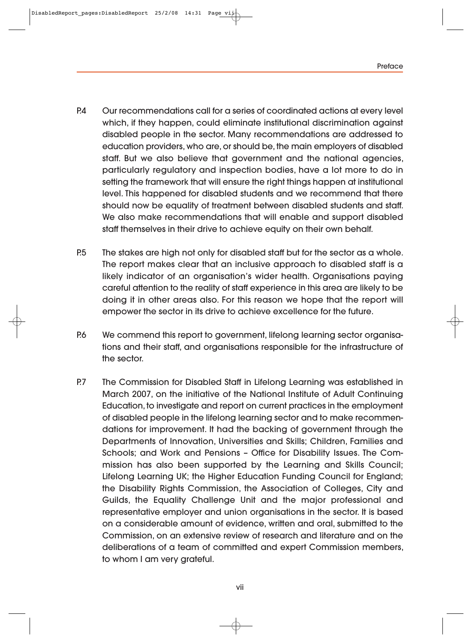- P.4 Our recommendations call for a series of coordinated actions at every level which, if they happen, could eliminate institutional discrimination against disabled people in the sector. Many recommendations are addressed to education providers, who are, or should be, the main employers of disabled staff. But we also believe that government and the national agencies, particularly regulatory and inspection bodies, have a lot more to do in setting the framework that will ensure the right things happen at institutional level. This happened for disabled students and we recommend that there should now be equality of treatment between disabled students and staff. We also make recommendations that will enable and support disabled staff themselves in their drive to achieve equity on their own behalf.
- P.5 The stakes are high not only for disabled staff but for the sector as a whole. The report makes clear that an inclusive approach to disabled staff is a likely indicator of an organisation's wider health. Organisations paying careful attention to the reality of staff experience in this area are likely to be doing it in other areas also. For this reason we hope that the report will empower the sector in its drive to achieve excellence for the future.
- P.6 We commend this report to government, lifelong learning sector organisations and their staff, and organisations responsible for the infrastructure of the sector.
- P.7 The Commission for Disabled Staff in Lifelong Learning was established in March 2007, on the initiative of the National Institute of Adult Continuing Education, to investigate and report on current practices in the employment of disabled people in the lifelong learning sector and to make recommendations for improvement. It had the backing of government through the Departments of Innovation, Universities and Skills; Children, Families and Schools; and Work and Pensions - Office for Disability Issues. The Commission has also been supported by the Learning and Skills Council; Lifelong Learning UK; the Higher Education Funding Council for England; the Disability Rights Commission, the Association of Colleges, City and Guilds, the Equality Challenge Unit and the major professional and representative employer and union organisations in the sector. It is based on a considerable amount of evidence, written and oral, submitted to the Commission, on an extensive review of research and literature and on the deliberations of a team of committed and expert Commission members, to whom I am very grateful.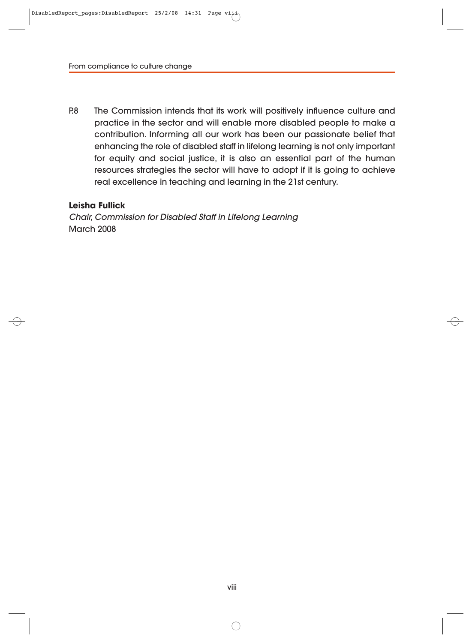P.8 The Commission intends that its work will positively influence culture and practice in the sector and will enable more disabled people to make a contribution. Informing all our work has been our passionate belief that enhancing the role of disabled staff in lifelong learning is not only important for equity and social justice, it is also an essential part of the human resources strategies the sector will have to adopt if it is going to achieve real excellence in teaching and learning in the 21st century.

#### **Leisha Fullick**

Chair, Commission for Disabled Staff in Lifelong Learning March 2008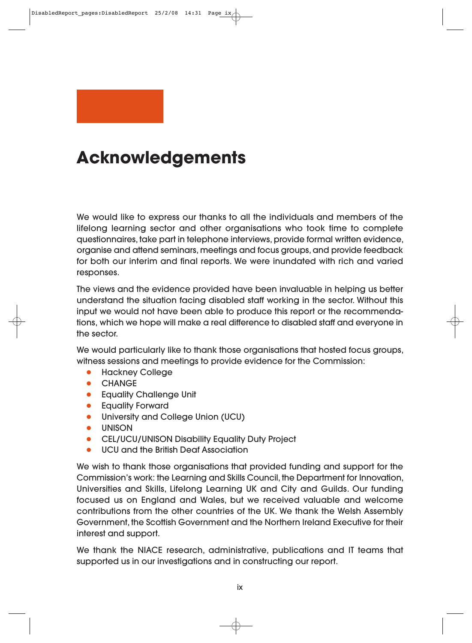

# **Acknowledgements**

We would like to express our thanks to all the individuals and members of the lifelong learning sector and other organisations who took time to complete question naires, take part in telephone interviews, provide formal written evidence, organise and attend seminars, meetings and focus groups, and provide feedback for both our interim and final reports. We were inundated with rich and varied responses.

The views and the evidence provided have been invaluable in helping us better understand the situation facing disabled staff working in the sector. Without this input we would not have been able to produce this report or the recommendations, which we hope will make a real difference to disabled staff and everyone in the sector.

We would particularly like to thank those organisations that hosted focus groups, witness sessions and meetings to provide evidence for the Commission:

- **Hackney College**
- CHANGE
- **Equality Challenge Unit**
- Equality Forward
- University and College Union (UCU)
- **UNISON**
- CEL/UCU/UNISON Disability Equality Duty Project
- UCU and the British Deaf Association

We wish to thank those organisations that provided funding and support for the Commission's work: the Learning and Skills Council, the Department for Innovation, Universities and Skills, Lifelong Learning UK and City and Guilds. Our funding focused us on England and Wales, but we received valuable and welcome contributions from the other countries of the UK. We thank the Welsh Assembly Government, the Scottish Government and the Northern Ireland Executive for their interest and support.

We thank the NIACE research, administrative, publications and IT teams that supported us in our investigations and in constructing our report.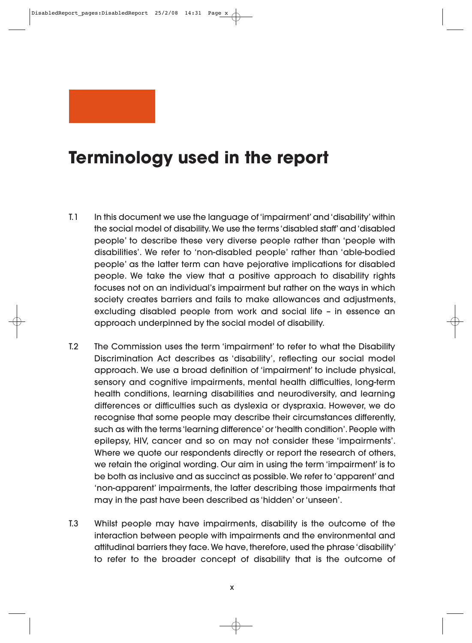# **Terminology used in the report**

- T.1 In this document we use the language of 'impairment' and 'disability' within the social model of disability. We use the terms 'disabled staff' and 'disabled people' to describe these very diverse people rather than 'people with disabilities'. We refer to 'non-disabled people' rather than 'able-bodied people' as the latter term can have pejorative implications for disabled people. We take the view that a positive approach to disability rights focuses not on an individual's impairment but rather on the ways in which society creates barriers and fails to make allowances and adjustments, excluding disabled people from work and social life – in essence an approach underpinned by the social model of disability.
- T.2 The Commission uses the term 'impairment' to refer to what the Disability Discrimination Act describes as 'disability', reflecting our social model approach. We use a broad definition of 'impairment' to include physical, sensory and cognitive impairments, mental health difficulties, long-term health conditions, learning disabilities and neurodiversity, and learning differences or difficulties such as dyslexia or dyspraxia. However, we do recognise that some people may describe their circumstances differently, such as with the terms 'learning difference' or 'health condition'. People with epilepsy, HIV, cancer and so on may not consider these 'impairments'. Where we quote our respondents directly or report the research of others, we retain the original wording. Our aim in using the term 'impairment' is to be both as inclusive and as succinct as possible. We refer to 'apparent' and 'non-apparent' impairments, the latter describing those impairments that may in the past have been described as 'hidden' or 'unseen'.
- T.3 Whilst people may have impairments, disability is the outcome of the interaction between people with impairments and the environmental and attitudinal barriers they face. We have, therefore, used the phrase 'disability' to refer to the broader concept of disability that is the outcome of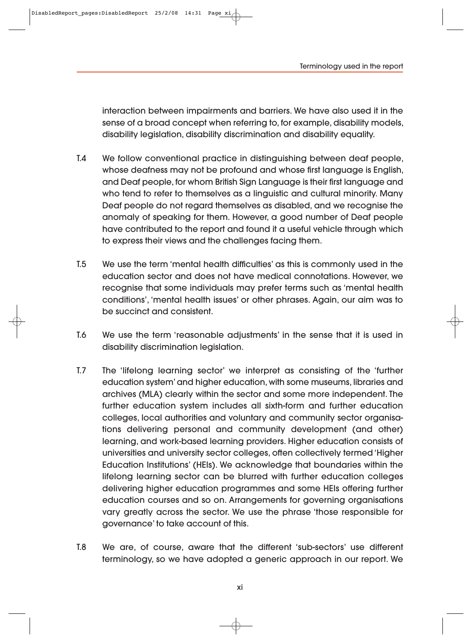DisabledReport pages:DisabledReport 25/2/08 14:31 Page

interaction between impairments and barriers. We have also used it in the sense of a broad concept when referring to, for example, disability models, disability legislation, disability discrimination and disability equality.

- T.4 We follow conventional practice in distinguishing between deaf people, whose deafness may not be profound and whose first language is English, and Deaf people, for whom British Sign Language is their first language and who tend to refer to themselves as a linguistic and cultural minority. Many Deaf people do not regard themselves as disabled, and we recognise the anomaly of speaking for them. However, a good number of Deaf people have contributed to the report and found it a useful vehicle through which to express their views and the challenges facing them.
- T.5 We use the term 'mental health difficulties' as this is commonly used in the education sector and does not have medical connotations. However, we recognise that some individuals may prefer terms such as 'mental health conditions', 'mental health issues' or other phrases. Again, our aim was to be succinct and consistent.
- T.6 We use the term 'reasonable adjustments' in the sense that it is used in disability discrimination legislation.
- T.7 The 'lifelong learning sector' we interpret as consisting of the 'further education system' and higher education, with some museums, libraries and archives (MLA) clearly within the sector and some more independent. The further education system includes all sixth-form and further education colleges, local authorities and voluntary and community sector organisations delivering personal and community development (and other) learning, and work-based learning providers. Higher education consists of universities and university sector colleges, often collectively termed 'Higher Education Institutions' (HEIs). We acknowledge that boundaries within the lifelong learning sector can be blurred with further education colleges delivering higher education programmes and some HEIs offering further education courses and so on. Arrangements for governing organisations vary greatly across the sector. We use the phrase 'those responsible for governance' to take account of this.
- T.8 We are, of course, aware that the different 'sub-sectors' use different terminology, so we have adopted a generic approach in our report. We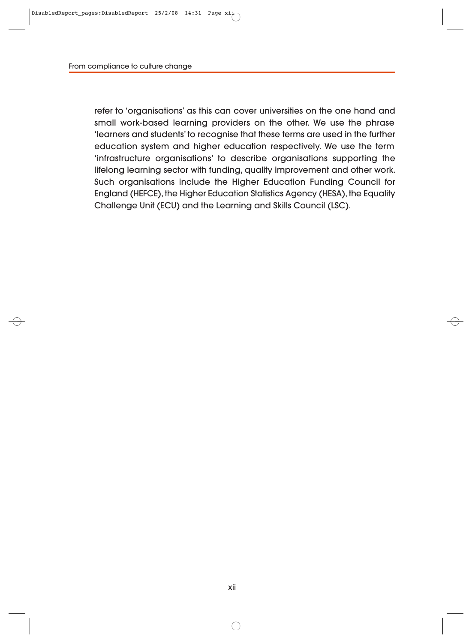refer to 'organisations' as this can cover universities on the one hand and small work-based learning providers on the other. We use the phrase 'learners and students' to recognise that these terms are used in the further education system and higher education respectively. We use the term 'infrastructure organisations' to describe organisations supporting the lifelong learning sector with funding, quality improvement and other work. Such organisations include the Higher Education Funding Council for England (HEFCE), the Higher Education Statistics Agency (HESA), the Equality Challenge Unit (ECU) and the Learning and Skills Council (LSC).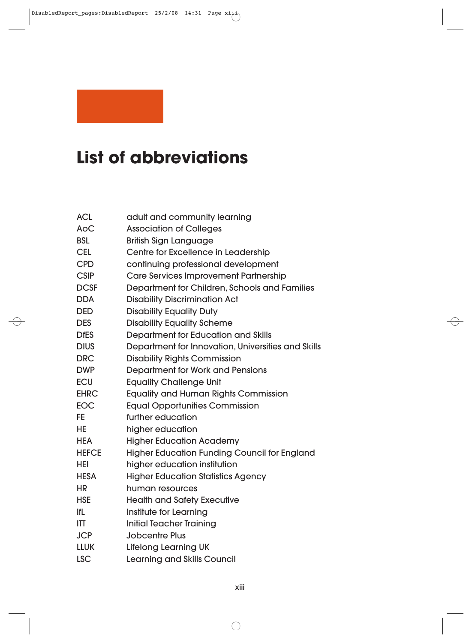# **List of abbreviations**

| <b>ACL</b>   | adult and community learning                        |
|--------------|-----------------------------------------------------|
| <b>AoC</b>   | <b>Association of Colleges</b>                      |
| <b>BSL</b>   | <b>British Sign Language</b>                        |
| <b>CEL</b>   | Centre for Excellence in Leadership                 |
| <b>CPD</b>   | continuing professional development                 |
| <b>CSIP</b>  | Care Services Improvement Partnership               |
| <b>DCSF</b>  | Department for Children, Schools and Families       |
| <b>DDA</b>   | <b>Disability Discrimination Act</b>                |
| <b>DED</b>   | <b>Disability Equality Duty</b>                     |
| <b>DES</b>   | <b>Disability Equality Scheme</b>                   |
| <b>DfES</b>  | Department for Education and Skills                 |
| <b>DIUS</b>  | Department for Innovation, Universities and Skills  |
| <b>DRC</b>   | <b>Disability Rights Commission</b>                 |
| <b>DWP</b>   | Department for Work and Pensions                    |
| <b>ECU</b>   | <b>Equality Challenge Unit</b>                      |
| <b>EHRC</b>  | <b>Equality and Human Rights Commission</b>         |
| <b>EOC</b>   | <b>Equal Opportunities Commission</b>               |
| FE           | further education                                   |
| HE           | higher education                                    |
| <b>HEA</b>   | <b>Higher Education Academy</b>                     |
| <b>HEFCE</b> | <b>Higher Education Funding Council for England</b> |
| HEI          | higher education institution                        |
| <b>HESA</b>  | <b>Higher Education Statistics Agency</b>           |
| <b>HR</b>    | human resources                                     |
| <b>HSE</b>   | <b>Health and Safety Executive</b>                  |
| <b>IfL</b>   | Institute for Learning                              |
| <b>ITT</b>   | <b>Initial Teacher Training</b>                     |
| <b>JCP</b>   | <b>Jobcentre Plus</b>                               |
| <b>LLUK</b>  | <b>Lifelong Learning UK</b>                         |
| <b>LSC</b>   | <b>Learning and Skills Council</b>                  |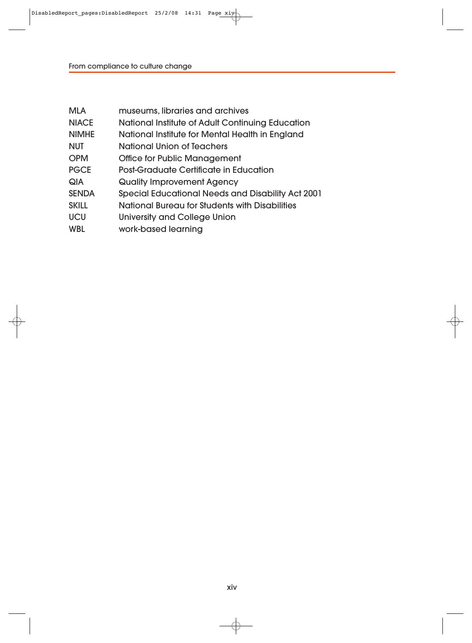| <b>MLA</b>   | museums, libraries and archives                          |
|--------------|----------------------------------------------------------|
| <b>NIACE</b> | National Institute of Adult Continuing Education         |
| <b>NIMHE</b> | National Institute for Mental Health in England          |
| <b>NUT</b>   | National Union of Teachers                               |
| <b>OPM</b>   | <b>Office for Public Management</b>                      |
| <b>PGCE</b>  | <b>Post-Graduate Certificate in Education</b>            |
| QIA          | Quality Improvement Agency                               |
| <b>SENDA</b> | <b>Special Educational Needs and Disability Act 2001</b> |
| <b>SKILL</b> | National Bureau for Students with Disabilities           |
| UCU          | <b>University and College Union</b>                      |
| <b>WBL</b>   | work-based learning                                      |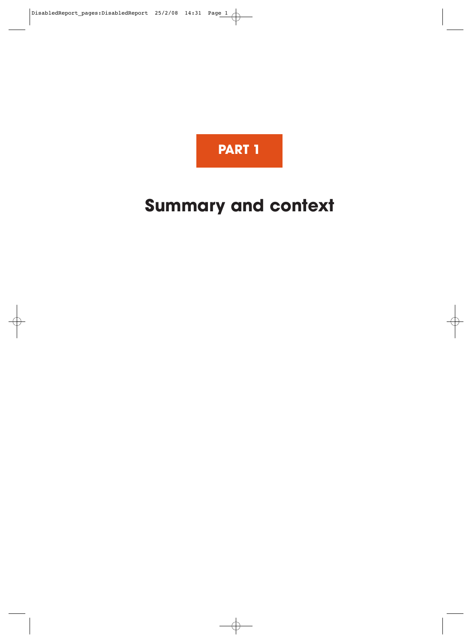

# **Summary and context**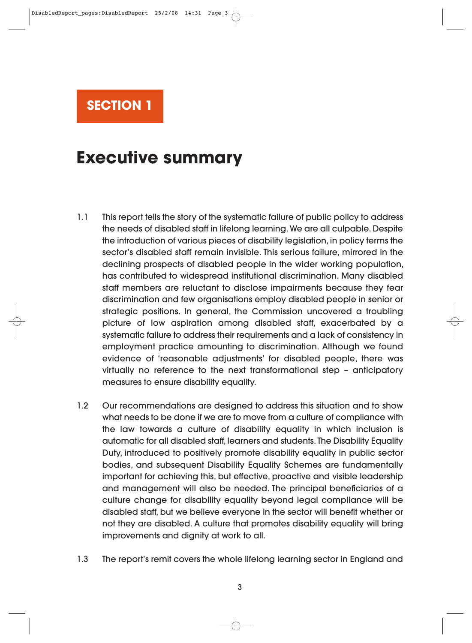

# **Executive summary**

- 1.1 This report tells the story of the systematic failure of public policy to address the needs of disabled staff in lifelong learning. We are all culpable. Despite the introduction of various pieces of disability legislation, in policy terms the sector's disabled staff remain invisible. This serious failure, mirrored in the declining prospects of disabled people in the wider working population, has contributed to widespread institutional discrimination. Many disabled staff members are reluctant to disclose impairments because they fear discrimination and few organisations employ disabled people in senior or strategic positions. In general, the Commission uncovered a troubling picture of low aspiration among disabled staff, exacerbated by a systematic failure to address their requirements and a lack of consistency in employment practice amounting to discrimination. Although we found evidence of 'reasonable adjustments' for disabled people, there was virtually no reference to the next transformational step – anticipatory measures to ensure disability equality.
- 1.2 Our recommendations are designed to address this situation and to show what needs to be done if we are to move from a culture of compliance with the law towards a culture of disability equality in which inclusion is automatic for all disabled staff, learners and students. The Disability Equality Duty, introduced to positively promote disability equality in public sector bodies, and subsequent Disability Equality Schemes are fundamentally important for achieving this, but effective, proactive and visible leadership and management will also be needed. The principal beneficiaries of a culture change for disability equality beyond legal compliance will be disabled staff, but we believe everyone in the sector will benefit whether or not they are disabled. A culture that promotes disability equality will bring improvements and dignity at work to all.
- 1.3 The report's remit covers the whole lifelong learning sector in England and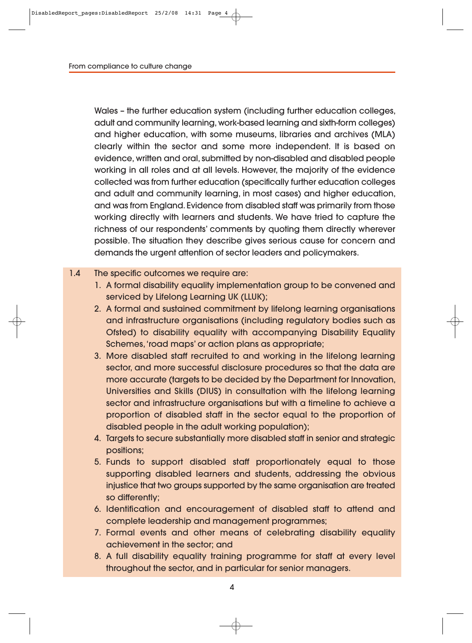Wales – the further education system (including further education colleges, adult and community learning, work-based learning and sixth-form colleges) and higher education, with some museums, libraries and archives (MLA) clearly within the sector and some more independent. It is based on evidence, written and oral, submitted by non-disabled and disabled people working in all roles and at all levels. However, the majority of the evidence collected was from further education (specifically further education colleges and adult and community learning, in most cases) and higher education, and was from England. Evidence from disabled staff was primarily from those working directly with learners and students. We have tried to capture the richness of our respondents' comments by quoting them directly wherever possible. The situation they describe gives serious cause for concern and demands the urgent attention of sector leaders and policymakers.

#### 1.4 The specific outcomes we require are:

- 1. A formal disability equality implementation group to be convened and serviced by Lifelong Learning UK (LLUK);
- 2. A formal and sustained commitment by lifelong learning organisations and infrastructure organisations (including regulatory bodies such as Ofsted) to disability equality with accompanying Disability Equality Schemes, 'road maps' or action plans as appropriate;
- 3. More disabled staff recruited to and working in the lifelong learning sector, and more successful disclosure procedures so that the data are more accurate (targets to be decided by the Department for Innovation, Universities and Skills (DIUS) in consultation with the lifelong learning sector and infrastructure organisations but with a timeline to achieve a proportion of disabled staff in the sector equal to the proportion of disabled people in the adult working population);
- 4. Targets to secure substantially more disabled staff in senior and strategic positions;
- 5. Funds to support disabled staff proportionately equal to those supporting disabled learners and students, addressing the obvious injustice that two groups supported by the same organisation are treated so differently;
- 6. Identification and encouragement of disabled staff to attend and complete leadership and management programmes;
- 7. Formal events and other means of celebrating disability equality achievement in the sector; and
- 8. A full disability equality training programme for staff at every level throughout the sector, and in particular for senior managers.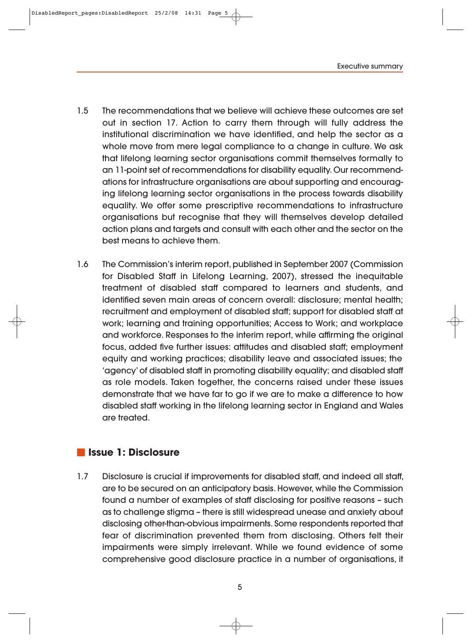DisabledReport pages:DisabledReport 25/2/08 14:31 Page 5

- 1.5 The recommendations that we believe will achieve these outcomes are set out in section 17. Action to carry them through will fully address the institutional discrimination we have identified, and help the sector as a whole move from mere legal compliance to a change in culture. We ask that lifelong learning sector organisations commit themselves formally to an 11-point set of recommendations for disability equality. Our recommendations for infrastructure organisations are about supporting and encouraging lifelong learning sector organisations in the process towards disability equality. We offer some prescriptive recommendations to infrastructure organisations but recognise that they will themselves develop detailed action plans and targets and consult with each other and the sector on the best means to achieve them.
- 1.6 The Commission's interim report, published in September 2007 (Commission for Disabled Staff in Lifelong Learning, 2007), stressed the inequitable treatment of disabled staff compared to learners and students, and identified seven main areas of concern overall: disclosure; mental health; recruitment and employment of disabled staff; support for disabled staff at work; learning and training opportunities; Access to Work; and workplace and workforce. Responses to the interim report, while affirming the original focus, added five further issues: attitudes and disabled staff; employment equity and working practices; disability leave and associated issues; the 'agency' of disabled staff in promoting disability equality; and disabled staff as role models. Taken together, the concerns raised under these issues demonstrate that we have far to go if we are to make a difference to how disabled staff working in the lifelong learning sector in England and Wales are treated.

### **Issue 1: Disclosure**

1.7 Disclosure is crucial if improvements for disabled staff, and indeed all staff, are to be secured on an anticipatory basis. However, while the Commission found a number of examples of staff disclosing for positive reasons – such as to challenge stigma – there is still widespread unease and anxiety about disclosing other-than-obvious impairments. Some respondents reported that fear of discrimination prevented them from disclosing. Others felt their impairments were simply irrelevant. While we found evidence of some comprehensive good disclosure practice in a number of organisations, it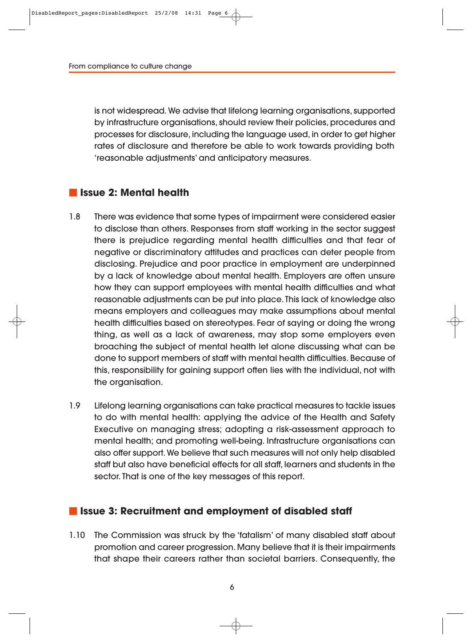is not widespread. We advise that lifelong learning organisations, supported by infrastructure organisations, should review their policies, procedures and processes for disclosure, including the language used, in order to get higher rates of disclosure and therefore be able to work towards providing both 'reasonable adjustments' and anticipatory measures.

## **Issue 2: Mental health**

- 1.8 There was evidence that some types of impairment were considered easier to disclose than others. Responses from staff working in the sector suggest there is prejudice regarding mental health difficulties and that fear of negative or discriminatory attitudes and practices can deter people from disclosing. Prejudice and poor practice in employment are underpinned by a lack of knowledge about mental health. Employers are often unsure how they can support employees with mental health difficulties and what reasonable adjustments can be put into place. This lack of knowledge also means employers and colleagues may make assumptions about mental health difficulties based on stereotypes. Fear of saying or doing the wrong thing, as well as a lack of awareness, may stop some employers even broaching the subject of mental health let alone discussing what can be done to support members of staff with mental health difficulties. Because of this, responsibility for gaining support often lies with the individual, not with the organisation.
- 1.9 Lifelong learning organisations can take practical measures to tackle issues to do with mental health: applying the advice of the Health and Safety Executive on managing stress; adopting a risk-assessment approach to mental health; and promoting well-being. Infrastructure organisations can also offer support. We believe that such measures will not only help disabled staff but also have beneficial effects for all staff, learners and students in the sector. That is one of the key messages of this report.

#### **I** Issue 3: Recruitment and employment of disabled staff

1.10 The Commission was struck by the 'fatalism' of many disabled staff about promotion and career progression. Many believe that it is their impairments that shape their careers rather than societal barriers. Consequently, the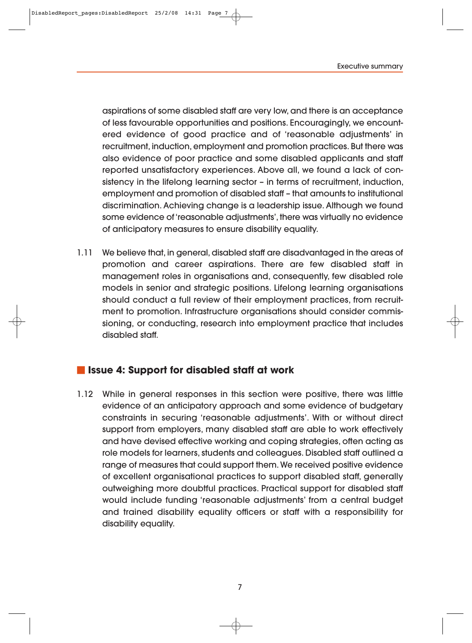aspirations of some disabled staff are very low, and there is an acceptance of less favourable opportunities and positions. Encouragingly, we encountered evidence of good practice and of 'reasonable adjustments' in recruitment, induction, employment and promotion practices. But there was also evidence of poor practice and some disabled applicants and staff reported unsatisfactory experiences. Above all, we found a lack of consistency in the lifelong learning sector – in terms of recruitment, induction, employment and promotion of disabled staff – that amounts to institutional discrimination. Achieving change is a leadership issue. Although we found some evidence of 'reasonable adjustments', there was virtually no evidence of anticipatory measures to ensure disability equality.

1.11 We believe that, in general, disabled staff are disadvantaged in the areas of promotion and career aspirations. There are few disabled staff in management roles in organisations and, consequently, few disabled role models in senior and strategic positions. Lifelong learning organisations should conduct a full review of their employment practices, from recruitment to promotion. Infrastructure organisations should consider commissioning, or conducting, research into employment practice that includes disabled staff.

### **Issue 4: Support for disabled staff at work**

1.12 While in general responses in this section were positive, there was little evidence of an anticipatory approach and some evidence of budgetary constraints in securing 'reasonable adjustments'. With or without direct support from employers, many disabled staff are able to work effectively and have devised effective working and coping strategies, often acting as role models for learners, students and colleagues. Disabled staff outlined a range of measures that could support them. We received positive evidence of excellent organisational practices to support disabled staff, generally outweighing more doubtful practices. Practical support for disabled staff would include funding 'reasonable adjustments' from a central budget and trained disability equality officers or staff with a responsibility for disability equality.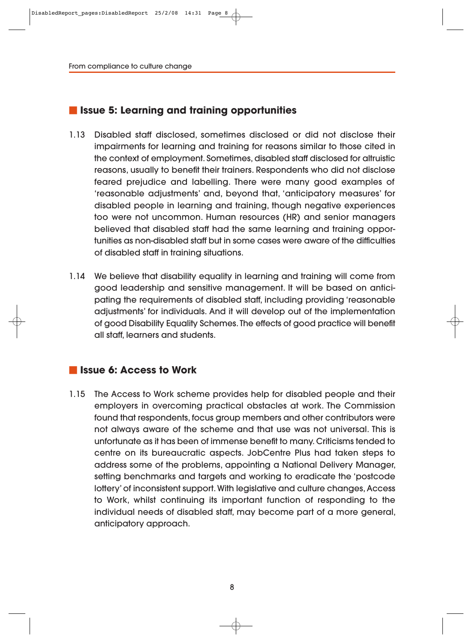## **Issue 5: Learning and training opportunities**

- 1.13 Disabled staff disclosed, sometimes disclosed or did not disclose their impairments for learning and training for reasons similar to those cited in the context of employment. Sometimes, disabled staff disclosed for altruistic reasons, usually to benefit their trainers. Respondents who did not disclose feared prejudice and labelling. There were many good examples of 'reasonable adjustments' and, beyond that, 'anticipatory measures' for disabled people in learning and training, though negative experiences too were not uncommon. Human resources (HR) and senior managers believed that disabled staff had the same learning and training opportunities as non-disabled staff but in some cases were aware of the difficulties of disabled staff in training situations.
- 1.14 We believe that disability equality in learning and training will come from good leadership and sensitive management. It will be based on anticipating the requirements of disabled staff, including providing 'reasonable adjustments' for individuals. And it will develop out of the implementation of good Disability Equality Schemes. The effects of good practice will benefit all staff, learners and students.

### **Issue 6: Access to Work**

1.15 The Access to Work scheme provides help for disabled people and their employers in overcoming practical obstacles at work. The Commission found that respondents, focus group members and other contributors were not always aware of the scheme and that use was not universal. This is unfortunate as it has been of immense benefit to many. Criticisms tended to centre on its bureaucratic aspects. JobCentre Plus had taken steps to address some of the problems, appointing a National Delivery Manager, setting benchmarks and targets and working to eradicate the 'postcode lottery' of inconsistent support. With legislative and culture changes, Access to Work, whilst continuing its important function of responding to the individual needs of disabled staff, may become part of a more general, anticipatory approach.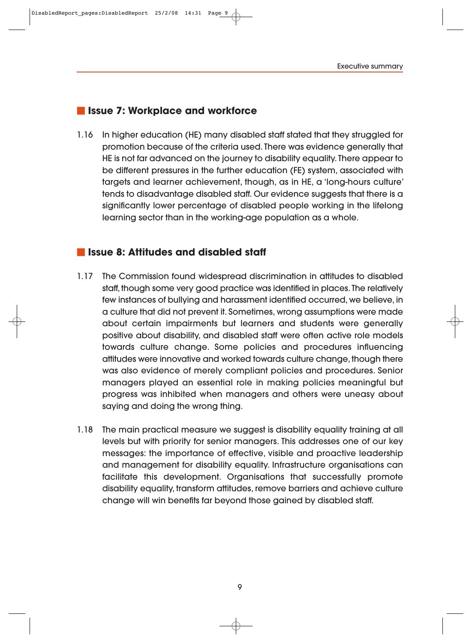#### **Issue 7: Workplace and workforce**

1.16 In higher education (HE) many disabled staff stated that they struggled for promotion because of the criteria used. There was evidence generally that HE is not far advanced on the journey to disability equality. There appear to be different pressures in the further education (FE) system, associated with targets and learner achievement, though, as in HE, a 'long-hours culture' tends to disadvantage disabled staff. Our evidence suggests that there is a significantly lower percentage of disabled people working in the lifelong learning sector than in the working-age population as a whole.

## **Issue 8: Attitudes and disabled staff**

- 1.17 The Commission found widespread discrimination in attitudes to disabled staff, though some very good practice was identified in places. The relatively few instances of bullying and harassment identified occurred, we believe, in a culture that did not prevent it. Sometimes, wrong assumptions were made about certain impairments but learners and students were generally positive about disability, and disabled staff were often active role models towards culture change. Some policies and procedures influencing attitudes were innovative and worked towards culture change, though there was also evidence of merely compliant policies and procedures. Senior managers played an essential role in making policies meaningful but progress was inhibited when managers and others were uneasy about saying and doing the wrong thing.
- 1.18 The main practical measure we suggest is disability equality training at all levels but with priority for senior managers. This addresses one of our key messages: the importance of effective, visible and proactive leadership and management for disability equality. Infrastructure organisations can facilitate this development. Organisations that successfully promote disability equality, transform attitudes, remove barriers and achieve culture change will win benefits far beyond those gained by disabled staff.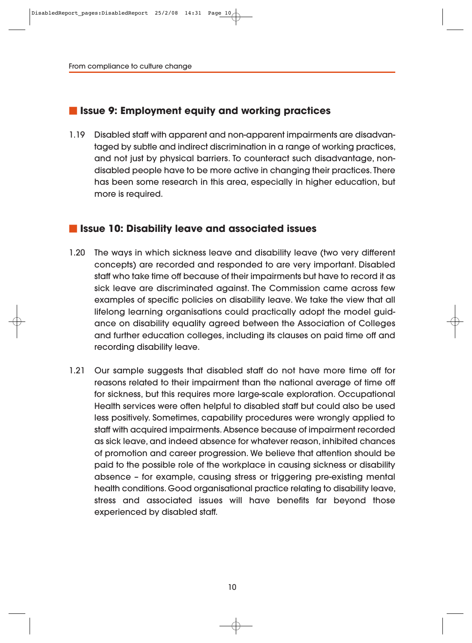#### **Issue 9: Employment equity and working practices**

1.19 Disabled staff with apparent and non-apparent impairments are disadvan taged by subtle and indirect discrimination in a range of working practices, and not just by physical barriers. To counteract such disadvantage, nondisabled people have to be more active in changing their practices. There has been some research in this area, especially in higher education, but more is required.

#### **In Issue 10: Disability leave and associated issues**

- 1.20 The ways in which sickness leave and disability leave (two very different concepts) are recorded and responded to are very important. Disabled staff who take time off because of their impairments but have to record it as sick leave are discriminated against. The Commission came across few examples of specific policies on disability leave. We take the view that all lifelong learning organisations could practically adopt the model guidance on disability equality agreed between the Association of Colleges and further education colleges, including its clauses on paid time off and recording disability leave.
- 1.21 Our sample suggests that disabled staff do not have more time off for reasons related to their impairment than the national average of time off for sickness, but this requires more large-scale exploration. Occupational Health services were often helpful to disabled staff but could also be used less positively. Sometimes, capability procedures were wrongly applied to staff with acquired impairments. Absence because of impairment recorded as sick leave, and indeed absence for whatever reason, inhibited chances of promotion and career progression. We believe that attention should be paid to the possible role of the workplace in causing sickness or disability absence – for example, causing stress or triggering pre-existing mental health conditions. Good organisational practice relating to disability leave, stress and associated issues will have benefits far beyond those experienced by disabled staff.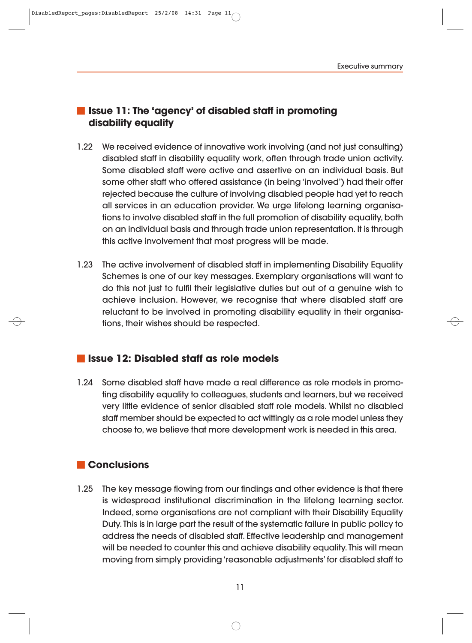## **Issue 11: The 'agency' of disabled staff in promoting disability equality**

- 1.22 We received evidence of innovative work involving (and not just consulting) disabled staff in disability equality work, often through trade union activity. Some disabled staff were active and assertive on an individual basis. But some other staff who offered assistance (in being 'involved') had their offer rejected because the culture of involving disabled people had yet to reach all services in an education provider. We urge lifelong learning organisations to involve disabled staff in the full promotion of disability equality, both on an individual basis and through trade union representation. It is through this active involvement that most progress will be made.
- 1.23 The active involvement of disabled staff in implementing Disability Equality Schemes is one of our key messages. Exemplary organisations will want to do this not just to fulfil their legislative duties but out of a genuine wish to achieve inclusion. However, we recognise that where disabled staff are reluctant to be involved in promoting disability equality in their organisations, their wishes should be respected.

## **Issue 12: Disabled staff as role models**

1.24 Some disabled staff have made a real difference as role models in promoting disability equality to colleagues, students and learners, but we received very little evidence of senior disabled staff role models. Whilst no disabled staff member should be expected to act wittingly as a role model unless they choose to, we believe that more development work is needed in this area.

## **Conclusions**

1.25 The key message flowing from our findings and other evidence is that there is widespread institutional discrimination in the lifelong learning sector. Indeed, some organisations are not compliant with their Disability Equality Duty. This is in large part the result of the systematic failure in public policy to address the needs of disabled staff. Effective leadership and management will be needed to counter this and achieve disability equality. This will mean moving from simply providing 'reasonable adjustments' for disabled staff to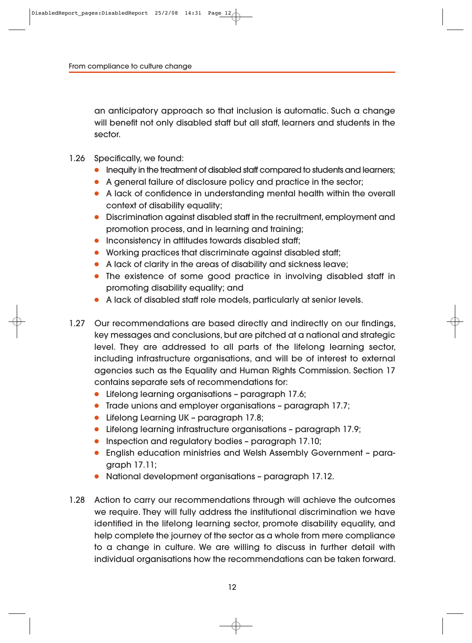an anticipatory approach so that inclusion is automatic. Such a change will benefit not only disabled staff but all staff, learners and students in the sector.

- 1.26 Specifically, we found:
	- Inequity in the treatment of disabled staff compared to students and learners;
	- A general failure of disclosure policy and practice in the sector;
	- A lack of confidence in understanding mental health within the overall context of disability equality;
	- Discrimination against disabled staff in the recruitment, employment and promotion process, and in learning and training;
	- Inconsistency in attitudes towards disabled staff;
	- Working practices that discriminate against disabled staff;
	- A lack of clarity in the areas of disability and sickness leave;
	- The existence of some good practice in involving disabled staff in promoting disability equality; and
	- A lack of disabled staff role models, particularly at senior levels.
- 1.27 Our recommendations are based directly and indirectly on our findings, key messages and conclusions, but are pitched at a national and strategic level. They are addressed to all parts of the lifelong learning sector, including infrastructure organisations, and will be of interest to external agencies such as the Equality and Human Rights Commission. Section 17 contains separate sets of recommendations for:
	- Lifelong learning organisations paragraph 17.6;
	- Trade unions and employer organisations paragraph 17.7;
	- Lifelong Learning UK paragraph 17.8;
	- Lifelong learning infrastructure organisations paragraph 17.9;
	- Inspection and regulatory bodies paragraph 17.10;
	- English education ministries and Welsh Assembly Government paragraph 17.11;
	- National development organisations paragraph 17.12.
- 1.28 Action to carry our recommendations through will achieve the outcomes we require. They will fully address the institutional discrimination we have identified in the lifelong learning sector, promote disability equality, and help complete the journey of the sector as a whole from mere compliance to a change in culture. We are willing to discuss in further detail with individual organisations how the recommendations can be taken forward.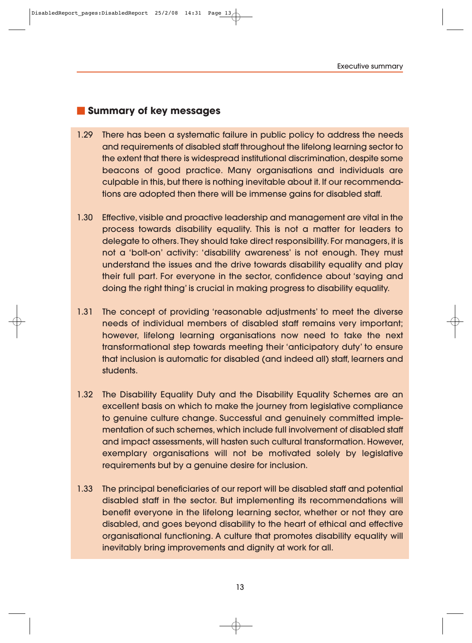#### **Summary of key messages**

- 1.29 There has been a systematic failure in public policy to address the needs and requirements of disabled staff throughout the lifelong learning sector to the extent that there is widespread institutional discrimination, despite some beacons of good practice. Many organisations and individuals are culpable in this, but there is nothing inevitable about it. If our recommendations are adopted then there will be immense gains for disabled staff.
- 1.30 Effective, visible and proactive leadership and management are vital in the process towards disability equality. This is not a matter for leaders to delegate to others. They should take direct responsibility. For managers, it is not a 'bolt-on' activity: 'disability awareness' is not enough. They must understand the issues and the drive towards disability equality and play their full part. For everyone in the sector, confidence about 'saying and doing the right thing' is crucial in making progress to disability equality.
- 1.31 The concept of providing 'reasonable adjustments' to meet the diverse needs of individual members of disabled staff remains very important; however, lifelong learning organisations now need to take the next transformational step towards meeting their 'anticipatory duty' to ensure that inclusion is automatic for disabled (and indeed all) staff, learners and students.
- 1.32 The Disability Equality Duty and the Disability Equality Schemes are an excellent basis on which to make the journey from legislative compliance to genuine culture change. Successful and genuinely committed implementation of such schemes, which include full involvement of disabled staff and impact assessments, will hasten such cultural transformation. However, exemplary organisations will not be motivated solely by legislative requirements but by a genuine desire for inclusion.
- 1.33 The principal beneficiaries of our report will be disabled staff and potential disabled staff in the sector. But implementing its recommendations will benefit everyone in the lifelong learning sector, whether or not they are disabled, and goes beyond disability to the heart of ethical and effective organisational functioning. A culture that promotes disability equality will inevitably bring improvements and dignity at work for all.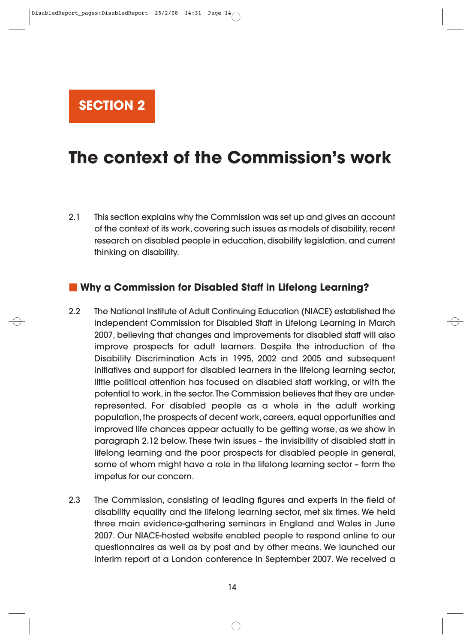**SECTION 2**

# **The context of the Commission's work**

2.1 This section explains why the Commission was set up and gives an account of the context of its work, covering such issues as models of disability, recent research on disabled people in education, disability legislation, and current thinking on disability.

#### **Why a Commission for Disabled Staff in Lifelong Learning?**

- 2.2 The National Institute of Adult Continuing Education (NIACE) established the independent Commission for Disabled Staff in Lifelong Learning in March 2007, believing that changes and improvements for disabled staff will also improve prospects for adult learners. Despite the introduction of the Disability Discrimination Acts in 1995, 2002 and 2005 and subsequent initiatives and support for disabled learners in the lifelong learning sector, little political attention has focused on disabled staff working, or with the potential to work, in the sector. The Commission believes that they are underrepresented. For disabled people as a whole in the adult working population, the prospects of decent work, careers, equal opportunities and improved life chances appear actually to be getting worse, as we show in paragraph 2.12 below. These twin issues – the invisibility of disabled staff in lifelong learning and the poor prospects for disabled people in general, some of whom might have a role in the lifelong learning sector – form the impetus for our concern.
- 2.3 The Commission, consisting of leading figures and experts in the field of disability equality and the lifelong learning sector, met six times. We held three main evidence-gathering seminars in England and Wales in June 2007. Our NIACE-hosted website enabled people to respond online to our questionnaires as well as by post and by other means. We launched our interim report at a London conference in September 2007. We received a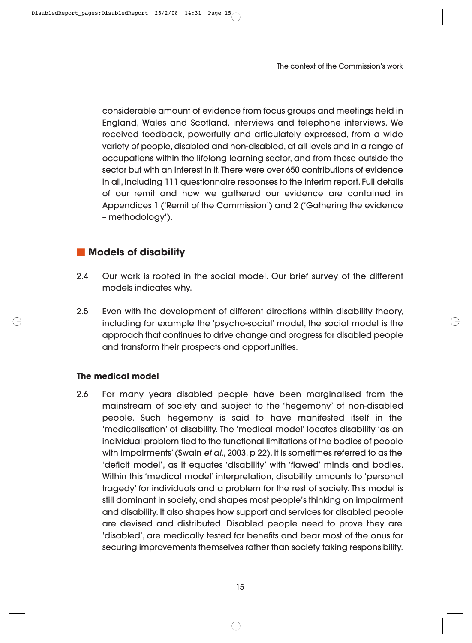considerable amount of evidence from focus groups and meetings held in England, Wales and Scotland, interviews and telephone interviews. We received feedback, powerfully and articulately expressed, from a wide variety of people, disabled and non-disabled, at all levels and in a range of occupations within the lifelong learning sector, and from those outside the sector but with an interest in it. There were over 650 contributions of evidence in all, including 111 questionnaire responses to the interim report. Full details of our remit and how we gathered our evidence are contained in Appendices 1 ('Remit of the Commission') and 2 ('Gathering the evidence – methodology').

#### **Models of disability**

- 2.4 Our work is rooted in the social model. Our brief survey of the different models indicates why.
- 2.5 Even with the development of different directions within disability theory, including for example the 'psycho-social' model, the social model is the approach that continues to drive change and progress for disabled people and transform their prospects and opportunities.

#### **The medical model**

2.6 For many years disabled people have been marginalised from the mainstream of society and subject to the 'hegemony' of non-disabled people. Such hegemony is said to have manifested itself in the 'medicalisation' of disability. The 'medical model' locates disability 'as an individual problem tied to the functional limitations of the bodies of people with impairments' (Swain et al., 2003, p 22). It is sometimes referred to as the 'deficit model', as it equates 'disability' with 'flawed' minds and bodies. Within this 'medical model' interpretation, disability amounts to 'personal tragedy' for individuals and a problem for the rest of society. This model is still dominant in society, and shapes most people's thinking on impairment and disability. It also shapes how support and services for disabled people are devised and distributed. Disabled people need to prove they are 'disabled', are medically tested for benefits and bear most of the onus for securing improvements themselves rather than society taking responsibility.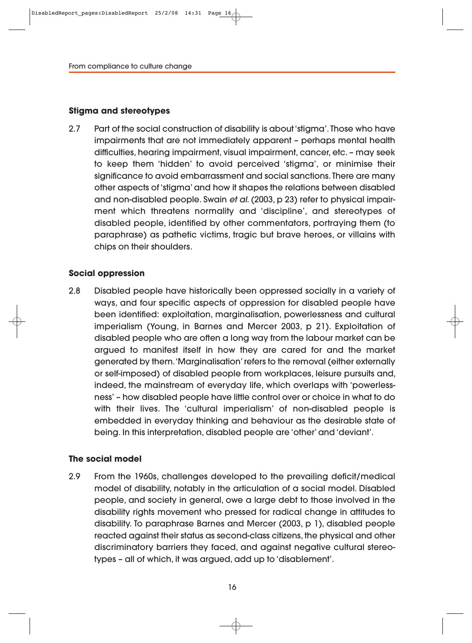#### **Stigma and stereotypes**

2.7 Part of the social construction of disability is about 'stigma'. Those who have impairments that are not immediately apparent – perhaps mental health difficulties, hearing impairment, visual impairment, cancer, etc. – may seek to keep them 'hidden' to avoid perceived 'stigma', or minimise their significance to avoid embarrassment and social sanctions. There are many other aspects of 'stigma' and how it shapes the relations between disabled and non-disabled people. Swain et al. (2003, p 23) refer to physical impairment which threatens normality and 'discipline', and stereotypes of disabled people, identified by other commentators, portraying them (to paraphrase) as pathetic victims, tragic but brave heroes, or villains with chips on their shoulders.

#### **Social oppression**

2.8 Disabled people have historically been oppressed socially in a variety of ways, and four specific aspects of oppression for disabled people have been identified: exploitation, marginalisation, powerlessness and cultural imperialism (Young, in Barnes and Mercer 2003, p 21). Exploitation of disabled people who are often a long way from the labour market can be argued to manifest itself in how they are cared for and the market generated by them. 'Marginalisation' refers to the removal (either externally or self-imposed) of disabled people from workplaces, leisure pursuits and, indeed, the mainstream of everyday life, which overlaps with 'powerlessness' – how disabled people have little control over or choice in what to do with their lives. The 'cultural imperialism' of non-disabled people is embedded in everyday thinking and behaviour as the desirable state of being. In this interpretation, disabled people are 'other' and 'deviant'.

#### **The social model**

2.9 From the 1960s, challenges developed to the prevailing deficit/medical model of disability, notably in the articulation of a social model. Disabled people, and society in general, owe a large debt to those involved in the disability rights movement who pressed for radical change in attitudes to disability. To paraphrase Barnes and Mercer (2003, p 1), disabled people reacted against their status as second-class citizens, the physical and other discriminatory barriers they faced, and against negative cultural stereotypes – all of which, it was argued, add up to 'disablement'.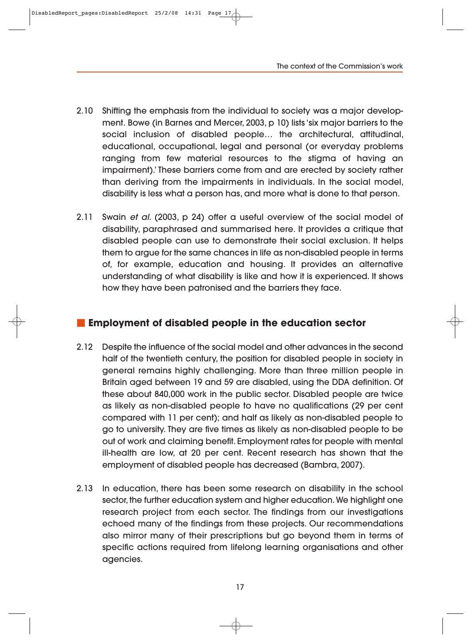The context of the Commission's work

- 2.10 Shifting the emphasis from the individual to society was a major development. Bowe (in Barnes and Mercer, 2003, p 10) lists 'six major barriers to the social inclusion of disabled people… the architectural, attitudinal, educational, occupational, legal and personal (or everyday problems ranging from few material resources to the stigma of having an impairment).' These barriers come from and are erected by society rather than deriving from the impairments in individuals. In the social model, disability is less what a person has, and more what is done to that person.
- 2.11 Swain et al. (2003, p 24) offer a useful overview of the social model of disability, paraphrased and summarised here. It provides a critique that disabled people can use to demonstrate their social exclusion. It helps them to argue for the same chances in life as non-disabled people in terms of, for example, education and housing. It provides an alternative understanding of what disability is like and how it is experienced. It shows how they have been patronised and the barriers they face.

## **Employment of disabled people in the education sector**

- 2.12 Despite the influence of the social model and other advances in the second half of the twentieth century, the position for disabled people in society in general remains highly challenging. More than three million people in Britain aged between 19 and 59 are disabled, using the DDA definition. Of these about 840,000 work in the public sector. Disabled people are twice as likely as non-disabled people to have no qualifications (29 per cent compared with 11 per cent); and half as likely as non-disabled people to go to university. They are five times as likely as non-disabled people to be out of work and claiming benefit. Employment rates for people with mental ill-health are low, at 20 per cent. Recent research has shown that the employment of disabled people has decreased (Bambra, 2007).
- 2.13 In education, there has been some research on disability in the school sector, the further education system and higher education. We highlight one research project from each sector. The findings from our investigations echoed many of the findings from these projects. Our recommendations also mirror many of their prescriptions but go beyond them in terms of specific actions required from lifelong learning organisations and other agencies.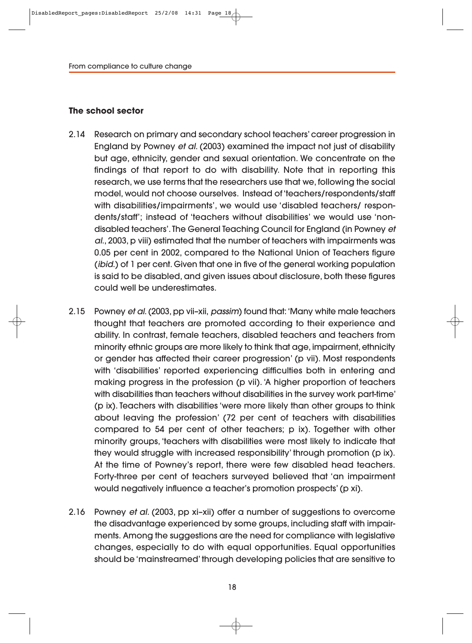#### **The school sector**

- 2.14 Research on primary and secondary school teachers' career progression in England by Powney et al. (2003) examined the impact not just of disability but age, ethnicity, gender and sexual orientation. We concentrate on the findings of that report to do with disability. Note that in reporting this research, we use terms that the researchers use that we, following the social model, would not choose ourselves. Instead of 'teachers/respondents/staff with disabilities/impairments', we would use 'disabled teachers/ respondents/staff'; instead of 'teachers without disabilities' we would use 'nondisabled teachers'. The General Teaching Council for England (in Powney et al., 2003, p viii) estimated that the number of teachers with impairments was 0.05 per cent in 2002, compared to the National Union of Teachers figure (ibid.) of 1 per cent. Given that one in five of the general working population is said to be disabled, and given issues about disclosure, both these figures could well be underestimates.
- 2.15 Powney et al. (2003, pp vii–xii, passim) found that: 'Many white male teachers thought that teachers are promoted according to their experience and ability. In contrast, female teachers, disabled teachers and teachers from minority ethnic groups are more likely to think that age, impairment, ethnicity or gender has affected their career progression' (p vii). Most respondents with 'disabilities' reported experiencing difficulties both in entering and making progress in the profession (p vii). 'A higher proportion of teachers with disabilities than teachers without disabilities in the survey work part-time' (p ix). Teachers with disabilities 'were more likely than other groups to think about leaving the profession' (72 per cent of teachers with disabilities compared to 54 per cent of other teachers; p ix). Together with other minority groups, 'teachers with disabilities were most likely to indicate that they would struggle with increased responsibility' through promotion (p ix). At the time of Powney's report, there were few disabled head teachers. Forty-three per cent of teachers surveyed believed that 'an impairment would negatively influence a teacher's promotion prospects' (p xi).
- 2.16 Powney et al. (2003, pp xi–xii) offer a number of suggestions to overcome the disadvantage experienced by some groups, including staff with impair ments. Among the suggestions are the need for compliance with legislative changes, especially to do with equal opportunities. Equal opportunities should be 'mainstreamed' through developing policies that are sensitive to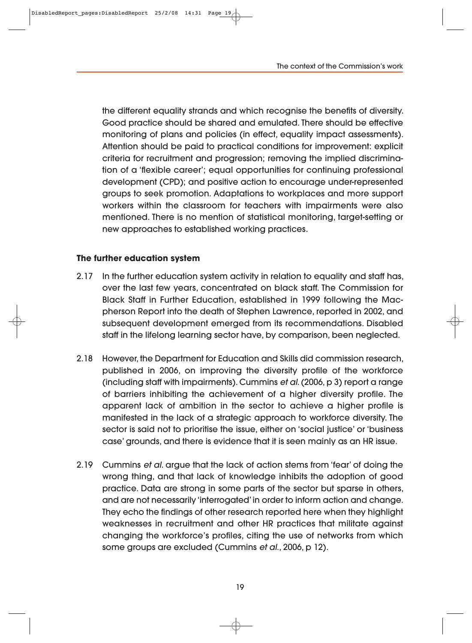the different equality strands and which recognise the benefits of diversity. Good practice should be shared and emulated. There should be effective monitoring of plans and policies (in effect, equality impact assessments). Attention should be paid to practical conditions for improvement: explicit criteria for recruitment and progression; removing the implied discrimina tion of a 'flexible career'; equal opportunities for continuing professional development (CPD); and positive action to encourage under-represented groups to seek promotion. Adaptations to workplaces and more support workers within the classroom for teachers with impairments were also mentioned. There is no mention of statistical monitoring, target-setting or new approaches to established working practices.

#### **The further education system**

- 2.17 In the further education system activity in relation to equality and staff has, over the last few years, concentrated on black staff. The Commission for Black Staff in Further Education, established in 1999 following the Macpherson Report into the death of Stephen Lawrence, reported in 2002, and subsequent development emerged from its recommendations. Disabled staff in the lifelong learning sector have, by comparison, been neglected.
- 2.18 However, the Department for Education and Skills did commission research, published in 2006, on improving the diversity profile of the workforce (including staff with impairments). Cummins et al. (2006, p 3) report a range of barriers inhibiting the achievement of a higher diversity profile. The apparent lack of ambition in the sector to achieve a higher profile is manifested in the lack of a strategic approach to workforce diversity. The sector is said not to prioritise the issue, either on 'social justice' or 'business case' grounds, and there is evidence that it is seen mainly as an HR issue.
- 2.19 Cummins et al. argue that the lack of action stems from 'fear' of doing the wrong thing, and that lack of knowledge inhibits the adoption of good practice. Data are strong in some parts of the sector but sparse in others, and are not necessarily 'interrogated' in order to inform action and change. They echo the findings of other research reported here when they highlight weaknesses in recruitment and other HR practices that militate against changing the workforce's profiles, citing the use of networks from which some groups are excluded (Cummins et al., 2006, p 12).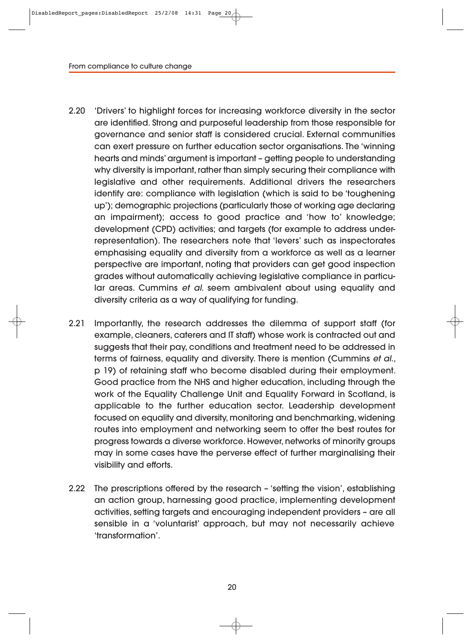- 2.20 'Drivers' to highlight forces for increasing workforce diversity in the sector are identified. Strong and purposeful leadership from those responsible for governance and senior staff is considered crucial. External communities can exert pressure on further education sector organisations. The 'winning hearts and minds' argument is important – getting people to understanding why diversity is important, rather than simply securing their compliance with legislative and other requirements. Additional drivers the researchers identify are: compliance with legislation (which is said to be 'toughening up'); demographic projections (particularly those of working age declaring an impairment); access to good practice and 'how to' knowledge; development (CPD) activities; and targets (for example to address underrepresentation). The researchers note that 'levers' such as inspectorates emphasising equality and diversity from a workforce as well as a learner perspective are important, noting that providers can get good inspection grades without automatically achieving legislative compliance in particular areas. Cummins et al. seem ambivalent about using equality and diversity criteria as a way of qualifying for funding.
- 2.21 Importantly, the research addresses the dilemma of support staff (for example, cleaners, caterers and IT staff) whose work is contracted out and suggests that their pay, conditions and treatment need to be addressed in terms of fairness, equality and diversity. There is mention (Cummins et al., p 19) of retaining staff who become disabled during their employment. Good practice from the NHS and higher education, including through the work of the Equality Challenge Unit and Equality Forward in Scotland, is applicable to the further education sector. Leadership development focused on equality and diversity, monitoring and benchmarking, widening routes into employment and networking seem to offer the best routes for progress towards a diverse workforce. However, networks of minority groups may in some cases have the perverse effect of further marginalising their visibility and efforts.
- 2.22 The prescriptions offered by the research 'setting the vision', establishing an action group, harnessing good practice, implementing development activities, setting targets and encouraging independent providers – are all sensible in a 'voluntarist' approach, but may not necessarily achieve 'transformation'.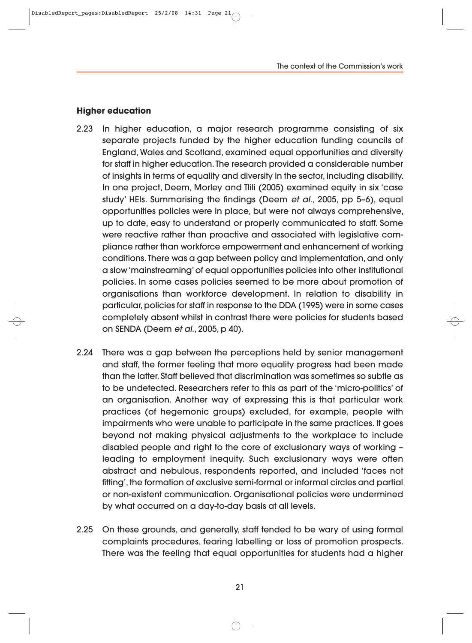#### **Higher education**

- 2.23 In higher education, a major research programme consisting of six separate projects funded by the higher education funding councils of England, Wales and Scotland, examined equal opportunities and diversity for staff in higher education. The research provided a considerable number of insights in terms of equality and diversity in the sector, including disability. In one project, Deem, Morley and Tlili (2005) examined equity in six 'case study' HEIs. Summarising the findings (Deem et al., 2005, pp 5–6), equal opportunities policies were in place, but were not always comprehensive, up to date, easy to understand or properly communicated to staff. Some were reactive rather than proactive and associated with legislative compliance rather than workforce empowerment and enhancement of working conditions. There was a gap between policy and implementation, and only a slow 'mainstreaming' of equal opportunities policies into other institutional policies. In some cases policies seemed to be more about promotion of organisations than workforce development. In relation to disability in particular, policies for staff in response to the DDA (1995) were in some cases completely absent whilst in contrast there were policies for students based on SENDA (Deem et al., 2005, p 40).
- 2.24 There was a gap between the perceptions held by senior management and staff, the former feeling that more equality progress had been made than the latter. Staff believed that discrimination was sometimes so subtle as to be undetected. Researchers refer to this as part of the 'micro-politics' of an organisation. Another way of expressing this is that particular work practices (of hegemonic groups) excluded, for example, people with impairments who were unable to participate in the same practices. It goes beyond not making physical adjustments to the workplace to include disabled people and right to the core of exclusionary ways of working – leading to employment inequity. Such exclusionary ways were often abstract and nebulous, respondents reported, and included 'faces not fitting', the formation of exclusive semi-formal or informal circles and partial or non-existent communication. Organisational policies were undermined by what occurred on a day-to-day basis at all levels.
- 2.25 On these grounds, and generally, staff tended to be wary of using formal complaints procedures, fearing labelling or loss of promotion prospects. There was the feeling that equal opportunities for students had a higher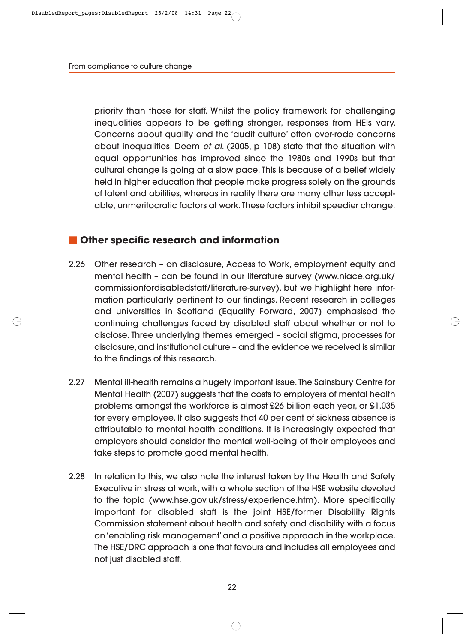priority than those for staff. Whilst the policy framework for challenging inequalities appears to be getting stronger, responses from HEIs vary. Concerns about quality and the 'audit culture' often over-rode concerns about inequalities. Deem et al. (2005, p 108) state that the situation with equal opportunities has improved since the 1980s and 1990s but that cultural change is going at a slow pace. This is because of a belief widely held in higher education that people make progress solely on the grounds of talent and abilities, whereas in reality there are many other less acceptable, unmeritocratic factors at work. These factors inhibit speedier change.

#### **Other specific research and information**

- 2.26 Other research on disclosure, Access to Work, employment equity and mental health – can be found in our literature survey (www.niace.org.uk/ commissionfordisabledstaff/literature-survey), but we highlight here infor mation particularly pertinent to our findings. Recent research in colleges and universities in Scotland (Equality Forward, 2007) emphasised the continuing challenges faced by disabled staff about whether or not to disclose. Three underlying themes emerged – social stigma, processes for disclosure, and institutional culture – and the evidence we received is similar to the findings of this research.
- 2.27 Mental ill-health remains a hugely important issue. The Sainsbury Centre for Mental Health (2007) suggests that the costs to employers of mental health problems amongst the workforce is almost £26 billion each year, or £1,035 for every employee. It also suggests that 40 per cent of sickness absence is attributable to mental health conditions. It is increasingly expected that employers should consider the mental well-being of their employees and take steps to promote good mental health.
- 2.28 In relation to this, we also note the interest taken by the Health and Safety Executive in stress at work, with a whole section of the HSE website devoted to the topic (www.hse.gov.uk/stress/experience.htm). More specifically important for disabled staff is the joint HSE/former Disability Rights Commission statement about health and safety and disability with a focus on 'enabling risk management' and a positive approach in the workplace. The HSE/DRC approach is one that favours and includes all employees and not just disabled staff.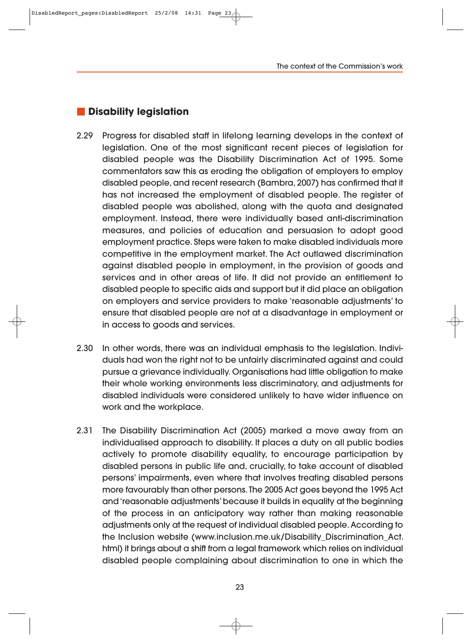### **Disability legislation**

- 2.29 Progress for disabled staff in lifelong learning develops in the context of legislation. One of the most significant recent pieces of legislation for disabled people was the Disability Discrimination Act of 1995. Some commentators saw this as eroding the obligation of employers to employ disabled people, and recent research (Bambra, 2007) has confirmed that it has not increased the employment of disabled people. The register of disabled people was abolished, along with the quota and designated employment. Instead, there were individually based anti-discrimination measures, and policies of education and persuasion to adopt good employment practice. Steps were taken to make disabled individuals more competitive in the employment market. The Act outlawed discrimination against disabled people in employment, in the provision of goods and services and in other areas of life. It did not provide an entitlement to disabled people to specific aids and support but it did place an obligation on employers and service providers to make 'reasonable adjustments' to ensure that disabled people are not at a disadvantage in employment or in access to goods and services.
- 2.30 In other words, there was an individual emphasis to the legislation. Individuals had won the right not to be unfairly discriminated against and could pursue a grievance individually. Organisations had little obligation to make their whole working environments less discriminatory, and adjustments for disabled individuals were considered unlikely to have wider influence on work and the workplace.
- 2.31 The Disability Discrimination Act (2005) marked a move away from an individualised approach to disability. It places a duty on all public bodies actively to promote disability equality, to encourage participation by disabled persons in public life and, crucially, to take account of disabled persons' impairments, even where that involves treating disabled persons more favourably than other persons. The 2005 Act goes beyond the 1995 Act and 'reasonable adjustments' because it builds in equality at the beginning of the process in an anticipatory way rather than making reasonable adjustments only at the request of individual disabled people. According to the Inclusion website (www.inclusion.me.uk/Disability\_Discrimination\_Act. html) it brings about a shift from a legal framework which relies on individual disabled people complaining about discrimination to one in which the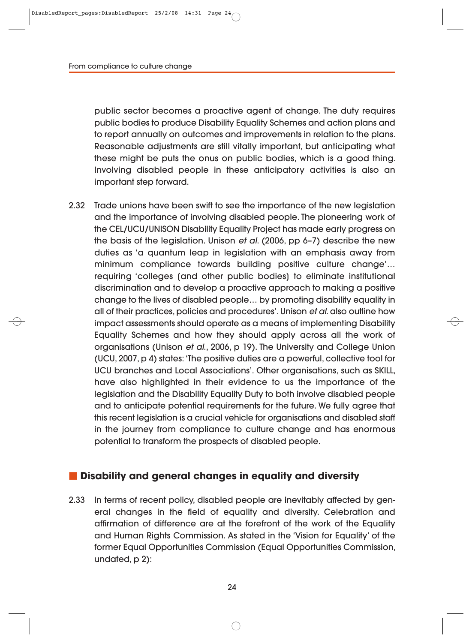public sector becomes a proactive agent of change. The duty requires public bodies to produce Disability Equality Schemes and action plans and to report annually on outcomes and improvements in relation to the plans. Reasonable adjustments are still vitally important, but anticipating what these might be puts the onus on public bodies, which is a good thing. Involving disabled people in these anticipatory activities is also an important step forward.

2.32 Trade unions have been swift to see the importance of the new legislation and the importance of involving disabled people. The pioneering work of the CEL/UCU/UNISON Disability Equality Project has made early progress on the basis of the legislation. Unison et al. (2006, pp 6–7) describe the new duties as 'a quantum leap in legislation with an emphasis away from minimum compliance towards building positive culture change'… requiring 'colleges [and other public bodies] to eliminate institutional discrimination and to develop a proactive approach to making a positive change to the lives of disabled people… by promoting disability equality in all of their practices, policies and procedures'. Unison et al. also outline how impact assessments should operate as a means of implementing Disability Equality Schemes and how they should apply across all the work of organisations (Unison et al., 2006, p 19). The University and College Union (UCU, 2007, p 4) states: 'The positive duties are a powerful, collective tool for UCU branches and Local Associations'. Other organisations, such as SKILL, have also highlighted in their evidence to us the importance of the legislation and the Disability Equality Duty to both involve disabled people and to anticipate potential requirements for the future. We fully agree that this recent legislation is a crucial vehicle for organisations and disabled staff in the journey from compliance to culture change and has enormous potential to transform the prospects of disabled people.

## $\blacksquare$  Disability and general changes in equality and diversity

2.33 In terms of recent policy, disabled people are inevitably affected by general changes in the field of equality and diversity. Celebration and affirmation of difference are at the forefront of the work of the Equality and Human Rights Commission. As stated in the 'Vision for Equality' of the former Equal Opportunities Commission (Equal Opportunities Commission, undated, p 2):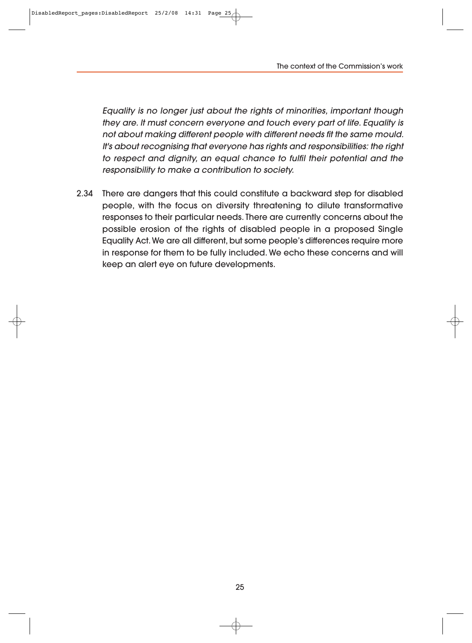The context of the Commission's work

Equality is no longer just about the rights of minorities, important though they are. It must concern everyone and touch every part of life. Equality is not about making different people with different needs fit the same mould. It's about recognising that everyone has rights and responsibilities: the right to respect and dignity, an equal chance to fulfil their potential and the responsibility to make a contribution to society.

2.34 There are dangers that this could constitute a backward step for disabled people, with the focus on diversity threatening to dilute transformative responses to their particular needs. There are currently concerns about the possible erosion of the rights of disabled people in a proposed Single Equality Act. We are all different, but some people's differences require more in response for them to be fully included. We echo these concerns and will keep an alert eye on future developments.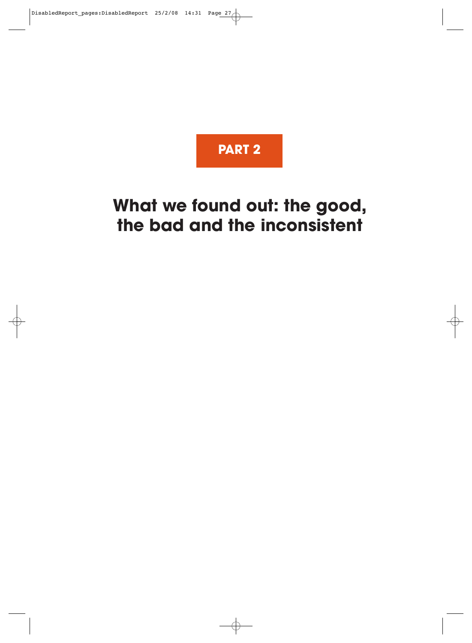

# **What we found out: the good, the bad and the inconsistent**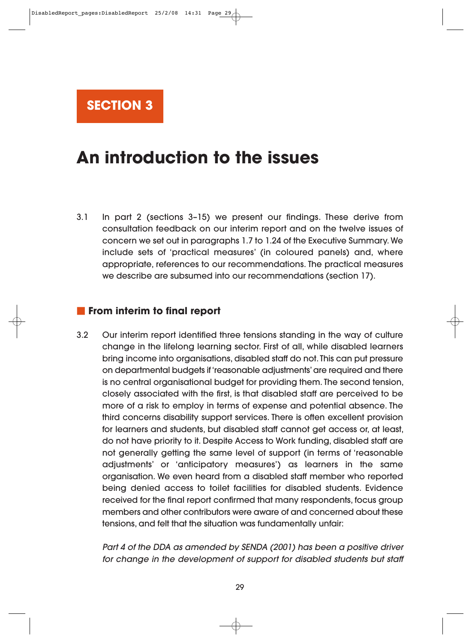

# **An introduction to the issues**

3.1 In part 2 (sections 3–15) we present our findings. These derive from consultation feedback on our interim report and on the twelve issues of concern we set out in paragraphs 1.7 to 1.24 of the Executive Summary. We include sets of 'practical measures' (in coloured panels) and, where appropriate, references to our recommendations. The practical measures we describe are subsumed into our recommendations (section 17).

## **From interim to final report**

3.2 Our interim report identified three tensions standing in the way of culture change in the lifelong learning sector. First of all, while disabled learners bring income into organisations, disabled staff do not. This can put pressure on departmental budgets if 'reasonable adjustments' are required and there is no central organisational budget for providing them. The second tension, closely associated with the first, is that disabled staff are perceived to be more of a risk to employ in terms of expense and potential absence. The third concerns disability support services. There is often excellent provision for learners and students, but disabled staff cannot get access or, at least, do not have priority to it. Despite Access to Work funding, disabled staff are not generally getting the same level of support (in terms of 'reasonable adjustments' or 'anticipatory measures') as learners in the same organisation. We even heard from a disabled staff member who reported being denied access to toilet facilities for disabled students. Evidence received for the final report confirmed that many respondents, focus group members and other contributors were aware of and concerned about these tensions, and felt that the situation was fundamentally unfair:

Part 4 of the DDA as amended by SENDA (2001) has been a positive driver for change in the development of support for disabled students but staff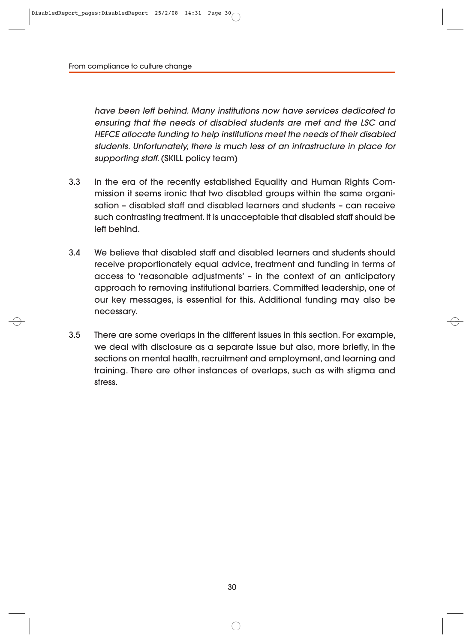have been left behind. Many institutions now have services dedicated to ensuring that the needs of disabled students are met and the LSC and HEFCE allocate funding to help institutions meet the needs of their disabled students. Unfortunately, there is much less of an infrastructure in place for supporting staff. (SKILL policy team)

- 3.3 In the era of the recently established Equality and Human Rights Commission it seems ironic that two disabled groups within the same organisation – disabled staff and disabled learners and students – can receive such contrasting treatment. It is unacceptable that disabled staff should be left behind.
- 3.4 We believe that disabled staff and disabled learners and students should receive proportionately equal advice, treatment and funding in terms of access to 'reasonable adjustments' – in the context of an anticipatory approach to removing institutional barriers. Committed leadership, one of our key messages, is essential for this. Additional funding may also be necessary.
- 3.5 There are some overlaps in the different issues in this section. For example, we deal with disclosure as a separate issue but also, more briefly, in the sections on mental health, recruitment and employment, and learning and training. There are other instances of overlaps, such as with stigma and stress.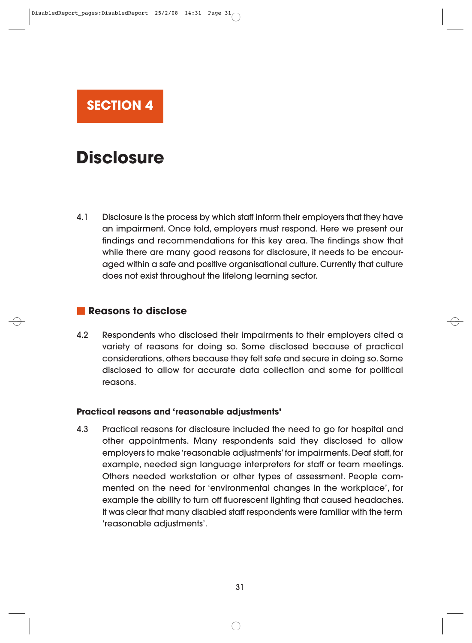

# **Disclosure**

4.1 Disclosure is the process by which staff inform their employers that they have an impairment. Once told, employers must respond. Here we present our findings and recommendations for this key area. The findings show that while there are many good reasons for disclosure, it needs to be encouraged within a safe and positive organisational culture. Currently that culture does not exist throughout the lifelong learning sector.

## **Reasons to disclose**

4.2 Respondents who disclosed their impairments to their employers cited a variety of reasons for doing so. Some disclosed because of practical considerations, others because they felt safe and secure in doing so. Some disclosed to allow for accurate data collection and some for political reasons.

#### **Practical reasons and 'reasonable adjustments'**

4.3 Practical reasons for disclosure included the need to go for hospital and other appointments. Many respondents said they disclosed to allow employers to make 'reasonable adjustments' for impairments. Deaf staff, for example, needed sign language interpreters for staff or team meetings. Others needed workstation or other types of assessment. People commented on the need for 'environmental changes in the workplace', for example the ability to turn off fluorescent lighting that caused headaches. It was clear that many disabled staff respondents were familiar with the term 'reasonable adjustments'.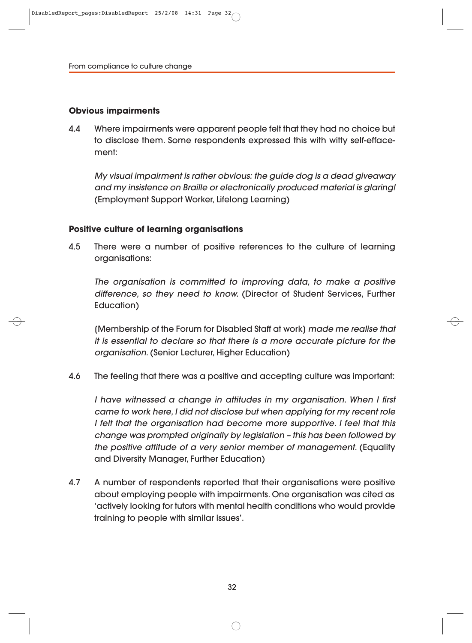#### **Obvious impairments**

4.4 Where impairments were apparent people felt that they had no choice but to disclose them. Some respondents expressed this with witty self-efface ment:

My visual impairment is rather obvious: the guide dog is a dead giveaway and my insistence on Braille or electronically produced material is glaring! (Employment Support Worker, Lifelong Learning)

#### **Positive culture of learning organisations**

4.5 There were a number of positive references to the culture of learning organisations:

The organisation is committed to improving data, to make a positive difference, so they need to know. (Director of Student Services, Further Education)

[Membership of the Forum for Disabled Staff at work] made me realise that it is essential to declare so that there is a more accurate picture for the organisation. (Senior Lecturer, Higher Education)

4.6 The feeling that there was a positive and accepting culture was important:

I have witnessed a change in attitudes in my organisation. When I first came to work here, I did not disclose but when applying for my recent role I felt that the organisation had become more supportive. I feel that this change was prompted originally by legislation – this has been followed by the positive attitude of a very senior member of management. (Equality and Diversity Manager, Further Education)

4.7 A number of respondents reported that their organisations were positive about employing people with impairments. One organisation was cited as 'actively looking for tutors with mental health conditions who would provide training to people with similar issues'.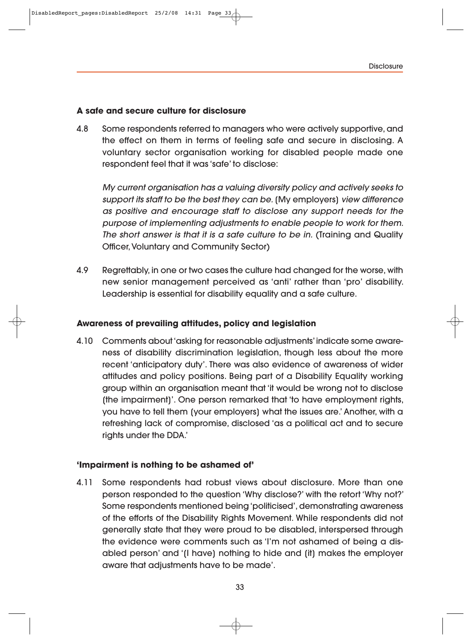#### **A safe and secure culture for disclosure**

4.8 Some respondents referred to managers who were actively supportive, and the effect on them in terms of feeling safe and secure in disclosing. A voluntary sector organisation working for disabled people made one respondent feel that it was 'safe' to disclose:

My current organisation has a valuing diversity policy and actively seeks to support its staff to be the best they can be. (My employers) view difference as positive and encourage staff to disclose any support needs for the purpose of implementing adjustments to enable people to work for them. The short answer is that it is a safe culture to be in. (Training and Quality Officer, Voluntary and Community Sector)

4.9 Regrettably, in one or two cases the culture had changed for the worse, with new senior management perceived as 'anti' rather than 'pro' disability. Leadership is essential for disability equality and a safe culture.

#### **Awareness of prevailing attitudes, policy and legislation**

4.10 Comments about 'asking for reasonable adjustments' indicate some aware ness of disability discrimination legislation, though less about the more recent 'anticipatory duty'. There was also evidence of awareness of wider attitudes and policy positions. Being part of a Disability Equality working group within an organisation meant that 'it would be wrong not to disclose [the impairment]'. One person remarked that 'to have employment rights, you have to tell them [your employers] what the issues are.' Another, with a refreshing lack of compromise, disclosed 'as a political act and to secure rights under the DDA.'

#### **'Impairment is nothing to be ashamed of'**

4.11 Some respondents had robust views about disclosure. More than one person responded to the question 'Why disclose?' with the retort 'Why not?' Some respondents mentioned being 'politicised', demonstrating awareness of the efforts of the Disability Rights Movement. While respondents did not generally state that they were proud to be disabled, interspersed through the evidence were comments such as 'I'm not ashamed of being a dis abled person' and '[I have] nothing to hide and [it] makes the employer aware that adjustments have to be made'.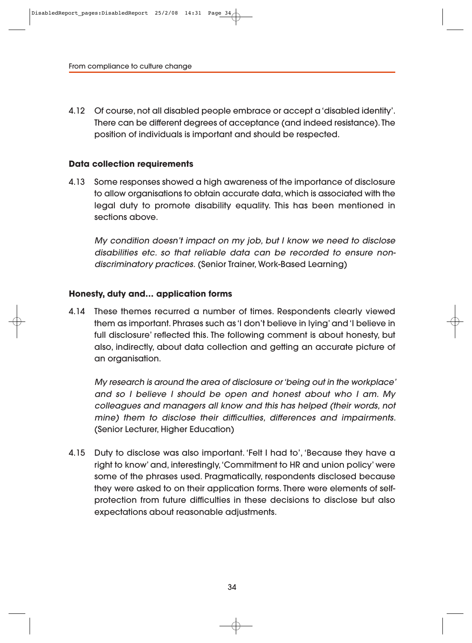4.12 Of course, not all disabled people embrace or accept a 'disabled identity'. There can be different degrees of acceptance (and indeed resistance). The position of individuals is important and should be respected.

#### **Data collection requirements**

4.13 Some responses showed a high awareness of the importance of disclosure to allow organisations to obtain accurate data, which is associated with the legal duty to promote disability equality. This has been mentioned in sections above.

My condition doesn't impact on my job, but I know we need to disclose disabilities etc. so that reliable data can be recorded to ensure nondiscriminatory practices. (Senior Trainer, Work-Based Learning)

#### **Honesty, duty and… application forms**

4.14 These themes recurred a number of times. Respondents clearly viewed them as important. Phrases such as 'I don't believe in lying' and 'I believe in full disclosure' reflected this. The following comment is about honesty, but also, indirectly, about data collection and getting an accurate picture of an organisation.

My research is around the area of disclosure or 'being out in the workplace' and so I believe I should be open and honest about who I am. My colleagues and managers all know and this has helped (their words, not mine) them to disclose their difficulties, differences and impairments. (Senior Lecturer, Higher Education)

4.15 Duty to disclose was also important. 'Felt I had to', 'Because they have a right to know' and, interestingly, 'Commitment to HR and union policy' were some of the phrases used. Pragmatically, respondents disclosed because they were asked to on their application forms. There were elements of selfprotection from future difficulties in these decisions to disclose but also expectations about reasonable adjustments.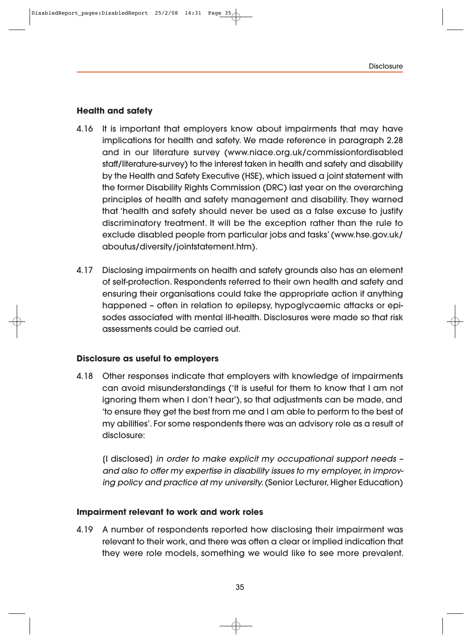#### **Health and safety**

- 4.16 It is important that employers know about impairments that may have implications for health and safety. We made reference in paragraph 2.28 and in our literature survey (www.niace.org.uk/commissionfordisabled staff/literature-survey) to the interest taken in health and safety and disability by the Health and Safety Executive (HSE), which issued a joint statement with the former Disability Rights Commission (DRC) last year on the overarching principles of health and safety management and disability. They warned that 'health and safety should never be used as a false excuse to justify discriminatory treatment. It will be the exception rather than the rule to exclude disabled people from particular jobs and tasks' (www.hse.gov.uk/ aboutus/diversity/jointstatement.htm).
- 4.17 Disclosing impairments on health and safety grounds also has an element of self-protection. Respondents referred to their own health and safety and ensuring their organisations could take the appropriate action if anything happened - often in relation to epilepsy, hypoglycaemic attacks or episodes associated with mental ill-health. Disclosures were made so that risk assessments could be carried out.

#### **Disclosure as useful to employers**

4.18 Other responses indicate that employers with knowledge of impairments can avoid misunderstandings ('It is useful for them to know that I am not ignoring them when I don't hear'), so that adjustments can be made, and 'to ensure they get the best from me and I am able to perform to the best of my abilities'. For some respondents there was an advisory role as a result of disclosure:

[I disclosed] in order to make explicit my occupational support needs – and also to offer my expertise in disability issues to my employer, in improv ing policy and practice at my university. (Senior Lecturer, Higher Education)

#### **Impairment relevant to work and work roles**

4.19 A number of respondents reported how disclosing their impairment was relevant to their work, and there was often a clear or implied indication that they were role models, something we would like to see more prevalent.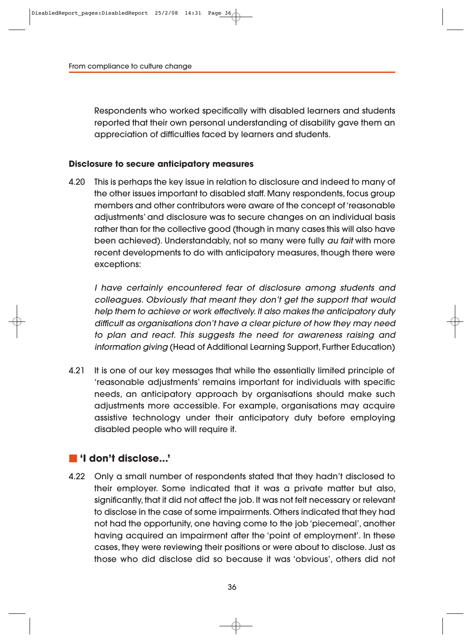Respondents who worked specifically with disabled learners and students reported that their own personal understanding of disability gave them an appreciation of difficulties faced by learners and students.

#### **Disclosure to secure anticipatory measures**

4.20 This is perhaps the key issue in relation to disclosure and indeed to many of the other issues important to disabled staff. Many respondents, focus group members and other contributors were aware of the concept of 'reasonable adjustments' and disclosure was to secure changes on an individual basis rather than for the collective good (though in many cases this will also have been achieved). Understandably, not so many were fully au fait with more recent developments to do with anticipatory measures, though there were exceptions:

I have certainly encountered fear of disclosure among students and colleagues. Obviously that meant they don't get the support that would help them to achieve or work effectively. It also makes the anticipatory duty difficult as organisations don't have a clear picture of how they may need to plan and react. This suggests the need for awareness raising and information giving (Head of Additional Learning Support, Further Education)

4.21 It is one of our key messages that while the essentially limited principle of 'reasonable adjustments' remains important for individuals with specific needs, an anticipatory approach by organisations should make such adjustments more accessible. For example, organisations may acquire assistive technology under their anticipatory duty before employing disabled people who will require it.

## **'I don't disclose...'**

4.22 Only a small number of respondents stated that they hadn't disclosed to their employer. Some indicated that it was a private matter but also, significantly, that it did not affect the job. It was not felt necessary or relevant to disclose in the case of some impairments. Others indicated that they had not had the opportunity, one having come to the job 'piecemeal', another having acquired an impairment after the 'point of employment'. In these cases, they were reviewing their positions or were about to disclose. Just as those who did disclose did so because it was 'obvious', others did not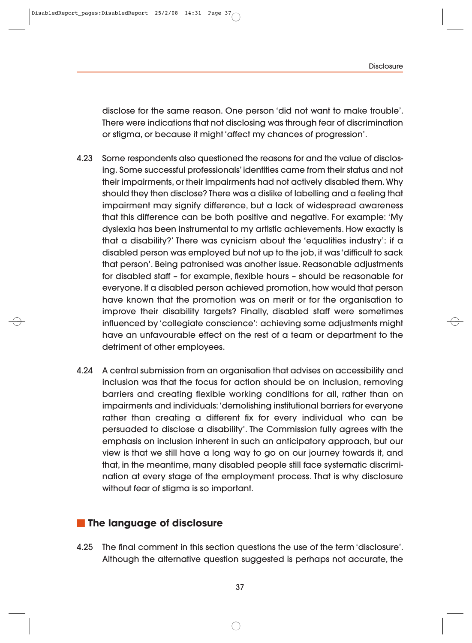disclose for the same reason. One person 'did not want to make trouble'. There were indications that not disclosing was through fear of discrimination or stigma, or because it might 'affect my chances of progression'.

- 4.23 Some respondents also questioned the reasons for and the value of disclosing. Some successful professionals' identities came from their status and not their impairments, or their impairments had not actively disabled them. Why should they then disclose? There was a dislike of labelling and a feeling that impairment may signify difference, but a lack of widespread awareness that this difference can be both positive and negative. For example: 'My dyslexia has been instrumental to my artistic achievements. How exactly is that a disability?' There was cynicism about the 'equalities industry': if a disabled person was employed but not up to the job, it was 'difficult to sack that person'. Being patronised was another issue. Reasonable adjustments for disabled staff – for example, flexible hours – should be reasonable for everyone. If a disabled person achieved promotion, how would that person have known that the promotion was on merit or for the organisation to improve their disability targets? Finally, disabled staff were sometimes influenced by 'collegiate conscience': achieving some adjustments might have an unfavourable effect on the rest of a team or department to the detriment of other employees.
- 4.24 A central submission from an organisation that advises on accessibility and inclusion was that the focus for action should be on inclusion, removing barriers and creating flexible working conditions for all, rather than on impairments and individuals: 'demolishing institutional barriers for everyone rather than creating a different fix for every individual who can be persuaded to disclose a disability'. The Commission fully agrees with the emphasis on inclusion inherent in such an anticipatory approach, but our view is that we still have a long way to go on our journey towards it, and that, in the meantime, many disabled people still face systematic discrimination at every stage of the employment process. That is why disclosure without fear of stigma is so important.

### **The language of disclosure**

4.25 The final comment in this section questions the use of the term 'disclosure'. Although the alternative question suggested is perhaps not accurate, the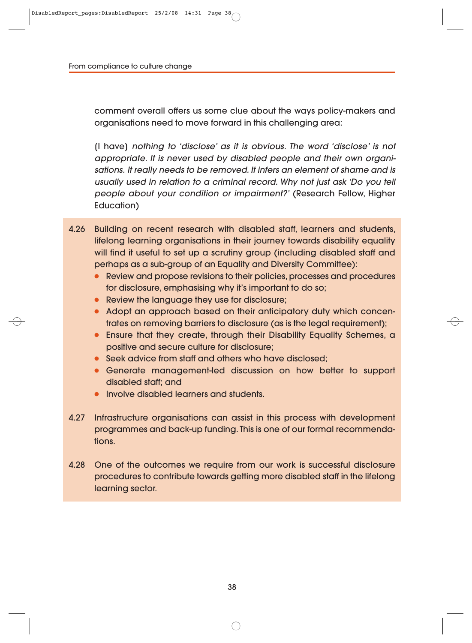comment overall offers us some clue about the ways policy-makers and organisations need to move forward in this challenging area:

[I have] nothing to 'disclose' as it is obvious. The word 'disclose' is not appropriate. It is never used by disabled people and their own organisations. It really needs to be removed. It infers an element of shame and is usually used in relation to a criminal record. Why not just ask 'Do you tell people about your condition or impairment?' (Research Fellow, Higher Education)

- 4.26 Building on recent research with disabled staff, learners and students, lifelong learning organisations in their journey towards disability equality will find it useful to set up a scrutiny group (including disabled staff and perhaps as a sub-group of an Equality and Diversity Committee):
	- Review and propose revisions to their policies, processes and procedures for disclosure, emphasising why it's important to do so;
	- Review the language they use for disclosure;
	- Adopt an approach based on their anticipatory duty which concentrates on removing barriers to disclosure (as is the legal requirement);
	- Ensure that they create, through their Disability Equality Schemes, a positive and secure culture for disclosure;
	- Seek advice from staff and others who have disclosed;
	- Generate management-led discussion on how better to support disabled staff; and
	- Involve disabled learners and students.
- 4.27 Infrastructure organisations can assist in this process with development programmes and back-up funding. This is one of our formal recommendations.
- 4.28 One of the outcomes we require from our work is successful disclosure procedures to contribute towards getting more disabled staff in the lifelong learning sector.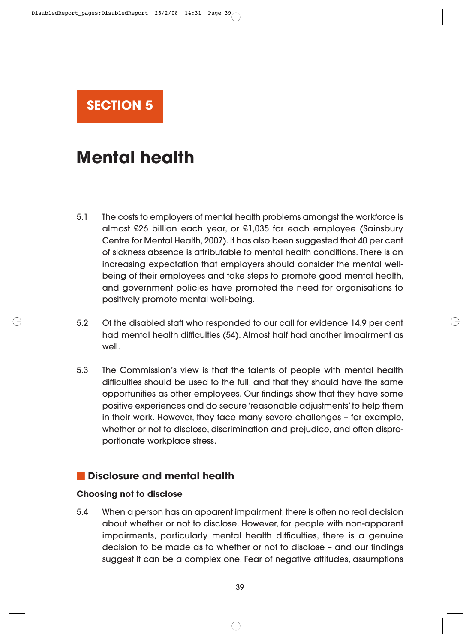

# **Mental health**

- 5.1 The costs to employers of mental health problems amongst the workforce is almost £26 billion each year, or £1,035 for each employee (Sainsbury Centre for Mental Health, 2007). It has also been suggested that 40 per cent of sickness absence is attributable to mental health conditions. There is an increasing expectation that employers should consider the mental wellbeing of their employees and take steps to promote good mental health, and government policies have promoted the need for organisations to positively promote mental well-being.
- 5.2 Of the disabled staff who responded to our call for evidence 14.9 per cent had mental health difficulties (54). Almost half had another impairment as well.
- 5.3 The Commission's view is that the talents of people with mental health difficulties should be used to the full, and that they should have the same opportunities as other employees. Our findings show that they have some positive experiences and do secure 'reasonable adjustments' to help them in their work. However, they face many severe challenges – for example, whether or not to disclose, discrimination and prejudice, and often disproportionate workplace stress.

## **Disclosure and mental health**

#### **Choosing not to disclose**

5.4 When a person has an apparent impairment, there is often no real decision about whether or not to disclose. However, for people with non-apparent impairments, particularly mental health difficulties, there is a genuine decision to be made as to whether or not to disclose – and our findings suggest it can be a complex one. Fear of negative attitudes, assumptions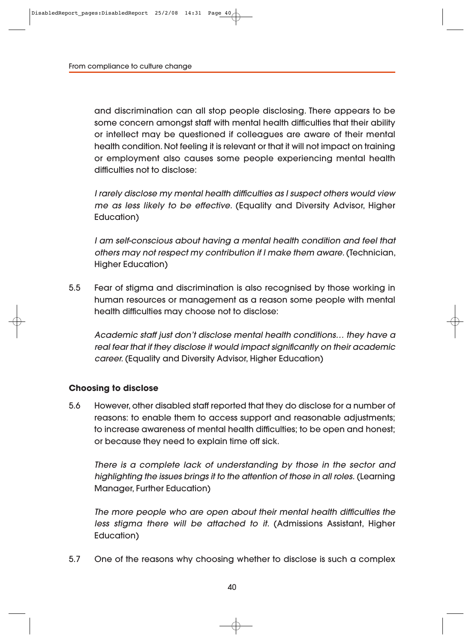and discrimination can all stop people disclosing. There appears to be some concern amongst staff with mental health difficulties that their ability or intellect may be questioned if colleagues are aware of their mental health condition. Not feeling it is relevant or that it will not impact on training or employment also causes some people experiencing mental health difficulties not to disclose:

I rarely disclose my mental health difficulties as I suspect others would view me as less likely to be effective. (Equality and Diversity Advisor, Higher Education)

I am self-conscious about having a mental health condition and feel that others may not respect my contribution if I make them aware. (Technician, Higher Education)

5.5 Fear of stigma and discrimination is also recognised by those working in human resources or management as a reason some people with mental health difficulties may choose not to disclose:

Academic staff just don't disclose mental health conditions… they have a real fear that if they disclose it would impact significantly on their academic career. (Equality and Diversity Advisor, Higher Education)

#### **Choosing to disclose**

5.6 However, other disabled staff reported that they do disclose for a number of reasons: to enable them to access support and reasonable adjustments; to increase awareness of mental health difficulties; to be open and honest; or because they need to explain time off sick.

There is a complete lack of understanding by those in the sector and highlighting the issues brings it to the attention of those in all roles. (Learning Manager, Further Education)

The more people who are open about their mental health difficulties the less stigma there will be attached to it. (Admissions Assistant, Higher Education)

5.7 One of the reasons why choosing whether to disclose is such a complex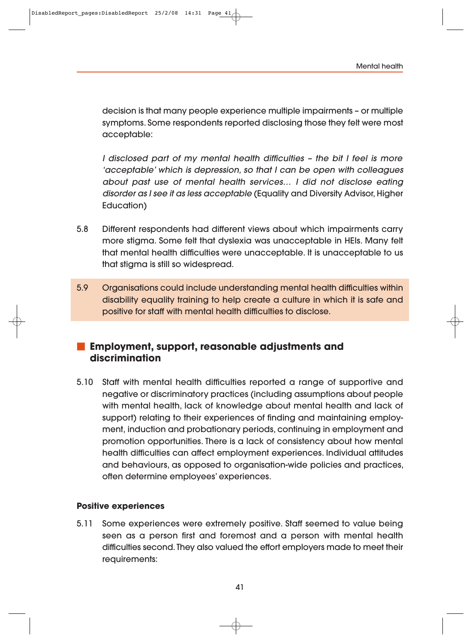decision is that many people experience multiple impairments – or multiple symptoms. Some respondents reported disclosing those they felt were most acceptable:

I disclosed part of my mental health difficulties – the bit I feel is more 'accep table' which is depression, so that I can be open with colleagues about past use of mental health services… I did not disclose eating disorder as I see it as less acceptable (Equality and Diversity Advisor, Higher Education)

- 5.8 Different respondents had different views about which impairments carry more stigma. Some felt that dyslexia was unacceptable in HEIs. Many felt that mental health difficulties were unacceptable. It is unacceptable to us that stigma is still so widespread.
- 5.9 Organisations could include understanding mental health difficulties within disability equality training to help create a culture in which it is safe and positive for staff with mental health difficulties to disclose.

# **Employment, support, reasonable adjustments and discrimination**

5.10 Staff with mental health difficulties reported a range of supportive and negative or discriminatory practices (including assumptions about people with mental health, lack of knowledge about mental health and lack of support) relating to their experiences of finding and maintaining employment, induction and probationary periods, continuing in employment and promotion opportunities. There is a lack of consistency about how mental health difficulties can affect employment experiences. Individual attitudes and behaviours, as opposed to organisation-wide policies and practices, often determine employees' experiences.

#### **Positive experiences**

5.11 Some experiences were extremely positive. Staff seemed to value being seen as a person first and foremost and a person with mental health difficulties second. They also valued the effort employers made to meet their requirements: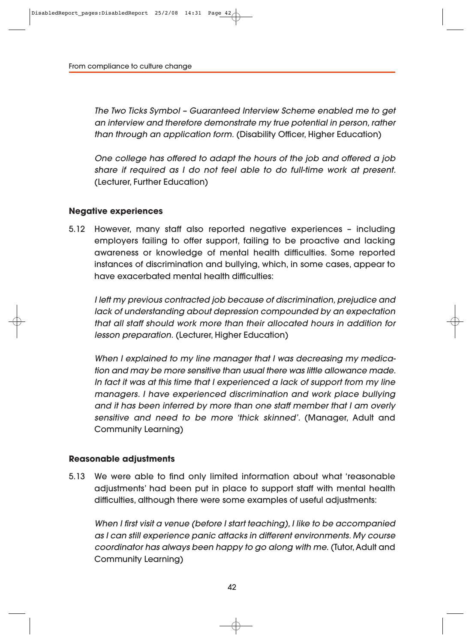The Two Ticks Symbol – Guaranteed Interview Scheme enabled me to get an interview and therefore demonstrate my true potential in person, rather than through an application form. (Disability Officer, Higher Education)

One college has offered to adapt the hours of the job and offered a job share if required as I do not feel able to do full-time work at present. (Lecturer, Further Education)

#### **Negative experiences**

5.12 However, many staff also reported negative experiences – including employers failing to offer support, failing to be proactive and lacking awareness or knowledge of mental health difficulties. Some reported instances of discrimination and bullying, which, in some cases, appear to have exacerbated mental health difficulties:

I left my previous contracted job because of discrimination, prejudice and lack of understanding about depression compounded by an expectation that all staff should work more than their allocated hours in addition for lesson preparation. (Lecturer, Higher Education)

When I explained to my line manager that I was decreasing my medication and may be more sensitive than usual there was little allowance made. In fact it was at this time that I experienced a lack of support from my line managers. I have experienced discrimination and work place bullying and it has been inferred by more than one staff member that I am overly sensitive and need to be more 'thick skinned'. (Manager, Adult and Community Learning)

#### **Reasonable adjustments**

5.13 We were able to find only limited information about what 'reasonable adjustments' had been put in place to support staff with mental health difficulties, although there were some examples of useful adjustments:

When I first visit a venue (before I start teaching), I like to be accompanied as I can still experience panic attacks in different environments. My course coordinator has always been happy to go along with me. (Tutor, Adult and Community Learning)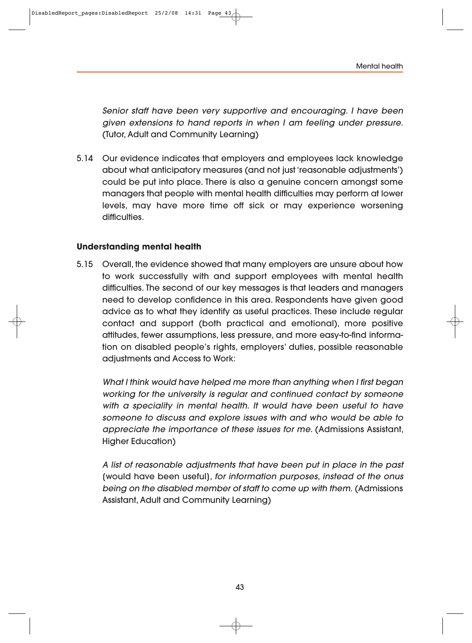Senior staff have been very supportive and encouraging. I have been given extensions to hand reports in when I am feeling under pressure. (Tutor, Adult and Community Learning)

5.14 Our evidence indicates that employers and employees lack knowledge about what anticipatory measures (and not just 'reasonable adjustments') could be put into place. There is also a genuine concern amongst some managers that people with mental health difficulties may perform at lower levels, may have more time off sick or may experience worsening difficulties.

#### **Understanding mental health**

5.15 Overall, the evidence showed that many employers are unsure about how to work successfully with and support employees with mental health difficulties. The second of our key messages is that leaders and managers need to develop confidence in this area. Respondents have given good advice as to what they identify as useful practices. These include regular contact and support (both practical and emotional), more positive attitudes, fewer assumptions, less pressure, and more easy-to-find informa tion on disabled people's rights, employers' duties, possible reasonable adjustments and Access to Work:

What I think would have helped me more than anything when I first began working for the university is regular and continued contact by someone with a speciality in mental health. It would have been useful to have someone to discuss and explore issues with and who would be able to appreciate the importance of these issues for me. (Admissions Assistant, Higher Education)

A list of reasonable adjustments that have been put in place in the past [would have been useful], for information purposes, instead of the onus being on the disabled member of staff to come up with them. (Admissions Assistant, Adult and Community Learning)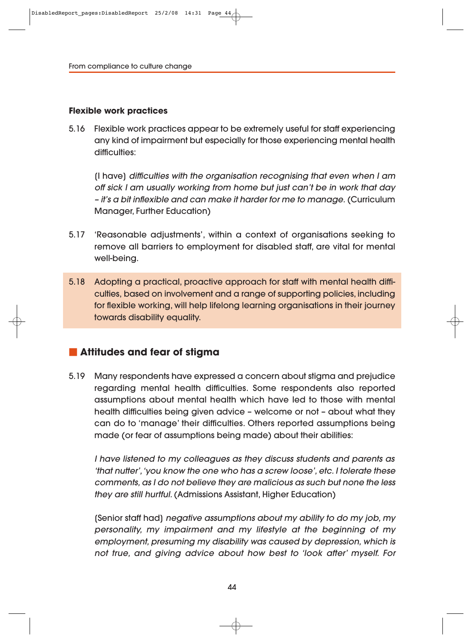#### **Flexible work practices**

5.16 Flexible work practices appear to be extremely useful for staff experiencing any kind of impairment but especially for those experiencing mental health difficulties:

[I have] difficulties with the organisation recognising that even when I am off sick I am usually working from home but just can't be in work that day – it's a bit inflexible and can make it harder for me to manage. (Curriculum Manager, Further Education)

- 5.17 'Reasonable adjustments', within a context of organisations seeking to remove all barriers to employment for disabled staff, are vital for mental well-being.
- 5.18 Adopting a practical, proactive approach for staff with mental health difficulties, based on involvement and a range of supporting policies, including for flexible working, will help lifelong learning organisations in their journey towards disability equality.

## **Attitudes and fear of stigma**

5.19 Many respondents have expressed a concern about stigma and prejudice regarding mental health difficulties. Some respondents also reported assumptions about mental health which have led to those with mental health difficulties being given advice – welcome or not – about what they can do to 'manage' their difficulties. Others reported assumptions being made (or fear of assumptions being made) about their abilities:

I have listened to my colleagues as they discuss students and parents as 'that nutter', 'you know the one who has a screw loose', etc. I tolerate these comments, as I do not believe they are malicious as such but none the less they are still hurtful. (Admissions Assistant, Higher Education)

[Senior staff had] negative assumptions about my ability to do my job, my personality, my impairment and my lifestyle at the beginning of my employment, presuming my disability was caused by depression, which is not true, and giving advice about how best to 'look after' myself. For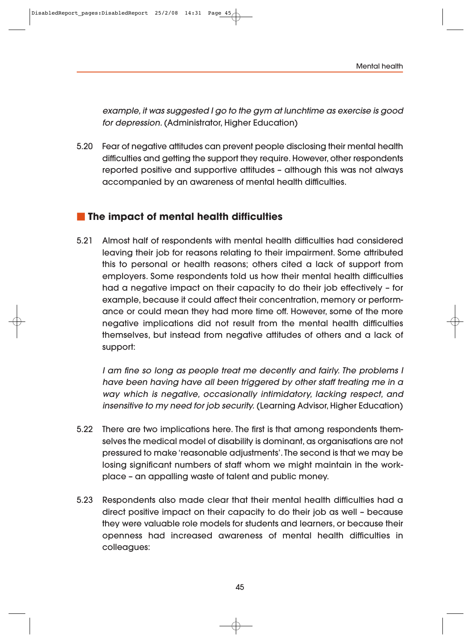example, it was suggested I go to the gym at lunchtime as exercise is good for depression. (Administrator, Higher Education)

5.20 Fear of negative attitudes can prevent people disclosing their mental health difficulties and getting the support they require. However, other respondents reported positive and supportive attitudes – although this was not always accompanied by an awareness of mental health difficulties.

# **The impact of mental health difficulties**

5.21 Almost half of respondents with mental health difficulties had considered leaving their job for reasons relating to their impairment. Some attributed this to personal or health reasons; others cited a lack of support from employers. Some respondents told us how their mental health difficulties had a negative impact on their capacity to do their job effectively – for example, because it could affect their concentration, memory or performance or could mean they had more time off. However, some of the more negative implications did not result from the mental health difficulties themselves, but instead from negative attitudes of others and a lack of support:

I am fine so long as people treat me decently and fairly. The problems I have been having have all been triggered by other staff treating me in a way which is negative, occasionally intimidatory, lacking respect, and insensitive to my need for job security. (Learning Advisor, Higher Education)

- 5.22 There are two implications here. The first is that among respondents them selves the medical model of disability is dominant, as organisations are not pressured to make 'reasonable adjustments'. The second is that we may be losing significant numbers of staff whom we might maintain in the workplace – an appalling waste of talent and public money.
- 5.23 Respondents also made clear that their mental health difficulties had a direct positive impact on their capacity to do their job as well – because they were valuable role models for students and learners, or because their openness had increased awareness of mental health difficulties in colleagues: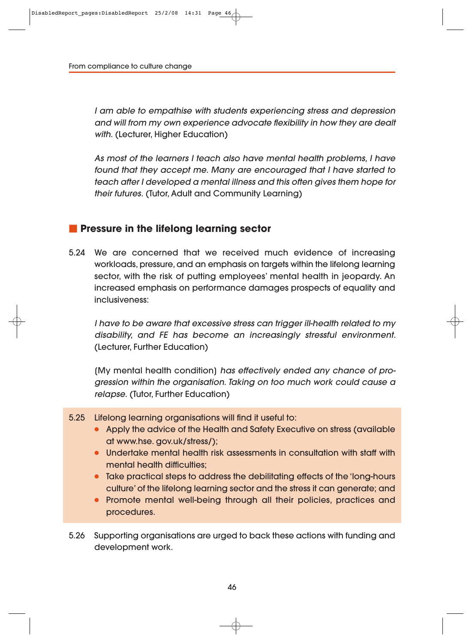I am able to empathise with students experiencing stress and depression and will from my own experience advocate flexibility in how they are dealt with. (Lecturer, Higher Education)

As most of the learners I teach also have mental health problems, I have found that they accept me. Many are encouraged that I have started to teach after I developed a mental illness and this often gives them hope for their futures. (Tutor, Adult and Community Learning)

## **Pressure in the lifelong learning sector**

5.24 We are concerned that we received much evidence of increasing workloads, pressure, and an emphasis on targets within the lifelong learning sector, with the risk of putting employees' mental health in jeopardy. An increased emphasis on performance damages prospects of equality and inclusiveness:

I have to be aware that excessive stress can trigger ill-health related to my disability, and FE has become an increasingly stressful environment. (Lecturer, Further Education)

(My mental health condition) has effectively ended any chance of progression within the organisation. Taking on too much work could cause a relapse. (Tutor, Further Education)

- 5.25 Lifelong learning organisations will find it useful to:
	- Apply the advice of the Health and Safety Executive on stress (available at www.hse. gov.uk/stress/);
	- Undertake mental health risk assessments in consultation with staff with mental health difficulties:
	- Take practical steps to address the debilitating effects of the 'long-hours culture' of the lifelong learning sector and the stress it can generate; and
	- Promote mental well-being through all their policies, practices and procedures.

5.26 Supporting organisations are urged to back these actions with funding and development work.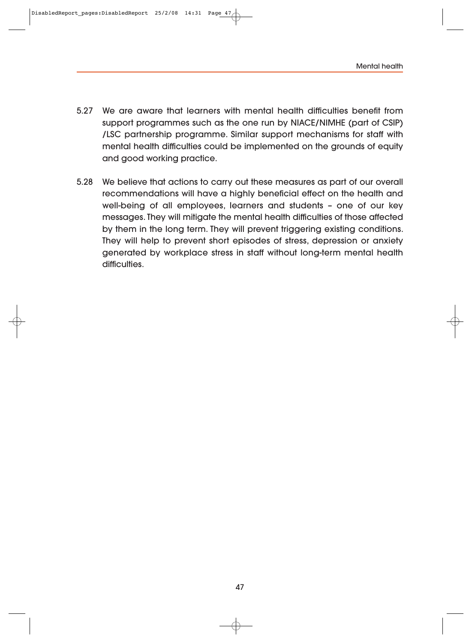- 5.27 We are aware that learners with mental health difficulties benefit from support programmes such as the one run by NIACE/NIMHE (part of CSIP) /LSC partnership programme. Similar support mechanisms for staff with mental health difficulties could be implemented on the grounds of equity and good working practice.
- 5.28 We believe that actions to carry out these measures as part of our overall recommendations will have a highly beneficial effect on the health and well-being of all employees, learners and students – one of our key messages. They will mitigate the mental health difficulties of those affected by them in the long term. They will prevent triggering existing conditions. They will help to prevent short episodes of stress, depression or anxiety generated by workplace stress in staff without long-term mental health difficulties.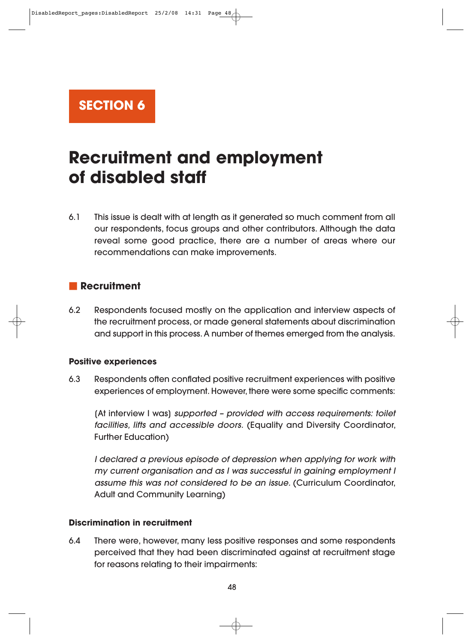**SECTION 6**

# **Recruitment and employment of disabled staff**

6.1 This issue is dealt with at length as it generated so much comment from all our respondents, focus groups and other contributors. Although the data reveal some good practice, there are a number of areas where our recommendations can make improvements.

## **Recruitment**

6.2 Respondents focused mostly on the application and interview aspects of the recruitment process, or made general statements about discrimination and support in this process. A number of themes emerged from the analysis.

#### **Positive experiences**

6.3 Respondents often conflated positive recruitment experiences with positive experiences of employment. However, there were some specific comments:

[At interview I was] supported – provided with access requirements: toilet facilities, lifts and accessible doors. (Equality and Diversity Coordinator, Further Education)

I declared a previous episode of depression when applying for work with my current organisation and as I was successful in gaining employment I assume this was not considered to be an issue. (Curriculum Coordinator, Adult and Community Learning)

#### **Discrimination in recruitment**

6.4 There were, however, many less positive responses and some respondents perceived that they had been discriminated against at recruitment stage for reasons relating to their impairments: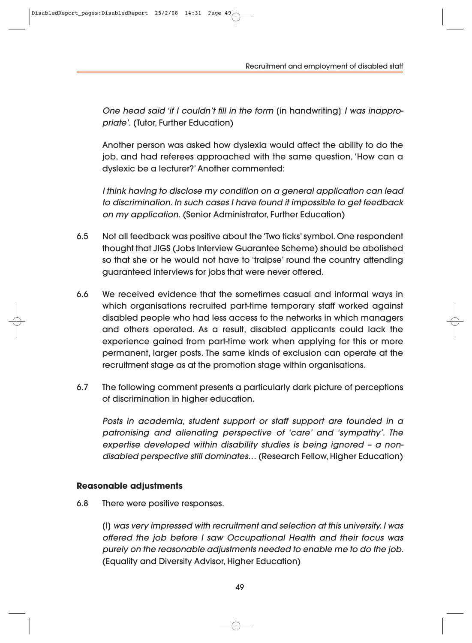Recruitment and employment of disabled staff

One head said 'if I couldn't fill in the form (in handwriting) I was inappropriate'. (Tutor, Further Education)

Another person was asked how dyslexia would affect the ability to do the job, and had referees approached with the same question, 'How can a dyslexic be a lecturer?' Another commented:

I think having to disclose my condition on a general application can lead to discrimination. In such cases I have found it impossible to get feedback on my application. (Senior Administrator, Further Education)

- 6.5 Not all feedback was positive about the 'Two ticks' symbol. One respondent thought that JIGS (Jobs Interview Guarantee Scheme) should be abolished so that she or he would not have to 'traipse' round the country attending guaranteed interviews for jobs that were never offered.
- 6.6 We received evidence that the sometimes casual and informal ways in which organisations recruited part-time temporary staff worked against disabled people who had less access to the networks in which managers and others operated. As a result, disabled applicants could lack the experience gained from part-time work when applying for this or more permanent, larger posts. The same kinds of exclusion can operate at the recruitment stage as at the promotion stage within organisations.
- 6.7 The following comment presents a particularly dark picture of perceptions of discrimination in higher education.

Posts in academia, student support or staff support are founded in a patronising and alienating perspective of 'care' and 'sympathy'. The expertise developed within disability studies is being ignored – a nondisabled perspective still dominates… (Research Fellow, Higher Education)

#### **Reasonable adjustments**

6.8 There were positive responses.

[I] was very impressed with recruitment and selection at this university. I was offered the job before I saw Occupational Health and their focus was purely on the reasonable adjustments needed to enable me to do the job. (Equality and Diversity Advisor, Higher Education)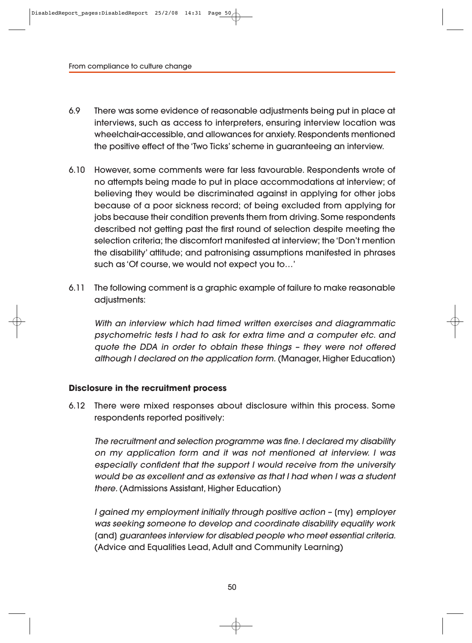- 6.9 There was some evidence of reasonable adjustments being put in place at interviews, such as access to interpreters, ensuring interview location was wheelchair-accessible, and allowances for anxiety. Respondents mentioned the positive effect of the 'Two Ticks' scheme in guaranteeing an interview.
- 6.10 However, some comments were far less favourable. Respondents wrote of no attempts being made to put in place accommodations at interview; of believing they would be discriminated against in applying for other jobs because of a poor sickness record; of being excluded from applying for jobs because their condition prevents them from driving. Some respondents described not getting past the first round of selection despite meeting the selection criteria; the discomfort manifested at interview; the 'Don't mention the disability' attitude; and patronising assumptions manifested in phrases such as 'Of course, we would not expect you to…'
- 6.11 The following comment is a graphic example of failure to make reasonable adjustments:

With an interview which had timed written exercises and diagrammatic psychometric tests I had to ask for extra time and a computer etc. and quote the DDA in order to obtain these things – they were not offered although I declared on the application form. (Manager, Higher Education)

#### **Disclosure in the recruitment process**

6.12 There were mixed responses about disclosure within this process. Some respondents reported positively:

The recruitment and selection programme was fine. I declared my disability on my application form and it was not mentioned at interview. I was especially confident that the support I would receive from the university would be as excellent and as extensive as that I had when I was a student there. (Admissions Assistant, Higher Education)

I gained my employment initially through positive action – [my] employer was seeking someone to develop and coordinate disability equality work [and] guarantees interview for disabled people who meet essential criteria. (Advice and Equalities Lead, Adult and Community Learning)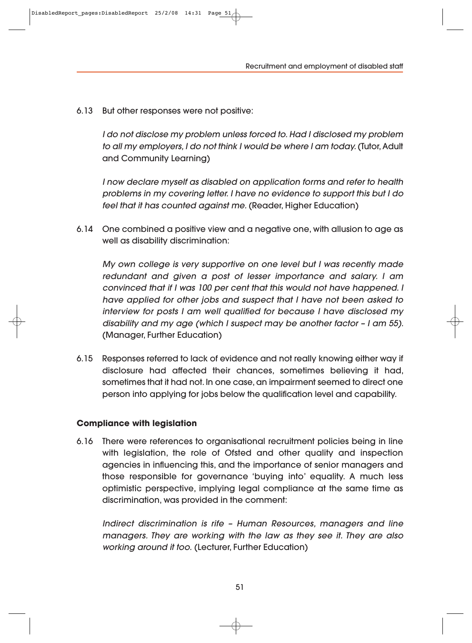6.13 But other responses were not positive:

I do not disclose my problem unless forced to. Had I disclosed my problem to all my employers, I do not think I would be where I am today. (Tutor, Adult and Community Learning)

I now declare myself as disabled on application forms and refer to health problems in my covering letter. I have no evidence to support this but I do feel that it has counted against me. (Reader, Higher Education)

6.14 One combined a positive view and a negative one, with allusion to age as well as disability discrimination:

My own college is very supportive on one level but I was recently made redundant and given a post of lesser importance and salary. I am convinced that if I was 100 per cent that this would not have happened. I have applied for other jobs and suspect that I have not been asked to interview for posts I am well qualified for because I have disclosed my disability and my age (which I suspect may be another factor – I am 55). (Manager, Further Education)

6.15 Responses referred to lack of evidence and not really knowing either way if disclosure had affected their chances, sometimes believing it had, sometimes that it had not. In one case, an impairment seemed to direct one person into applying for jobs below the qualification level and capability.

#### **Compliance with legislation**

6.16 There were references to organisational recruitment policies being in line with legislation, the role of Ofsted and other quality and inspection agencies in influencing this, and the importance of senior managers and those responsible for governance 'buying into' equality. A much less optimistic perspective, implying legal compliance at the same time as discrimination, was provided in the comment:

Indirect discrimination is rife – Human Resources, managers and line managers. They are working with the law as they see it. They are also working around it too. (Lecturer, Further Education)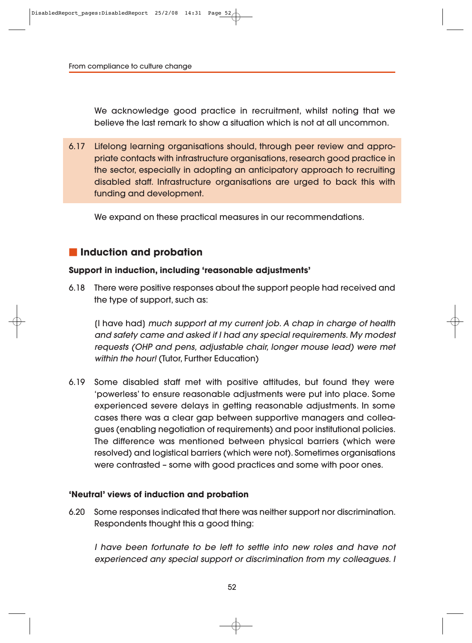We acknowledge good practice in recruitment, whilst noting that we believe the last remark to show a situation which is not at all uncommon.

6.17 Lifelong learning organisations should, through peer review and appropriate contacts with infrastructure organisations, research good practice in the sector, especially in adopting an anticipatory approach to recruiting disabled staff. Infrastructure organisations are urged to back this with funding and development.

We expand on these practical measures in our recommendations.

## **Induction and probation**

### **Support in induction, including 'reasonable adjustments'**

6.18 There were positive responses about the support people had received and the type of support, such as:

[I have had] much support at my current job. A chap in charge of health and safety came and asked if I had any special requirements. My modest requests (OHP and pens, adjustable chair, longer mouse lead) were met within the hour! (Tutor, Further Education)

6.19 Some disabled staff met with positive attitudes, but found they were 'powerless' to ensure reasonable adjustments were put into place. Some experienced severe delays in getting reasonable adjustments. In some cases there was a clear gap between supportive managers and colleagues (enabling negotiation of requirements) and poor institutional policies. The difference was mentioned between physical barriers (which were resolved) and logistical barriers (which were not). Sometimes organisations were contrasted – some with good practices and some with poor ones.

#### **'Neutral' views of induction and probation**

6.20 Some responses indicated that there was neither support nor discrimination. Respondents thought this a good thing:

I have been fortunate to be left to settle into new roles and have not experienced any special support or discrimination from my colleagues. I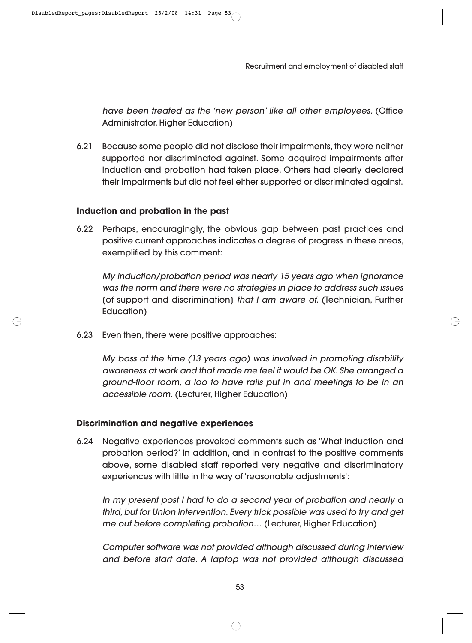Recruitment and employment of disabled staff

have been treated as the 'new person' like all other employees. (Office Administrator, Higher Education)

6.21 Because some people did not disclose their impairments, they were neither supported nor discriminated against. Some acquired impairments after induction and probation had taken place. Others had clearly declared their impairments but did not feel either supported or discriminated against.

#### **Induction and probation in the past**

6.22 Perhaps, encouragingly, the obvious gap between past practices and positive current approaches indicates a degree of progress in these areas, exemplified by this comment:

My induction/probation period was nearly 15 years ago when ignorance was the norm and there were no strategies in place to address such issues [of support and discrimination] that I am aware of. (Technician, Further Education)

6.23 Even then, there were positive approaches:

My boss at the time (13 years ago) was involved in promoting disability awareness at work and that made me feel it would be OK. She arranged a ground-floor room, a loo to have rails put in and meetings to be in an accessible room. (Lecturer, Higher Education)

#### **Discrimination and negative experiences**

6.24 Negative experiences provoked comments such as 'What induction and probation period?' In addition, and in contrast to the positive comments above, some disabled staff reported very negative and discriminatory experiences with little in the way of 'reasonable adjustments':

In my present post I had to do a second year of probation and nearly a third, but for Union intervention. Every trick possible was used to try and get me out before completing probation… (Lecturer, Higher Education)

Computer software was not provided although discussed during interview and before start date. A laptop was not provided although discussed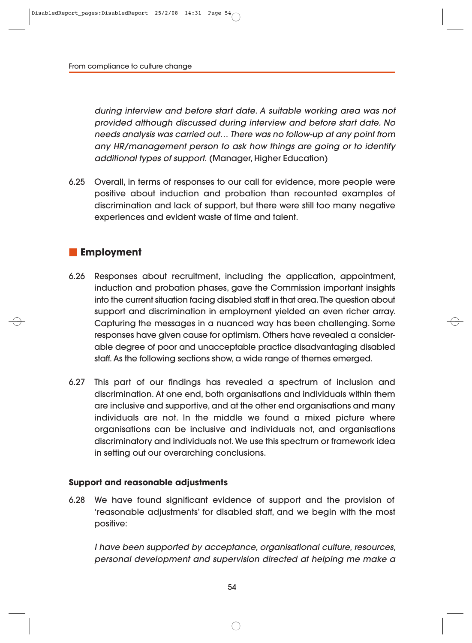during interview and before start date. A suitable working area was not provided although discussed during interview and before start date. No needs analysis was carried out… There was no follow-up at any point from any HR/management person to ask how things are going or to identify additional types of support. (Manager, Higher Education)

6.25 Overall, in terms of responses to our call for evidence, more people were positive about induction and probation than recounted examples of discrimination and lack of support, but there were still too many negative experiences and evident waste of time and talent.

## **Employment**

- 6.26 Responses about recruitment, including the application, appointment, induction and probation phases, gave the Commission important insights into the current situation facing disabled staff in that area. The question about support and discrimination in employment yielded an even richer array. Capturing the messages in a nuanced way has been challenging. Some responses have given cause for optimism. Others have revealed a considerable degree of poor and unacceptable practice disadvantaging disabled staff. As the following sections show, a wide range of themes emerged.
- 6.27 This part of our findings has revealed a spectrum of inclusion and discrimination. At one end, both organisations and individuals within them are inclusive and supportive, and at the other end organisations and many individuals are not. In the middle we found a mixed picture where organisations can be inclusive and individuals not, and organisations discriminatory and individuals not. We use this spectrum or framework idea in setting out our overarching conclusions.

#### **Support and reasonable adjustments**

6.28 We have found significant evidence of support and the provision of 'reasonable adjustments' for disabled staff, and we begin with the most positive:

I have been supported by acceptance, organisational culture, resources, personal development and supervision directed at helping me make a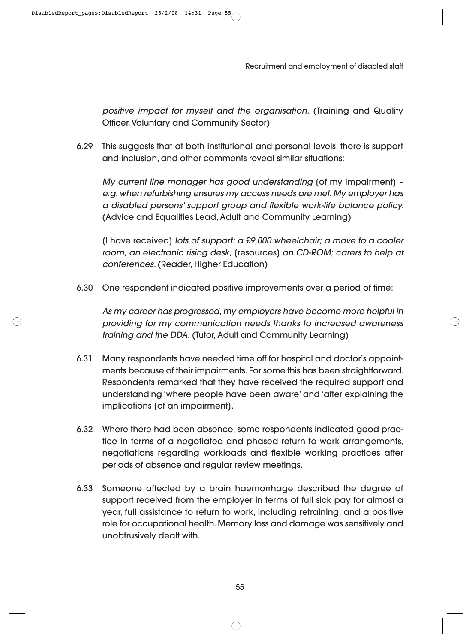Recruitment and employment of disabled staff

positive impact for myself and the organisation. (Training and Quality Officer, Voluntary and Community Sector)

6.29 This suggests that at both institutional and personal levels, there is support and inclusion, and other comments reveal similar situations:

My current line manager has good understanding [of my impairment] – e.g. when refurbishing ensures my access needs are met. My employer has a disabled persons' support group and flexible work-life balance policy. (Advice and Equalities Lead, Adult and Community Learning)

[I have received] lots of support: a £9,000 wheelchair; a move to a cooler room; an electronic rising desk; [resources] on CD-ROM; carers to help at conferences. (Reader, Higher Education)

6.30 One respondent indicated positive improvements over a period of time:

As my career has progressed, my employers have become more helpful in providing for my communication needs thanks to increased awareness training and the DDA. (Tutor, Adult and Community Learning)

- 6.31 Many respondents have needed time off for hospital and doctor's appointments because of their impairments. For some this has been straightforward. Respondents remarked that they have received the required support and understanding 'where people have been aware' and 'after explaining the implications [of an impairment].'
- 6.32 Where there had been absence, some respondents indicated good practice in terms of a negotiated and phased return to work arrangements, negotiations regarding workloads and flexible working practices after periods of absence and regular review meetings.
- 6.33 Someone affected by a brain haemorrhage described the degree of support received from the employer in terms of full sick pay for almost a year, full assistance to return to work, including retraining, and a positive role for occupational health. Memory loss and damage was sensitively and unobtrusively dealt with.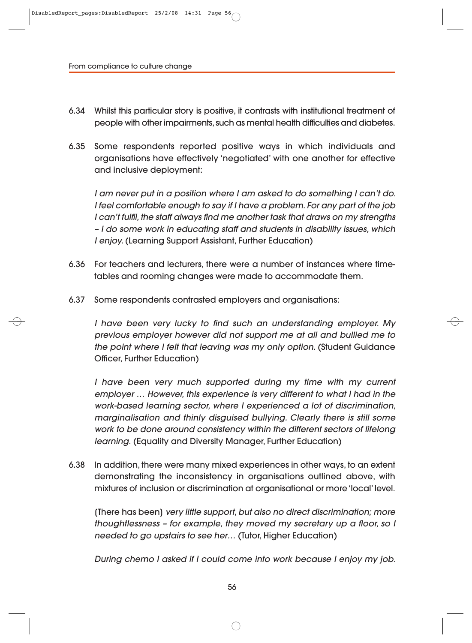- 6.34 Whilst this particular story is positive, it contrasts with institutional treatment of people with other impairments, such as mental health difficulties and diabetes.
- 6.35 Some respondents reported positive ways in which individuals and organisations have effectively 'negotiated' with one another for effective and inclusive deployment:

I am never put in a position where I am asked to do something I can't do. I feel comfortable enough to say if I have a problem. For any part of the job I can't fulfil, the staff always find me another task that draws on my strengths – I do some work in educating staff and students in disability issues, which I enjoy. (Learning Support Assistant, Further Education)

- 6.36 For teachers and lecturers, there were a number of instances where time tables and rooming changes were made to accommodate them.
- 6.37 Some respondents contrasted employers and organisations:

I have been very lucky to find such an understanding employer. My previous employer however did not support me at all and bullied me to the point where I felt that leaving was my only option. (Student Guidance Officer, Further Education)

I have been very much supported during my time with my current employer … However, this experience is very different to what I had in the work-based learning sector, where I experienced a lot of discrimination, marginalisation and thinly disguised bullying. Clearly there is still some work to be done around consistency within the different sectors of lifelong learning. (Equality and Diversity Manager, Further Education)

6.38 In addition, there were many mixed experiences in other ways, to an extent demonstrating the inconsistency in organisations outlined above, with mixtures of inclusion or discrimination at organisational or more 'local' level.

[There has been] very little support, but also no direct discrimination; more thoughtlessness – for example, they moved my secretary up a floor, so I needed to go upstairs to see her… (Tutor, Higher Education)

During chemo I asked if I could come into work because I enjoy my job.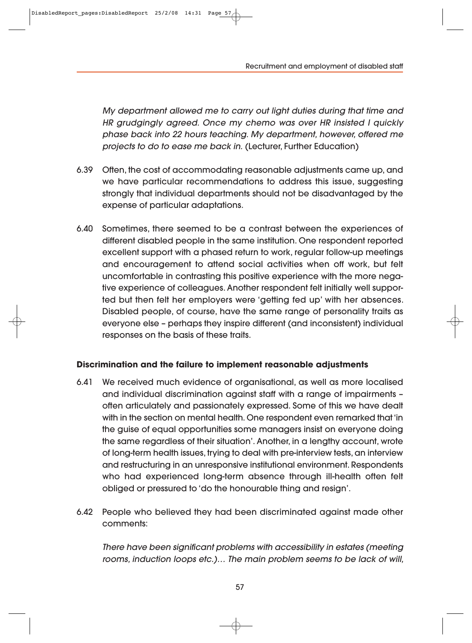Recruitment and employment of disabled staff

My department allowed me to carry out light duties during that time and HR grudgingly agreed. Once my chemo was over HR insisted I quickly phase back into 22 hours teaching. My department, however, offered me projects to do to ease me back in. (Lecturer, Further Education)

- 6.39 Often, the cost of accommodating reasonable adjustments came up, and we have particular recommendations to address this issue, suggesting strongly that individual departments should not be disadvantaged by the expense of particular adaptations.
- 6.40 Sometimes, there seemed to be a contrast between the experiences of different disabled people in the same institution. One respondent reported excellent support with a phased return to work, regular follow-up meetings and encouragement to attend social activities when off work, but felt uncomfortable in contrasting this positive experience with the more negative experience of colleagues. Another respondent felt initially well supported but then felt her employers were 'getting fed up' with her absences. Disabled people, of course, have the same range of personality traits as everyone else – perhaps they inspire different (and inconsistent) individual responses on the basis of these traits.

### **Discrimination and the failure to implement reasonable adjustments**

- 6.41 We received much evidence of organisational, as well as more localised and individual discrimination against staff with a range of impairments – often articulately and passionately expressed. Some of this we have dealt with in the section on mental health. One respondent even remarked that 'in the guise of equal opportunities some managers insist on everyone doing the same regardless of their situation'. Another, in a lengthy account, wrote of long-term health issues, trying to deal with pre-interview tests, an interview and restructuring in an unresponsive institutional environment. Respondents who had experienced long-term absence through ill-health often felt obliged or pressured to 'do the honourable thing and resign'.
- 6.42 People who believed they had been discriminated against made other comments:

There have been significant problems with accessibility in estates (meeting rooms, induction loops etc.)… The main problem seems to be lack of will,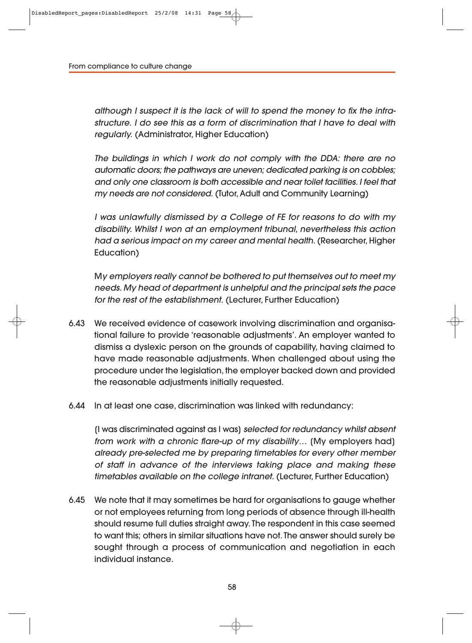although I suspect it is the lack of will to spend the money to fix the infrastructure. I do see this as a form of discrimination that I have to deal with regularly. (Administrator, Higher Education)

The buildings in which I work do not comply with the DDA: there are no automatic doors; the pathways are uneven; dedicated parking is on cobbles; and only one classroom is both accessible and near toilet facilities. I feel that my needs are not considered. (Tutor, Adult and Community Learning)

I was unlawfully dismissed by a College of FE for reasons to do with my dis ability. Whilst I won at an employment tribunal, nevertheless this action had a serious impact on my career and mental health. (Researcher, Higher Education)

My employers really cannot be bothered to put themselves out to meet my needs. My head of department is unhelpful and the principal sets the pace for the rest of the establishment. (Lecturer, Further Education)

- 6.43 We received evidence of casework involving discrimination and organisa tional failure to provide 'reasonable adjustments'. An employer wanted to dismiss a dyslexic person on the grounds of capability, having claimed to have made reasonable adjustments. When challenged about using the procedure under the legislation, the employer backed down and provided the reasonable adjustments initially requested.
- 6.44 In at least one case, discrimination was linked with redundancy:

[I was discriminated against as I was] selected for redundancy whilst absent from work with a chronic flare-up of my disability… [My employers had] already pre-selected me by preparing timetables for every other member of staff in advance of the interviews taking place and making these timetables available on the college intranet. (Lecturer, Further Education)

6.45 We note that it may sometimes be hard for organisations to gauge whether or not employees returning from long periods of absence through ill-health should resume full duties straight away. The respondent in this case seemed to want this; others in similar situations have not. The answer should surely be sought through a process of communication and negotiation in each individual instance.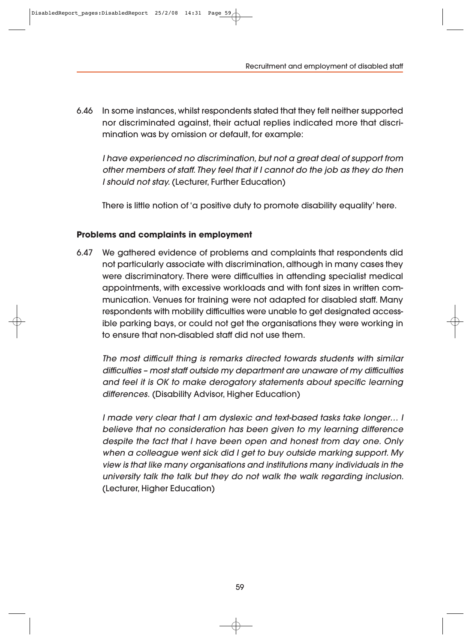Recruitment and employment of disabled staff

6.46 In some instances, whilst respondents stated that they felt neither supported nor discriminated against, their actual replies indicated more that discrimination was by omission or default, for example:

I have experienced no discrimination, but not a great deal of support from other members of staff. They feel that if I cannot do the job as they do then I should not stay. (Lecturer, Further Education)

There is little notion of 'a positive duty to promote disability equality' here.

#### **Problems and complaints in employment**

6.47 We gathered evidence of problems and complaints that respondents did not particularly associate with discrimination, although in many cases they were discriminatory. There were difficulties in attending specialist medical appointments, with excessive workloads and with font sizes in written com munication. Venues for training were not adapted for disabled staff. Many respondents with mobility difficulties were unable to get designated accessible parking bays, or could not get the organisations they were working in to ensure that non-disabled staff did not use them.

The most difficult thing is remarks directed towards students with similar difficulties – most staff outside my department are unaware of my difficulties and feel it is OK to make derogatory statements about specific learning differences. (Disability Advisor, Higher Education)

I made very clear that I am dyslexic and text-based tasks take longer… I believe that no consideration has been given to my learning difference despite the fact that I have been open and honest from day one. Only when a colleague went sick did I get to buy outside marking support. My view is that like many organisations and institutions many individuals in the university talk the talk but they do not walk the walk regarding inclusion. (Lecturer, Higher Education)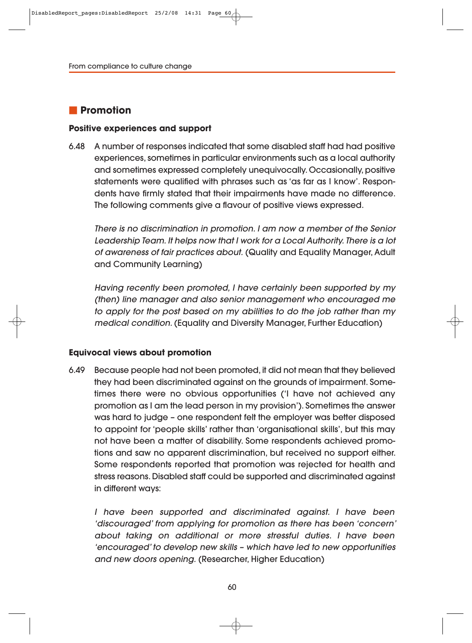# **Promotion**

#### **Positive experiences and support**

6.48 A number of responses indicated that some disabled staff had had positive experiences, sometimes in particular environments such as a local authority and sometimes expressed completely unequivocally. Occasionally, positive statements were qualified with phrases such as 'as far as I know'. Respondents have firmly stated that their impairments have made no difference. The following comments give a flavour of positive views expressed.

There is no discrimination in promotion. I am now a member of the Senior Leadership Team. It helps now that I work for a Local Authority. There is a lot of awareness of fair practices about. (Quality and Equality Manager, Adult and Community Learning)

Having recently been promoted, I have certainly been supported by my (then) line manager and also senior management who encouraged me to apply for the post based on my abilities to do the job rather than my medical condition. (Equality and Diversity Manager, Further Education)

#### **Equivocal views about promotion**

6.49 Because people had not been promoted, it did not mean that they believed they had been discriminated against on the grounds of impairment. Some times there were no obvious opportunities ('I have not achieved any promotion as I am the lead person in my provision'). Sometimes the answer was hard to judge – one respondent felt the employer was better disposed to appoint for 'people skills' rather than 'organisational skills', but this may not have been a matter of disability. Some respondents achieved promotions and saw no apparent discrimination, but received no support either. Some respondents reported that promotion was rejected for health and stress reasons. Disabled staff could be supported and discriminated against in different ways:

I have been supported and discriminated against. I have been 'discouraged' from applying for promotion as there has been 'concern' about taking on additional or more stressful duties. I have been 'encouraged' to develop new skills – which have led to new opportunities and new doors opening. (Researcher, Higher Education)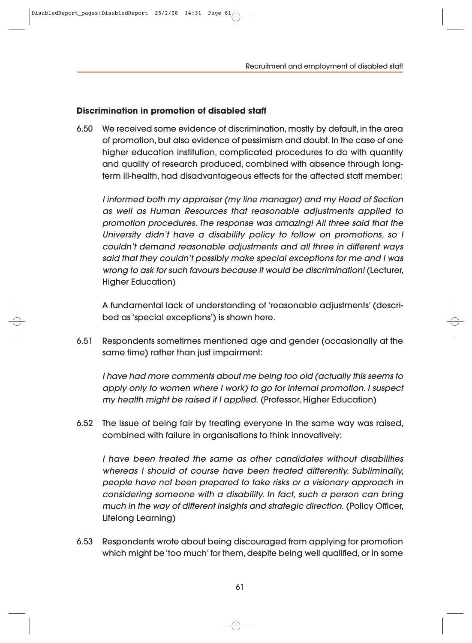Recruitment and employment of disabled staff

#### **Discrimination in promotion of disabled staff**

6.50 We received some evidence of discrimination, mostly by default, in the area of promotion, but also evidence of pessimism and doubt. In the case of one higher education institution, complicated procedures to do with quantity and quality of research produced, combined with absence through longterm ill-health, had disadvantageous effects for the affected staff member:

I informed both my appraiser (my line manager) and my Head of Section as well as Human Resources that reasonable adjustments applied to promotion procedures. The response was amazing! All three said that the University didn't have a disability policy to follow on promotions, so I couldn't demand reasonable adjustments and all three in different ways said that they couldn't possibly make special exceptions for me and I was wrong to ask for such favours because it would be discrimination! (Lecturer, Higher Education)

A fundamental lack of understanding of 'reasonable adjustments' (descri bed as 'special exceptions') is shown here.

6.51 Respondents sometimes mentioned age and gender (occasionally at the same time) rather than just impairment:

I have had more comments about me being too old (actually this seems to apply only to women where I work) to go for internal promotion. I suspect my health might be raised if I applied. (Professor, Higher Education)

6.52 The issue of being fair by treating everyone in the same way was raised, combined with failure in organisations to think innovatively:

I have been treated the same as other candidates without disabilities whereas I should of course have been treated differently. Subliminally, people have not been prepared to take risks or a visionary approach in considering someone with a disability. In fact, such a person can bring much in the way of different insights and strategic direction. (Policy Officer, Lifelong Learning)

6.53 Respondents wrote about being discouraged from applying for promotion which might be 'too much' for them, despite being well qualified, or in some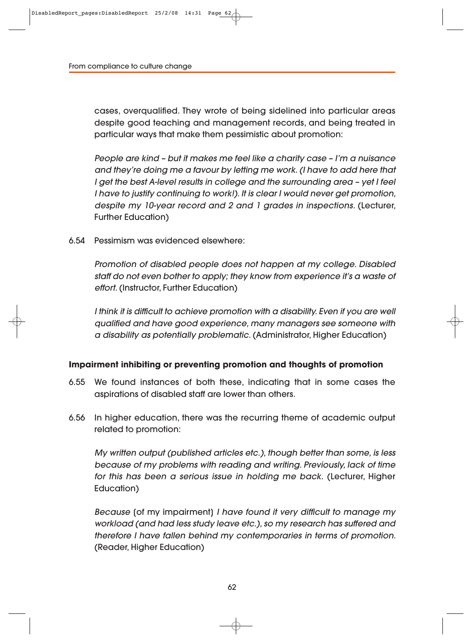cases, overqualified. They wrote of being sidelined into particular areas despite good teaching and management records, and being treated in particular ways that make them pessimistic about promotion:

People are kind – but it makes me feel like a charity case – I'm a nuisance and they're doing me a favour by letting me work. (I have to add here that I get the best A-level results in college and the surrounding area – yet I feel I have to justify continuing to work!). It is clear I would never get promotion, despite my 10-year record and 2 and 1 grades in inspections. (Lecturer, Further Education)

6.54 Pessimism was evidenced elsewhere:

Promotion of disabled people does not happen at my college. Disabled staff do not even bother to apply; they know from experience it's a waste of effort. (Instructor, Further Education)

I think it is difficult to achieve promotion with a disability. Even if you are well qualified and have good experience, many managers see someone with a disability as potentially problematic. (Administrator, Higher Education)

#### **Impairment inhibiting or preventing promotion and thoughts of promotion**

- 6.55 We found instances of both these, indicating that in some cases the aspirations of disabled staff are lower than others.
- 6.56 In higher education, there was the recurring theme of academic output related to promotion:

My written output (published articles etc.), though better than some, is less because of my problems with reading and writing. Previously, lack of time for this has been a serious issue in holding me back. (Lecturer, Higher Education)

Because [of my impairment] I have found it very difficult to manage my workload (and had less study leave etc.), so my research has suffered and therefore I have fallen behind my contemporaries in terms of promotion. (Reader, Higher Education)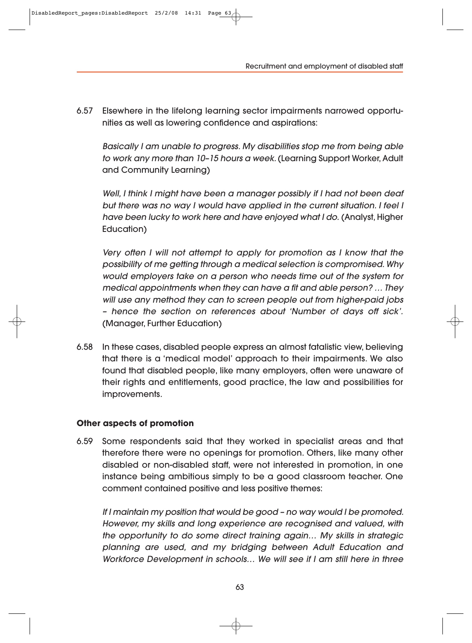Recruitment and employment of disabled staff

6.57 Elsewhere in the lifelong learning sector impairments narrowed opportunities as well as lowering confidence and aspirations:

Basically I am unable to progress. My disabilities stop me from being able to work any more than 10–15 hours a week. (Learning Support Worker, Adult and Community Learning)

Well, I think I might have been a manager possibly if I had not been deaf but there was no way I would have applied in the current situation. I feel I have been lucky to work here and have enjoyed what I do. (Analyst, Higher Education)

Very often I will not attempt to apply for promotion as I know that the possibility of me getting through a medical selection is compromised. Why would employers take on a person who needs time out of the system for medical appointments when they can have a fit and able person? … They will use any method they can to screen people out from higher-paid jobs – hence the section on references about 'Number of days off sick'. (Manager, Further Education)

6.58 In these cases, disabled people express an almost fatalistic view, believing that there is a 'medical model' approach to their impairments. We also found that disabled people, like many employers, often were unaware of their rights and entitlements, good practice, the law and possibilities for improvements.

#### **Other aspects of promotion**

6.59 Some respondents said that they worked in specialist areas and that therefore there were no openings for promotion. Others, like many other disabled or non-disabled staff, were not interested in promotion, in one instance being ambitious simply to be a good classroom teacher. One comment contained positive and less positive themes:

If I maintain my position that would be good – no way would I be promoted. However, my skills and long experience are recognised and valued, with the opportunity to do some direct training again… My skills in strategic planning are used, and my bridging between Adult Education and Workforce Development in schools… We will see if I am still here in three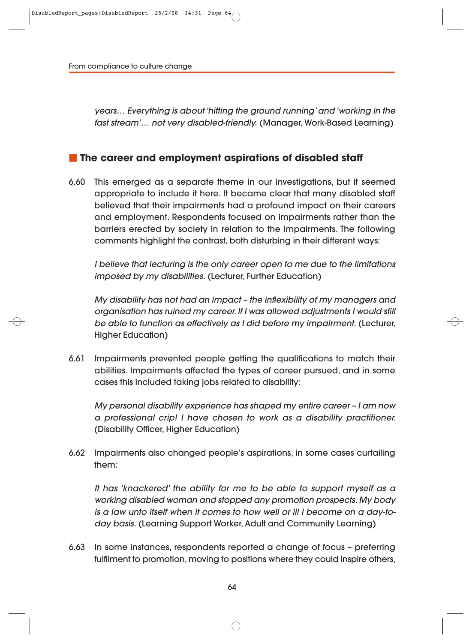years… Everything is about 'hitting the ground running' and 'working in the fast stream'… not very disabled-friendly. (Manager, Work-Based Learning)

#### **The career and employment aspirations of disabled staff**

6.60 This emerged as a separate theme in our investigations, but it seemed appropriate to include it here. It became clear that many disabled staff believed that their impairments had a profound impact on their careers and employment. Respondents focused on impairments rather than the barriers erected by society in relation to the impairments. The following comments highlight the contrast, both disturbing in their different ways:

I believe that lecturing is the only career open to me due to the limitations imposed by my disabilities. (Lecturer, Further Education)

My disability has not had an impact – the inflexibility of my managers and organisation has ruined my career. If I was allowed adjustments I would still be able to function as effectively as I did before my impairment. (Lecturer, Higher Education)

6.61 Impairments prevented people getting the qualifications to match their abilities. Impairments affected the types of career pursued, and in some cases this included taking jobs related to disability:

My personal disability experience has shaped my entire career – I am now a professional crip! I have chosen to work as a disability practitioner. (Disability Officer, Higher Education)

6.62 Impairments also changed people's aspirations, in some cases curtailing them:

It has 'knackered' the ability for me to be able to support myself as a working disabled woman and stopped any promotion prospects. My body is a law unto itself when it comes to how well or ill I become on a day-today basis. (Learning Support Worker, Adult and Community Learning)

6.63 In some instances, respondents reported a change of focus – preferring fulfilment to promotion, moving to positions where they could inspire others,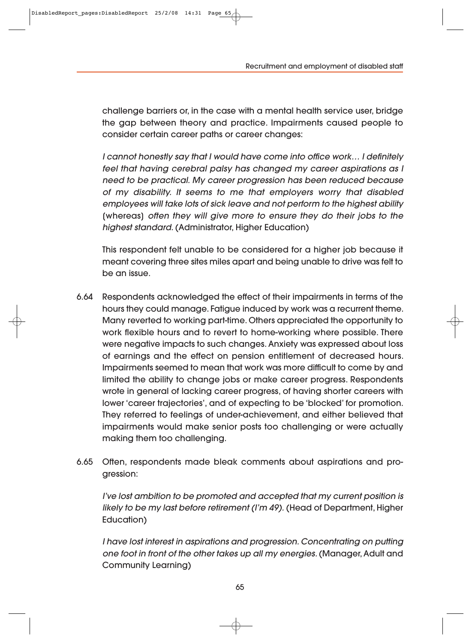challenge barriers or, in the case with a mental health service user, bridge the gap between theory and practice. Impairments caused people to consider certain career paths or career changes:

I cannot honestly say that I would have come into office work… I definitely feel that having cerebral palsy has changed my career aspirations as I need to be practical. My career progression has been reduced because of my disability. It seems to me that employers worry that disabled employees will take lots of sick leave and not perform to the highest ability [whereas] often they will give more to ensure they do their jobs to the highest standard. (Administrator, Higher Education)

This respondent felt unable to be considered for a higher job because it meant covering three sites miles apart and being unable to drive was felt to be an issue.

- 6.64 Respondents acknowledged the effect of their impairments in terms of the hours they could manage. Fatigue induced by work was a recurrent theme. Many reverted to working part-time. Others appreciated the opportunity to work flexible hours and to revert to home-working where possible. There were negative impacts to such changes. Anxiety was expressed about loss of earnings and the effect on pension entitlement of decreased hours. Impairments seemed to mean that work was more difficult to come by and limited the ability to change jobs or make career progress. Respondents wrote in general of lacking career progress, of having shorter careers with lower 'career trajectories', and of expecting to be 'blocked' for promotion. They referred to feelings of under-achievement, and either believed that impairments would make senior posts too challenging or were actually making them too challenging.
- 6.65 Often, respondents made bleak comments about aspirations and progression:

I've lost ambition to be promoted and accepted that my current position is likely to be my last before retirement (I'm 49). (Head of Department, Higher Education)

I have lost interest in aspirations and progression. Concentrating on putting one foot in front of the other takes up all my energies. (Manager, Adult and Community Learning)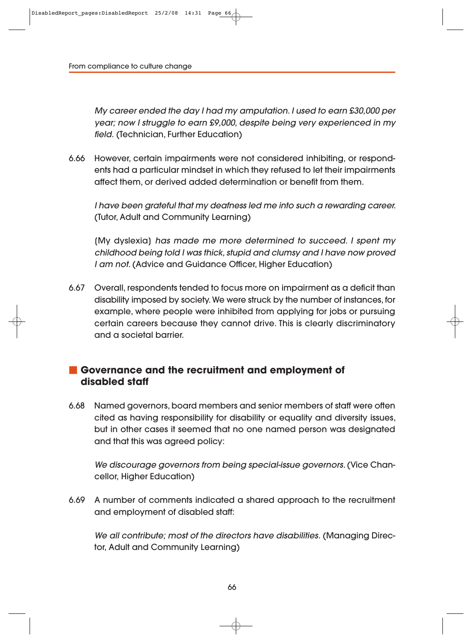My career ended the day I had my amputation. I used to earn £30,000 per year; now I struggle to earn £9,000, despite being very experienced in my field. (Technician, Further Education)

6.66 However, certain impairments were not considered inhibiting, or respond ents had a particular mindset in which they refused to let their impairments affect them, or derived added determination or benefit from them.

I have been grateful that my deafness led me into such a rewarding career. (Tutor, Adult and Community Learning)

[My dyslexia] has made me more determined to succeed. I spent my childhood being told I was thick, stupid and clumsy and I have now proved I am not. (Advice and Guidance Officer, Higher Education)

6.67 Overall, respondents tended to focus more on impairment as a deficit than disability imposed by society. We were struck by the number of instances, for example, where people were inhibited from applying for jobs or pursuing certain careers because they cannot drive. This is clearly discriminatory and a societal barrier.

# **Governance and the recruitment and employment of disabled staff**

6.68 Named governors, board members and senior members of staff were often cited as having responsibility for disability or equality and diversity issues, but in other cases it seemed that no one named person was designated and that this was agreed policy:

We discourage governors from being special-issue governors. (Vice Chancellor, Higher Education)

6.69 A number of comments indicated a shared approach to the recruitment and employment of disabled staff:

We all contribute; most of the directors have disabilities. (Managing Director, Adult and Community Learning)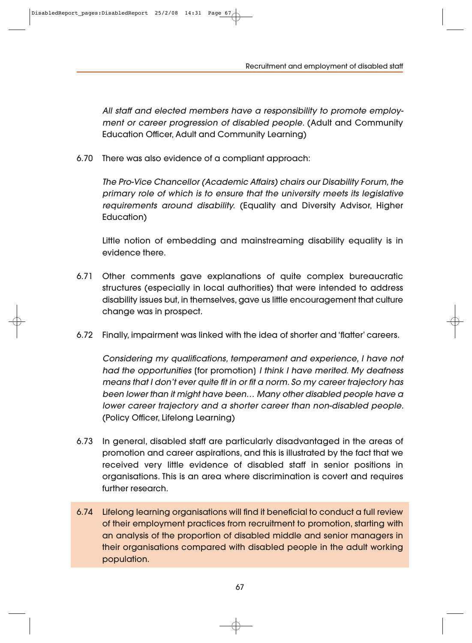Recruitment and employment of disabled staff

All staff and elected members have a responsibility to promote employment or career progression of disabled people. (Adult and Community Education Officer, Adult and Community Learning)

6.70 There was also evidence of a compliant approach:

The Pro-Vice Chancellor (Academic Affairs) chairs our Disability Forum, the primary role of which is to ensure that the university meets its legislative requirements around disability. (Equality and Diversity Advisor, Higher Education)

Little notion of embedding and mainstreaming disability equality is in evidence there.

- 6.71 Other comments gave explanations of quite complex bureaucratic structures (especially in local authorities) that were intended to address disability issues but, in themselves, gave us little encouragement that culture change was in prospect.
- 6.72 Finally, impairment was linked with the idea of shorter and 'flatter' careers.

Considering my qualifications, temperament and experience, I have not had the opportunities [for promotion] I think I have merited. My deafness means that I don't ever quite fit in or fit a norm. So my career trajectory has been lower than it might have been… Many other disabled people have a lower career trajectory and a shorter career than non-disabled people. (Policy Officer, Lifelong Learning)

- 6.73 In general, disabled staff are particularly disadvantaged in the areas of promotion and career aspirations, and this is illustrated by the fact that we received very little evidence of disabled staff in senior positions in organisations. This is an area where discrimination is covert and requires further research.
- 6.74 Lifelong learning organisations will find it beneficial to conduct a full review of their employment practices from recruitment to promotion, starting with an analysis of the proportion of disabled middle and senior managers in their organisations compared with disabled people in the adult working population.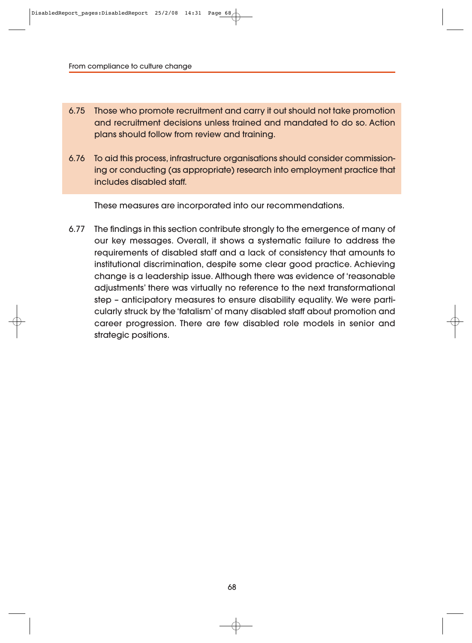- 6.75 Those who promote recruitment and carry it out should not take promotion and recruitment decisions unless trained and mandated to do so. Action plans should follow from review and training.
- 6.76 To aid this process, infrastructure organisations should consider commissioning or conducting (as appropriate) research into employment practice that includes disabled staff.

These measures are incorporated into our recommendations.

6.77 The findings in this section contribute strongly to the emergence of many of our key messages. Overall, it shows a systematic failure to address the requirements of disabled staff and a lack of consistency that amounts to institutional discrimination, despite some clear good practice. Achieving change is a leadership issue. Although there was evidence of 'reasonable adjustments' there was virtually no reference to the next transformational step - anticipatory measures to ensure disability equality. We were particularly struck by the 'fatalism' of many disabled staff about promotion and career progression. There are few disabled role models in senior and strategic positions.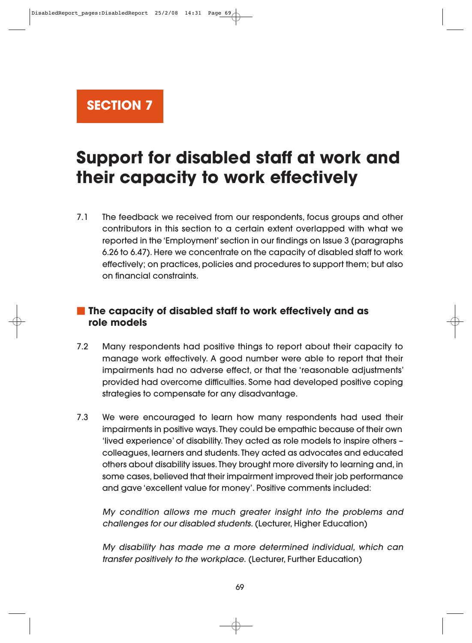**SECTION 7**

# **Support for disabled staff at work and their capacity to work effectively**

7.1 The feedback we received from our respondents, focus groups and other contributors in this section to a certain extent overlapped with what we reported in the 'Employment' section in our findings on Issue 3 (paragraphs 6.26 to 6.47). Here we concentrate on the capacity of disabled staff to work effectively; on practices, policies and procedures to support them; but also on financial constraints.

# **The capacity of disabled staff to work effectively and as role models**

- 7.2 Many respondents had positive things to report about their capacity to manage work effectively. A good number were able to report that their impairments had no adverse effect, or that the 'reasonable adjustments' provided had overcome difficulties. Some had developed positive coping strategies to compensate for any disadvantage.
- 7.3 We were encouraged to learn how many respondents had used their impairments in positive ways. They could be empathic because of their own 'lived experience' of disability. They acted as role models to inspire others – colleagues, learners and students. They acted as advocates and educated others about disability issues. They brought more diversity to learning and, in some cases, believed that their impairment improved their job performance and gave 'excellent value for money'. Positive comments included:

My condition allows me much greater insight into the problems and challenges for our disabled students. (Lecturer, Higher Education)

My disability has made me a more determined individual, which can transfer positively to the workplace. (Lecturer, Further Education)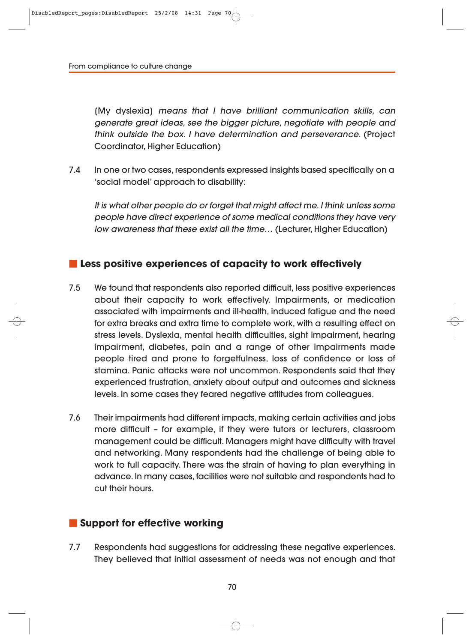[My dyslexia] means that I have brilliant communication skills, can generate great ideas, see the bigger picture, negotiate with people and think outside the box. I have determination and perseverance. (Project Coordinator, Higher Education)

7.4 In one or two cases, respondents expressed insights based specifically on a 'social model' approach to disability:

It is what other people do or forget that might affect me. I think unless some people have direct experience of some medical conditions they have very low awareness that these exist all the time… (Lecturer, Higher Education)

#### **Less positive experiences of capacity to work effectively**

- 7.5 We found that respondents also reported difficult, less positive experiences about their capacity to work effectively. Impairments, or medication associated with impairments and ill-health, induced fatigue and the need for extra breaks and extra time to complete work, with a resulting effect on stress levels. Dyslexia, mental health difficulties, sight impairment, hearing impairment, diabetes, pain and a range of other impairments made people tired and prone to forgetfulness, loss of confidence or loss of stamina. Panic attacks were not uncommon. Respondents said that they experienced frustration, anxiety about output and outcomes and sickness levels. In some cases they feared negative attitudes from colleagues.
- 7.6 Their impairments had different impacts, making certain activities and jobs more difficult – for example, if they were tutors or lecturers, classroom management could be difficult. Managers might have difficulty with travel and networking. Many respondents had the challenge of being able to work to full capacity. There was the strain of having to plan everything in advance. In many cases, facilities were not suitable and respondents had to cut their hours.

#### **Support for effective working**

7.7 Respondents had suggestions for addressing these negative experiences. They believed that initial assessment of needs was not enough and that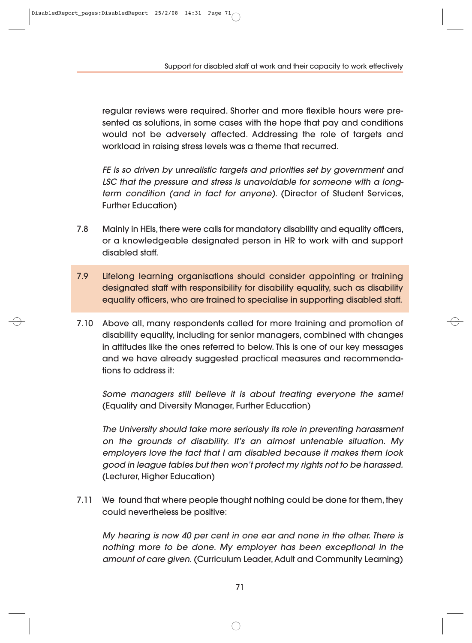Support for disabled staff at work and their capacity to work effectively

regular reviews were required. Shorter and more flexible hours were presented as solutions, in some cases with the hope that pay and conditions would not be adversely affected. Addressing the role of targets and workload in raising stress levels was a theme that recurred.

FE is so driven by unrealistic targets and priorities set by government and LSC that the pressure and stress is unavoidable for someone with a longterm condition (and in fact for anyone). (Director of Student Services, Further Education)

- 7.8 Mainly in HEIs, there were calls for mandatory disability and equality officers, or a knowledgeable designated person in HR to work with and support disabled staff.
- 7.9 Lifelong learning organisations should consider appointing or training designated staff with responsibility for disability equality, such as disability equality officers, who are trained to specialise in supporting disabled staff.
- 7.10 Above all, many respondents called for more training and promotion of disability equality, including for senior managers, combined with changes in attitudes like the ones referred to below. This is one of our key messages and we have already suggested practical measures and recommendations to address it:

Some managers still believe it is about treating everyone the same! (Equality and Diversity Manager, Further Education)

The University should take more seriously its role in preventing harassment on the grounds of disability. It's an almost untenable situation. My employers love the fact that I am disabled because it makes them look good in league tables but then won't protect my rights not to be harassed. (Lecturer, Higher Education)

7.11 We found that where people thought nothing could be done for them, they could nevertheless be positive:

My hearing is now 40 per cent in one ear and none in the other. There is nothing more to be done. My employer has been exceptional in the amount of care given. (Curriculum Leader, Adult and Community Learning)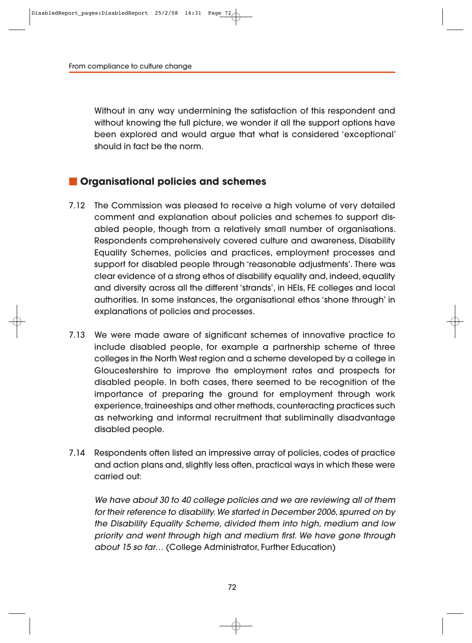Without in any way undermining the satisfaction of this respondent and without knowing the full picture, we wonder if all the support options have been explored and would argue that what is considered 'exceptional' should in fact be the norm.

### **Organisational policies and schemes**

- 7.12 The Commission was pleased to receive a high volume of very detailed comment and explanation about policies and schemes to support disabled people, though from a relatively small number of organisations. Respondents comprehensively covered culture and awareness, Disability Equality Schemes, policies and practices, employment processes and support for disabled people through 'reasonable adjustments'. There was clear evidence of a strong ethos of disability equality and, indeed, equality and diversity across all the different 'strands', in HEIs, FE colleges and local authorities. In some instances, the organisational ethos 'shone through' in explanations of policies and processes.
- 7.13 We were made aware of significant schemes of innovative practice to include disabled people, for example a partnership scheme of three colleges in the North West region and a scheme developed by a college in Gloucester shire to improve the employment rates and prospects for disabled people. In both cases, there seemed to be recognition of the importance of preparing the ground for employment through work experience, trainee ships and other methods, counteracting practices such as networking and informal recruitment that subliminally disadvantage disabled people.
- 7.14 Respondents often listed an impressive array of policies, codes of practice and action plans and, slightly less often, practical ways in which these were carried out:

We have about 30 to 40 college policies and we are reviewing all of them for their reference to disability. We started in December 2006, spurred on by the Disability Equality Scheme, divided them into high, medium and low priority and went through high and medium first. We have gone through about 15 so far… (College Administrator, Further Education)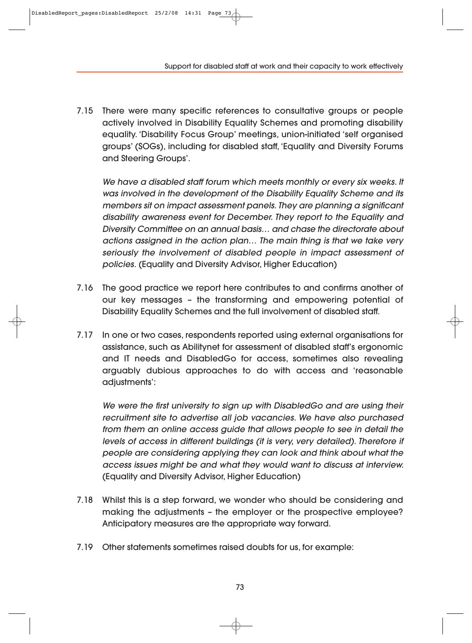Support for disabled staff at work and their capacity to work effectively

7.15 There were many specific references to consultative groups or people actively involved in Disability Equality Schemes and promoting disability equality. 'Disability Focus Group' meetings, union-initiated 'self organised groups' (SOGs), including for disabled staff, 'Equality and Diversity Forums and Steering Groups'.

We have a disabled staff forum which meets monthly or every six weeks. It was involved in the development of the Disability Equality Scheme and its members sit on impact assessment panels. They are planning a significant disability awareness event for December. They report to the Equality and Diversity Committee on an annual basis… and chase the directorate about actions assigned in the action plan… The main thing is that we take very seriously the involvement of disabled people in impact assessment of policies. (Equality and Diversity Advisor, Higher Education)

- 7.16 The good practice we report here contributes to and confirms another of our key messages – the transforming and empowering potential of Disability Equality Schemes and the full involvement of disabled staff.
- 7.17 In one or two cases, respondents reported using external organisations for assistance, such as Abilitynet for assessment of disabled staff's ergonomic and IT needs and DisabledGo for access, sometimes also revealing arguably dubious approaches to do with access and 'reasonable adjustments':

We were the first university to sign up with DisabledGo and are using their recruitment site to advertise all job vacancies. We have also purchased from them an online access guide that allows people to see in detail the levels of access in different buildings (it is very, very detailed). Therefore if people are considering applying they can look and think about what the access issues might be and what they would want to discuss at interview. (Equality and Diversity Advisor, Higher Education)

- 7.18 Whilst this is a step forward, we wonder who should be considering and making the adjustments – the employer or the prospective employee? Anticipatory measures are the appropriate way forward.
- 7.19 Other statements sometimes raised doubts for us, for example: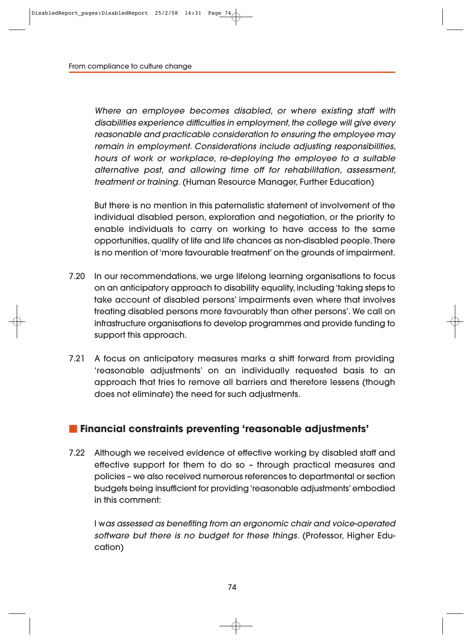Where an employee becomes disabled, or where existing staff with disabilities experience difficulties in employment, the college will give every reasonable and practicable consideration to ensuring the employee may remain in employment. Considerations include adjusting responsibilities, hours of work or workplace, re-deploying the employee to a suitable alternative post, and allowing time off for rehabilitation, assessment, treatment or training. (Human Resource Manager, Further Education)

But there is no mention in this paternalistic statement of involvement of the individual disabled person, exploration and negotiation, or the priority to enable individuals to carry on working to have access to the same opportunities, quality of life and life chances as non-disabled people. There is no mention of 'more favourable treatment' on the grounds of impairment.

- 7.20 In our recommendations, we urge lifelong learning organisations to focus on an anticipatory approach to disability equality, including 'taking steps to take account of disabled persons' impairments even where that involves treating disabled persons more favourably than other persons'. We call on infrastructure organisations to develop programmes and provide funding to support this approach.
- 7.21 A focus on anticipatory measures marks a shift forward from providing 'reasonable adjustments' on an individually requested basis to an approach that tries to remove all barriers and therefore lessens (though does not eliminate) the need for such adjustments.

#### **Financial constraints preventing 'reasonable adjustments'**

7.22 Although we received evidence of effective working by disabled staff and effective support for them to do so – through practical measures and policies – we also received numerous references to departmental or section budgets being insufficient for providing 'reasonable adjustments' embodied in this comment:

I was assessed as benefiting from an ergonomic chair and voice-operated software but there is no budget for these things. (Professor, Higher Education)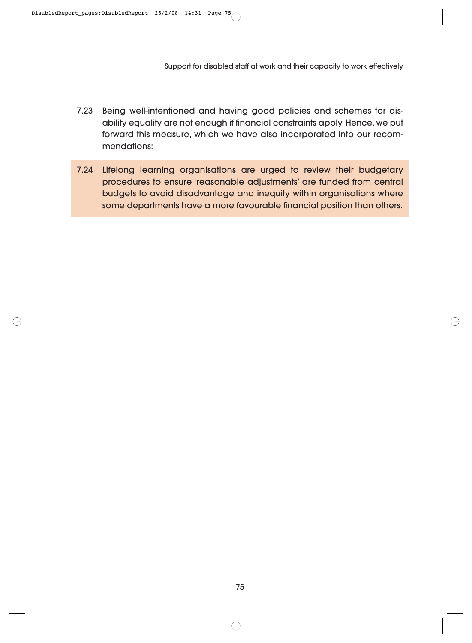Support for disabled staff at work and their capacity to work effectively

- 7.23 Being well-intentioned and having good policies and schemes for disability equality are not enough if financial constraints apply. Hence, we put forward this measure, which we have also incorporated into our recommendations:
- 7.24 Lifelong learning organisations are urged to review their budgetary procedures to ensure 'reasonable adjustments' are funded from central budgets to avoid disadvantage and inequity within organisations where some departments have a more favourable financial position than others.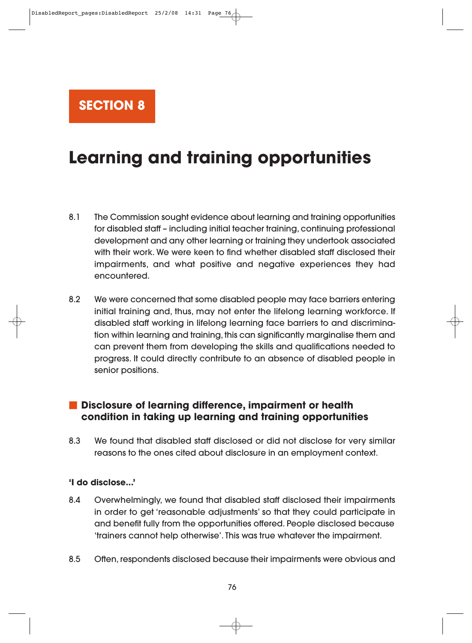# **SECTION 8**

# **Learning and training opportunities**

- 8.1 The Commission sought evidence about learning and training opportunities for disabled staff – including initial teacher training, continuing professional development and any other learning or training they undertook associated with their work. We were keen to find whether disabled staff disclosed their impairments, and what positive and negative experiences they had encountered.
- 8.2 We were concerned that some disabled people may face barriers entering initial training and, thus, may not enter the lifelong learning workforce. If disabled staff working in lifelong learning face barriers to and discrimina tion within learning and training, this can significantly marginalise them and can prevent them from developing the skills and qualifications needed to progress. It could directly contribute to an absence of disabled people in senior positions.

### **Disclosure of learning difference, impairment or health condition in taking up learning and training opportunities**

8.3 We found that disabled staff disclosed or did not disclose for very similar reasons to the ones cited about disclosure in an employment context.

#### **'I do disclose...'**

- 8.4 Overwhelmingly, we found that disabled staff disclosed their impairments in order to get 'reasonable adjustments' so that they could participate in and benefit fully from the opportunities offered. People disclosed because 'trainers cannot help otherwise'. This was true whatever the impairment.
- 8.5 Often, respondents disclosed because their impairments were obvious and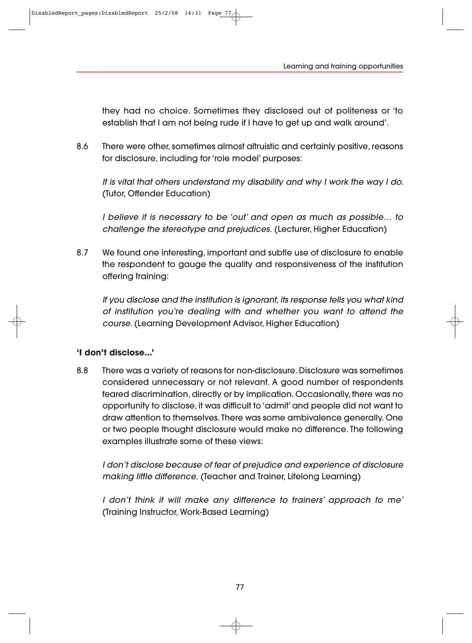they had no choice. Sometimes they disclosed out of politeness or 'to establish that I am not being rude if I have to get up and walk around'.

8.6 There were other, sometimes almost altruistic and certainly positive, reasons for disclosure, including for 'role model' purposes:

It is vital that others understand my disability and why I work the way I do. (Tutor, Offender Education)

I believe it is necessary to be 'out' and open as much as possible… to challenge the stereotype and prejudices. (Lecturer, Higher Education)

8.7 We found one interesting, important and subtle use of disclosure to enable the respondent to gauge the quality and responsiveness of the institution offering training:

If you disclose and the institution is ignorant, its response tells you what kind of institution you're dealing with and whether you want to attend the course. (Learning Development Advisor, Higher Education)

#### **'I don't disclose...'**

8.8 There was a variety of reasons for non-disclosure. Disclosure was sometimes considered unnecessary or not relevant. A good number of respondents feared discrimination, directly or by implication. Occasionally, there was no opportunity to disclose, it was difficult to 'admit' and people did not want to draw attention to themselves. There was some ambivalence generally. One or two people thought disclosure would make no difference. The following examples illustrate some of these views:

I don't disclose because of fear of prejudice and experience of disclosure making little difference. (Teacher and Trainer, Lifelong Learning)

I don't think it will make any difference to trainers' approach to me' (Training Instructor, Work-Based Learning)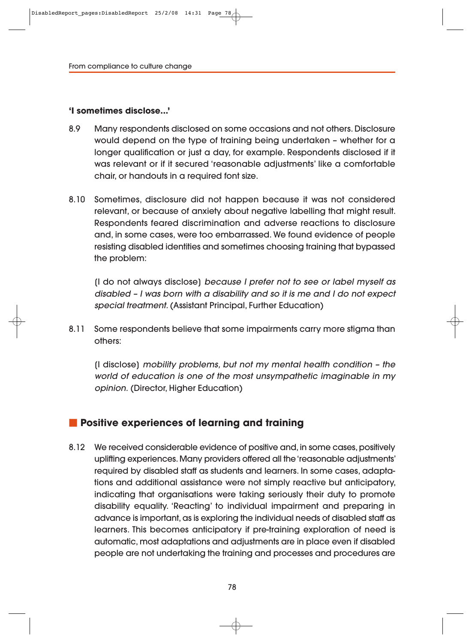#### **'I sometimes disclose...'**

- 8.9 Many respondents disclosed on some occasions and not others. Disclosure would depend on the type of training being undertaken – whether for a longer qualification or just a day, for example. Respondents disclosed if it was relevant or if it secured 'reasonable adjustments' like a comfortable chair, or handouts in a required font size.
- 8.10 Sometimes, disclosure did not happen because it was not considered relevant, or because of anxiety about negative labelling that might result. Respondents feared discrimination and adverse reactions to disclosure and, in some cases, were too embarrassed. We found evidence of people resisting disabled identities and sometimes choosing training that bypassed the problem:

[I do not always disclose] because I prefer not to see or label myself as disabled – I was born with a disability and so it is me and I do not expect special treatment. (Assistant Principal, Further Education)

8.11 Some respondents believe that some impairments carry more stigma than others:

[I disclose] mobility problems, but not my mental health condition – the world of education is one of the most unsympathetic imaginable in my opinion. (Director, Higher Education)

#### **Positive experiences of learning and training**

8.12 We received considerable evidence of positive and, in some cases, positively uplifting experiences. Many providers offered all the 'reasonable adjustments' required by disabled staff as students and learners. In some cases, adaptations and additional assistance were not simply reactive but anticipatory, indicating that organisations were taking seriously their duty to promote disability equality. 'Reacting' to individual impairment and preparing in advance is important, as is exploring the individual needs of disabled staff as learners. This becomes anticipatory if pre-training exploration of need is automatic, most adaptations and adjustments are in place even if disabled people are not undertaking the training and processes and procedures are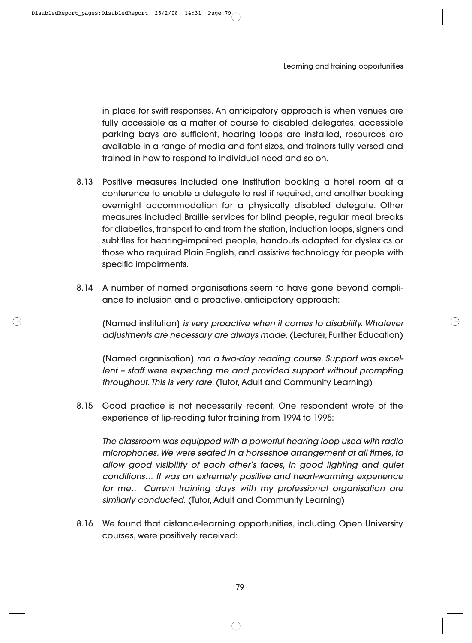in place for swift responses. An anticipatory approach is when venues are fully accessible as a matter of course to disabled delegates, accessible parking bays are sufficient, hearing loops are installed, resources are available in a range of media and font sizes, and trainers fully versed and trained in how to respond to individual need and so on.

- 8.13 Positive measures included one institution booking a hotel room at a conference to enable a delegate to rest if required, and another booking overnight accommodation for a physically disabled delegate. Other measures included Braille services for blind people, regular meal breaks for diabetics, transport to and from the station, induction loops, signers and subtitles for hearing-impaired people, handouts adapted for dyslexics or those who required Plain English, and assistive technology for people with specific impairments.
- 8.14 A number of named organisations seem to have gone beyond compliance to inclusion and a proactive, anticipatory approach:

[Named institution] is very proactive when it comes to disability. Whatever adjustments are necessary are always made. (Lecturer, Further Education)

(Named organisation) ran a two-day reading course. Support was excellent – staff were expecting me and provided support without prompting throughout. This is very rare. (Tutor, Adult and Community Learning)

8.15 Good practice is not necessarily recent. One respondent wrote of the experience of lip-reading tutor training from 1994 to 1995:

The classroom was equipped with a powerful hearing loop used with radio microphones. We were seated in a horseshoe arrangement at all times, to allow good visibility of each other's faces, in good lighting and quiet conditions… It was an extremely positive and heart-warming experience for me… Current training days with my professional organisation are similarly conducted. (Tutor, Adult and Community Learning)

8.16 We found that distance-learning opportunities, including Open University courses, were positively received: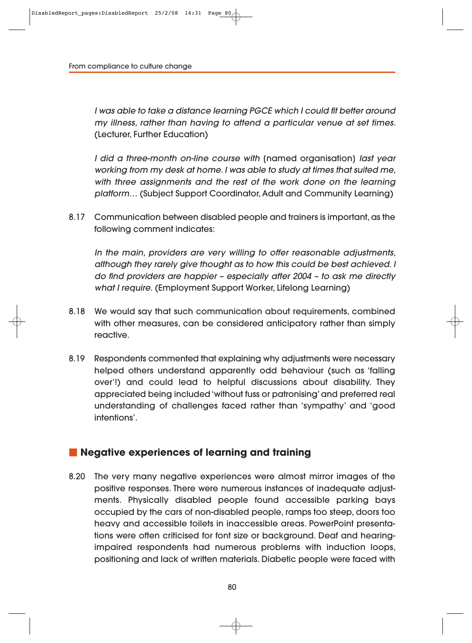I was able to take a distance learning PGCE which I could fit better around my illness, rather than having to attend a particular venue at set times. (Lecturer, Further Education)

I did a three-month on-line course with [named organisation] last year working from my desk at home. I was able to study at times that suited me, with three assignments and the rest of the work done on the learning platform… (Subject Support Coordinator, Adult and Community Learning)

8.17 Communication between disabled people and trainers is important, as the following comment indicates:

In the main, providers are very willing to offer reasonable adjustments, although they rarely give thought as to how this could be best achieved. I do find providers are happier – especially after 2004 – to ask me directly what I require. (Employment Support Worker, Lifelong Learning)

- 8.18 We would say that such communication about requirements, combined with other measures, can be considered anticipatory rather than simply reactive.
- 8.19 Respondents commented that explaining why adjustments were necessary helped others understand apparently odd behaviour (such as 'falling over'!) and could lead to helpful discussions about disability. They appreciated being included 'without fuss or patronising' and preferred real understanding of challenges faced rather than 'sympathy' and 'good intentions'.

#### **Negative experiences of learning and training**

8.20 The very many negative experiences were almost mirror images of the positive responses. There were numerous instances of inadequate adjustments. Physically disabled people found accessible parking bays occupied by the cars of non-disabled people, ramps too steep, doors too heavy and accessible toilets in inaccessible areas. PowerPoint presentations were often criticised for font size or background. Deaf and hearingimpaired respondents had numerous problems with induction loops, positioning and lack of written materials. Diabetic people were faced with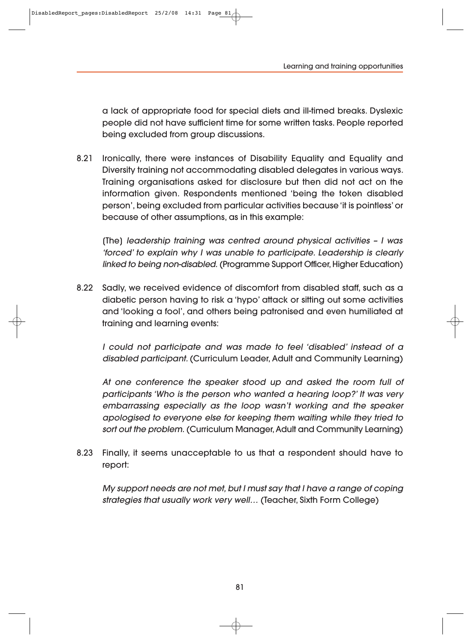a lack of appropriate food for special diets and ill-timed breaks. Dyslexic people did not have sufficient time for some written tasks. People reported being excluded from group discussions.

8.21 Ironically, there were instances of Disability Equality and Equality and Diversity training not accommodating disabled delegates in various ways. Training organisations asked for disclosure but then did not act on the information given. Respondents mentioned 'being the token disabled person', being excluded from particular activities because 'it is pointless' or because of other assumptions, as in this example:

[The] leadership training was centred around physical activities – I was 'forced' to explain why I was unable to participate. Leadership is clearly linked to being non-disabled. (Programme Support Officer, Higher Education)

8.22 Sadly, we received evidence of discomfort from disabled staff, such as a diabetic person having to risk a 'hypo' attack or sitting out some activities and 'looking a fool', and others being patronised and even humiliated at training and learning events:

I could not participate and was made to feel 'disabled' instead of a disabled participant. (Curriculum Leader, Adult and Community Learning)

At one conference the speaker stood up and asked the room full of participants 'Who is the person who wanted a hearing loop?' It was very embarrassing especially as the loop wasn't working and the speaker apologised to everyone else for keeping them waiting while they tried to sort out the problem. (Curriculum Manager, Adult and Community Learning)

8.23 Finally, it seems unacceptable to us that a respondent should have to report:

My support needs are not met, but I must say that I have a range of coping strategies that usually work very well… (Teacher, Sixth Form College)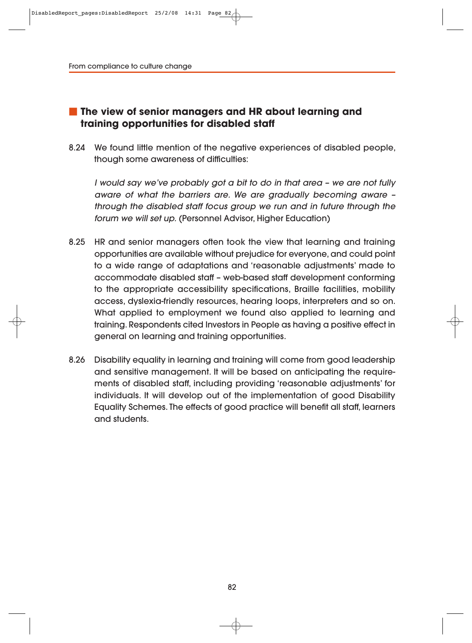# **The view of senior managers and HR about learning and training opportunities for disabled staff**

8.24 We found little mention of the negative experiences of disabled people, though some awareness of difficulties:

I would say we've probably got a bit to do in that area – we are not fully aware of what the barriers are. We are gradually becoming aware – through the disabled staff focus group we run and in future through the forum we will set up. (Personnel Advisor, Higher Education)

- 8.25 HR and senior managers often took the view that learning and training opportunities are available without prejudice for everyone, and could point to a wide range of adaptations and 'reasonable adjustments' made to accommodate disabled staff – web-based staff development conforming to the appropriate accessibility specifications, Braille facilities, mobility access, dyslexia-friendly resources, hearing loops, interpreters and so on. What applied to employment we found also applied to learning and training. Respondents cited Investors in People as having a positive effect in general on learning and training opportunities.
- 8.26 Disability equality in learning and training will come from good leadership and sensitive management. It will be based on anticipating the requirements of disabled staff, including providing 'reasonable adjustments' for individuals. It will develop out of the implementation of good Disability Equality Schemes. The effects of good practice will benefit all staff, learners and students.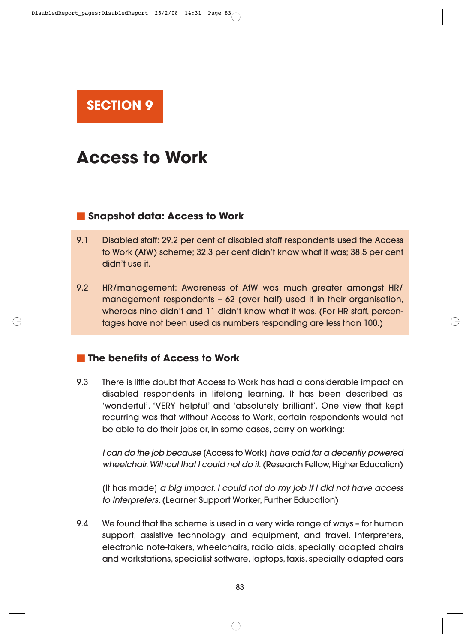**SECTION 9** 

# **Access to Work**

#### **Snapshot data: Access to Work**

- 9.1 Disabled staff: 29.2 per cent of disabled staff respondents used the Access to Work (AtW) scheme; 32.3 per cent didn't know what it was; 38.5 per cent didn't use it.
- 9.2 HR/management: Awareness of AtW was much greater amongst HR/ management respondents – 62 (over half) used it in their organisation, whereas nine didn't and 11 didn't know what it was. (For HR staff, percentages have not been used as numbers responding are less than 100.)

### **The benefits of Access to Work**

9.3 There is little doubt that Access to Work has had a considerable impact on disabled respondents in lifelong learning. It has been described as 'wonderful', 'VERY helpful' and 'absolutely brilliant'. One view that kept recurring was that without Access to Work, certain respondents would not be able to do their jobs or, in some cases, carry on working:

I can do the job because [Access to Work] have paid for a decently powered wheelchair. Without that I could not do it. (Research Fellow, Higher Education)

[It has made] a big impact. I could not do my job if I did not have access to interpreters. (Learner Support Worker, Further Education)

9.4 We found that the scheme is used in a very wide range of ways – for human support, assistive technology and equipment, and travel. Interpreters, electronic note-takers, wheelchairs, radio aids, specially adapted chairs and workstations, specialist software, laptops, taxis, specially adapted cars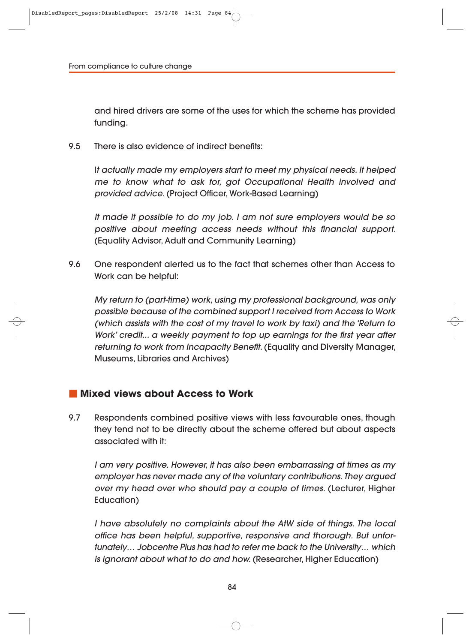and hired drivers are some of the uses for which the scheme has provided funding.

9.5 There is also evidence of indirect benefits:

It actually made my employers start to meet my physical needs. It helped me to know what to ask for, got Occupational Health involved and provided advice. (Project Officer, Work-Based Learning)

It made it possible to do my job. I am not sure employers would be so positive about meeting access needs without this financial support. (Equality Advisor, Adult and Community Learning)

9.6 One respondent alerted us to the fact that schemes other than Access to Work can be helpful:

My return to (part-time) work, using my professional background, was only possible because of the combined support I received from Access to Work (which assists with the cost of my travel to work by taxi) and the 'Return to Work' credit... a weekly payment to top up earnings for the first year after returning to work from Incapacity Benefit. (Equality and Diversity Manager, Museums, Libraries and Archives)

#### **Mixed views about Access to Work**

9.7 Respondents combined positive views with less favourable ones, though they tend not to be directly about the scheme offered but about aspects associated with it:

I am very positive. However, it has also been embarrassing at times as my employer has never made any of the voluntary contributions. They argued over my head over who should pay a couple of times. (Lecturer, Higher Education)

I have absolutely no complaints about the AtW side of things. The local office has been helpful, supportive, responsive and thorough. But unfor tunately… Jobcentre Plus has had to refer me back to the University… which is ignorant about what to do and how. (Researcher, Higher Education)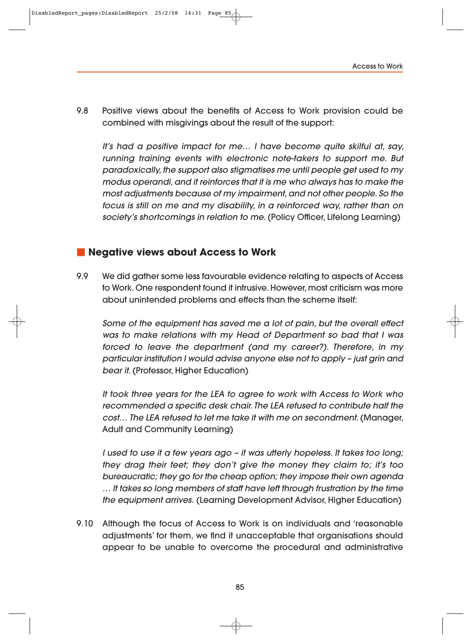9.8 Positive views about the benefits of Access to Work provision could be combined with misgivings about the result of the support:

It's had a positive impact for me… I have become quite skilful at, say, running training events with electronic note-takers to support me. But paradoxically, the support also stigmatises me until people get used to my modus operandi, and it reinforces that it is me who always has to make the most adjustments because of my impairment, and not other people. So the focus is still on me and my disability, in a reinforced way, rather than on society's shortcomings in relation to me. (Policy Officer, Lifelong Learning)

#### **Negative views about Access to Work**

9.9 We did gather some less favourable evidence relating to aspects of Access to Work. One respondent found it intrusive. However, most criticism was more about unintended problems and effects than the scheme itself:

Some of the equipment has saved me a lot of pain, but the overall effect was to make relations with my Head of Department so bad that I was forced to leave the department (and my career?). Therefore, in my particular institution I would advise anyone else not to apply – just grin and bear it. (Professor, Higher Education)

It took three years for the LEA to agree to work with Access to Work who recommended a specific desk chair. The LEA refused to contribute half the cost… The LEA refused to let me take it with me on secondment. (Manager, Adult and Community Learning)

I used to use it a few years ago – it was utterly hopeless. It takes too long; they drag their feet; they don't give the money they claim to; it's too bureaucratic; they go for the cheap option; they impose their own agenda … It takes so long members of staff have left through frustration by the time the equipment arrives. (Learning Development Advisor, Higher Education)

9.10 Although the focus of Access to Work is on individuals and 'reasonable adjustments' for them, we find it unacceptable that organisations should appear to be unable to overcome the procedural and administrative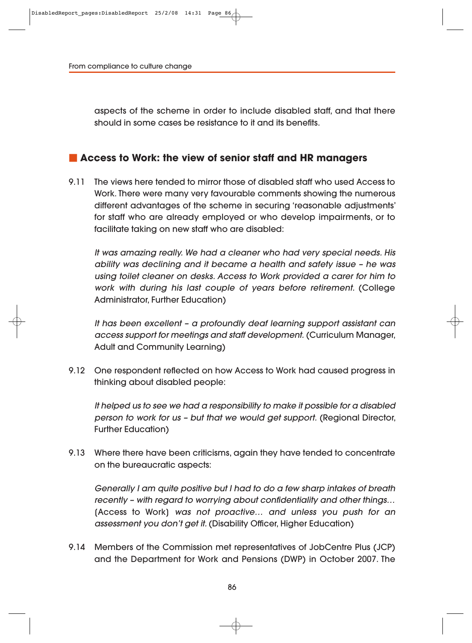aspects of the scheme in order to include disabled staff, and that there should in some cases be resistance to it and its benefits.

#### **Access to Work: the view of senior staff and HR managers**

9.11 The views here tended to mirror those of disabled staff who used Access to Work. There were many very favourable comments showing the numerous different advantages of the scheme in securing 'reasonable adjustments' for staff who are already employed or who develop impairments, or to facilitate taking on new staff who are disabled:

It was amazing really. We had a cleaner who had very special needs. His ability was declining and it became a health and safety issue – he was using toilet cleaner on desks. Access to Work provided a carer for him to work with during his last couple of years before retirement. (College Administrator, Further Education)

It has been excellent – a profoundly deaf learning support assistant can access support for meetings and staff development. (Curriculum Manager, Adult and Community Learning)

9.12 One respondent reflected on how Access to Work had caused progress in thinking about disabled people:

It helped us to see we had a responsibility to make it possible for a disabled person to work for us – but that we would get support. (Regional Director, Further Education)

9.13 Where there have been criticisms, again they have tended to concentrate on the bureaucratic aspects:

Generally I am quite positive but I had to do a few sharp intakes of breath recently – with regard to worrying about confidentiality and other things… [Access to Work] was not proactive… and unless you push for an assessment you don't get it. (Disability Officer, Higher Education)

9.14 Members of the Commission met representatives of JobCentre Plus (JCP) and the Department for Work and Pensions (DWP) in October 2007. The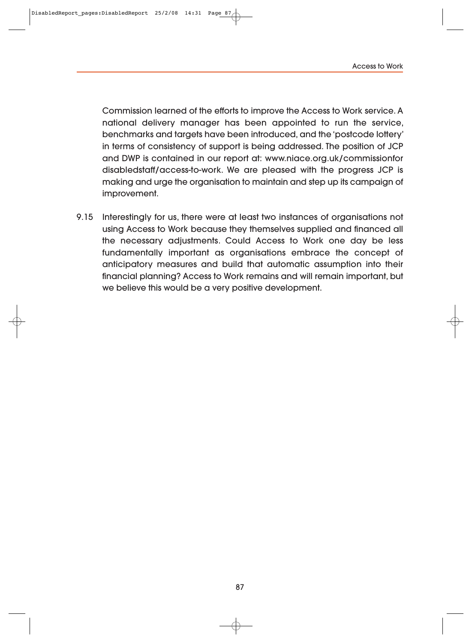Access to Work

Commission learned of the efforts to improve the Access to Work service. A national delivery manager has been appointed to run the service, benchmarks and targets have been introduced, and the 'postcode lottery' in terms of consistency of support is being addressed. The position of JCP and DWP is contained in our report at: www.niace.org.uk/commissionfor disabledstaff/access-to-work. We are pleased with the progress JCP is making and urge the organisation to maintain and step up its campaign of improvement.

9.15 Interestingly for us, there were at least two instances of organisations not using Access to Work because they themselves supplied and financed all the necessary adjustments. Could Access to Work one day be less fundamentally important as organisations embrace the concept of anticipatory measures and build that automatic assumption into their financial planning? Access to Work remains and will remain important, but we believe this would be a very positive development.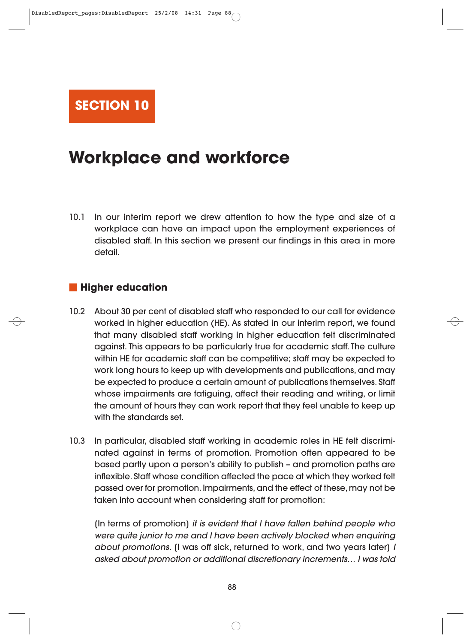

# **Workplace and workforce**

10.1 In our interim report we drew attention to how the type and size of a workplace can have an impact upon the employment experiences of disabled staff. In this section we present our findings in this area in more detail.

#### **Higher education**

- 10.2 About 30 per cent of disabled staff who responded to our call for evidence worked in higher education (HE). As stated in our interim report, we found that many disabled staff working in higher education felt discriminated against. This appears to be particularly true for academic staff. The culture within HE for academic staff can be competitive; staff may be expected to work long hours to keep up with developments and publications, and may be expected to produce a certain amount of publications themselves. Staff whose impairments are fatiguing, affect their reading and writing, or limit the amount of hours they can work report that they feel unable to keep up with the standards set.
- 10.3 In particular, disabled staff working in academic roles in HE felt discriminated against in terms of promotion. Promotion often appeared to be based partly upon a person's ability to publish – and promotion paths are inflexible. Staff whose condition affected the pace at which they worked felt passed over for promotion. Impairments, and the effect of these, may not be taken into account when considering staff for promotion:

[In terms of promotion] it is evident that I have fallen behind people who were quite junior to me and I have been actively blocked when enquiring about promotions. (I was off sick, returned to work, and two years later) I asked about promotion or additional discretionary increments… I was told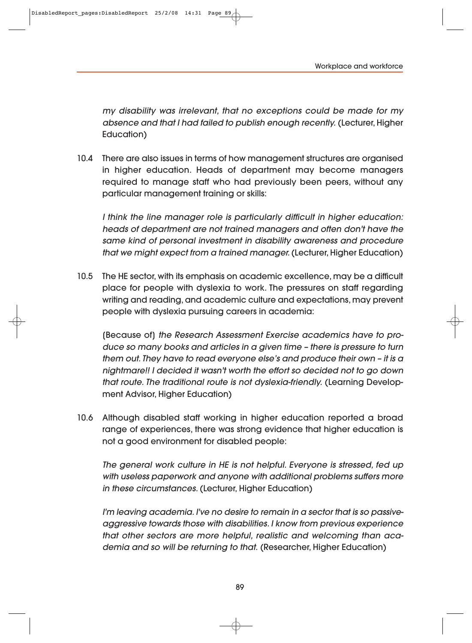DisabledReport pages:DisabledReport 25/2/08 14:31 Page 89

my disability was irrelevant, that no exceptions could be made for my absence and that I had failed to publish enough recently. (Lecturer, Higher Education)

10.4 There are also issues in terms of how management structures are organised in higher education. Heads of department may become managers required to manage staff who had previously been peers, without any particular management training or skills:

I think the line manager role is particularly difficult in higher education: heads of department are not trained managers and often don't have the same kind of personal investment in disability awareness and procedure that we might expect from a trained manager. (Lecturer, Higher Education)

10.5 The HE sector, with its emphasis on academic excellence, may be a difficult place for people with dyslexia to work. The pressures on staff regarding writing and reading, and academic culture and expectations, may prevent people with dyslexia pursuing careers in academia:

(Because of) the Research Assessment Exercise academics have to produce so many books and articles in a given time – there is pressure to turn them out. They have to read everyone else's and produce their own – it is a nightmare!! I decided it wasn't worth the effort so decided not to go down that route. The traditional route is not dyslexia-friendly. (Learning Development Advisor, Higher Education)

10.6 Although disabled staff working in higher education reported a broad range of experiences, there was strong evidence that higher education is not a good environment for disabled people:

The general work culture in HE is not helpful. Everyone is stressed, fed up with useless paperwork and anyone with additional problems suffers more in these circumstances. (Lecturer, Higher Education)

I'm leaving academia. I've no desire to remain in a sector that is so passiveaggressive towards those with disabilities. I know from previous experience that other sectors are more helpful, realistic and welcoming than academia and so will be returning to that. (Researcher, Higher Education)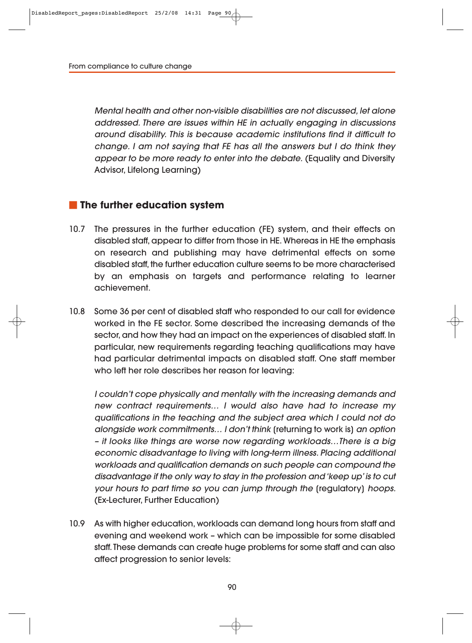Mental health and other non-visible disabilities are not discussed, let alone addressed. There are issues within HE in actually engaging in discussions around disability. This is because academic institutions find it difficult to change. I am not saying that FE has all the answers but I do think they appear to be more ready to enter into the debate. (Equality and Diversity Advisor, Lifelong Learning)

#### **The further education system**

- 10.7 The pressures in the further education (FE) system, and their effects on disabled staff, appear to differ from those in HE. Whereas in HE the emphasis on research and publishing may have detrimental effects on some disabled staff, the further education culture seems to be more characterised by an emphasis on targets and performance relating to learner achievement.
- 10.8 Some 36 per cent of disabled staff who responded to our call for evidence worked in the FE sector. Some described the increasing demands of the sector, and how they had an impact on the experiences of disabled staff. In particular, new requirements regarding teaching qualifications may have had particular detrimental impacts on disabled staff. One staff member who left her role describes her reason for leaving:

I couldn't cope physically and mentally with the increasing demands and new contract requirements… I would also have had to increase my qualifications in the teaching and the subject area which I could not do alongside work commitments… I don't think [returning to work is] an option – it looks like things are worse now regarding workloads…There is a big economic disadvantage to living with long-term illness. Placing additional workloads and qualification demands on such people can compound the disadvantage if the only way to stay in the profession and 'keep up' is to cut your hours to part time so you can jump through the [regulatory] hoops. (Ex-Lecturer, Further Education)

10.9 As with higher education, workloads can demand long hours from staff and evening and weekend work – which can be impossible for some disabled staff. These demands can create huge problems for some staff and can also affect progression to senior levels: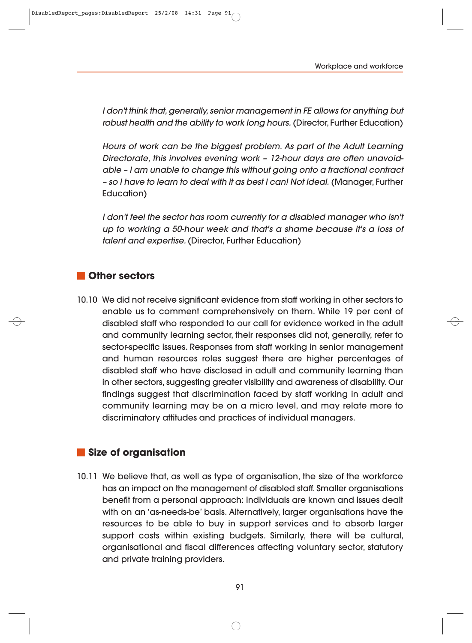DisabledReport\_pages:DisabledReport 25/2/08 14:31 Page 91

I don't think that, generally, senior management in FE allows for anything but robust health and the ability to work long hours. (Director, Further Education)

Hours of work can be the biggest problem. As part of the Adult Learning Directorate, this involves evening work - 12-hour days are often unavoidable – I am unable to change this without going onto a fractional contract – so I have to learn to deal with it as best I can! Not ideal. (Manager, Further Education)

I don't feel the sector has room currently for a disabled manager who isn't up to working a 50-hour week and that's a shame because it's a loss of talent and expertise. (Director, Further Education)

#### **Other sectors**

10.10 We did not receive significant evidence from staff working in other sectors to enable us to comment comprehensively on them. While 19 per cent of disabled staff who responded to our call for evidence worked in the adult and community learning sector, their responses did not, generally, refer to sector-specific issues. Responses from staff working in senior management and human resources roles suggest there are higher percentages of disabled staff who have disclosed in adult and community learning than in other sectors, suggesting greater visibility and awareness of disability. Our findings suggest that discrimination faced by staff working in adult and community learning may be on a micro level, and may relate more to discriminatory attitudes and practices of individual managers.

#### **Size of organisation**

10.11 We believe that, as well as type of organisation, the size of the workforce has an impact on the management of disabled staff. Smaller organisations benefit from a personal approach: individuals are known and issues dealt with on an 'as-needs-be' basis. Alternatively, larger organisations have the resources to be able to buy in support services and to absorb larger support costs within existing budgets. Similarly, there will be cultural, organisational and fiscal differences affecting voluntary sector, statutory and private training providers.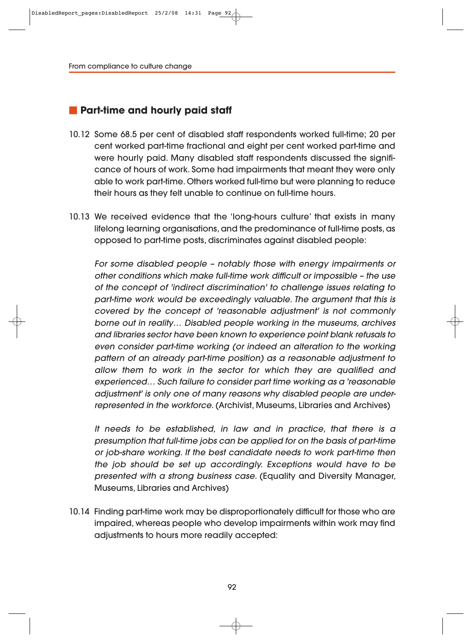#### **Part-time and hourly paid staff**

- 10.12 Some 68.5 per cent of disabled staff respondents worked full-time; 20 per cent worked part-time fractional and eight per cent worked part-time and were hourly paid. Many disabled staff respondents discussed the significance of hours of work. Some had impairments that meant they were only able to work part-time. Others worked full-time but were planning to reduce their hours as they felt unable to continue on full-time hours.
- 10.13 We received evidence that the 'long-hours culture' that exists in many lifelong learning organisations, and the predominance of full-time posts, as opposed to part-time posts, discriminates against disabled people:

For some disabled people – notably those with energy impairments or other conditions which make full-time work difficult or impossible – the use of the concept of 'indirect discrimination' to challenge issues relating to part-time work would be exceedingly valuable. The argument that this is covered by the concept of 'reasonable adjustment' is not commonly borne out in reality… Disabled people working in the museums, archives and libraries sector have been known to experience point blank refusals to even consider part-time working (or indeed an alteration to the working pattern of an already part-time position) as a reasonable adjustment to allow them to work in the sector for which they are qualified and experienced… Such failure to consider part time working as a 'reasonable adjustment' is only one of many reasons why disabled people are underrepresented in the workforce. (Archivist, Museums, Libraries and Archives)

It needs to be established, in law and in practice, that there is a presumption that full-time jobs can be applied for on the basis of part-time or job-share working. If the best candidate needs to work part-time then the job should be set up accordingly. Exceptions would have to be presented with a strong business case. (Equality and Diversity Manager, Museums, Libraries and Archives)

10.14 Finding part-time work may be disproportionately difficult for those who are impaired, whereas people who develop impairments within work may find adjustments to hours more readily accepted: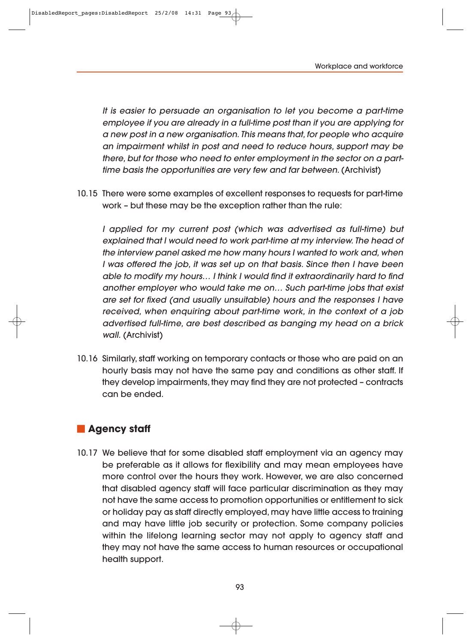DisabledReport\_pages:DisabledReport 25/2/08 14:31 Page 93

It is easier to persuade an organisation to let you become a part-time employee if you are already in a full-time post than if you are applying for a new post in a new organisation. This means that, for people who acquire an impairment whilst in post and need to reduce hours, support may be there, but for those who need to enter employment in the sector on a parttime basis the opportunities are very few and far between. (Archivist)

10.15 There were some examples of excellent responses to requests for part-time work – but these may be the exception rather than the rule:

I applied for my current post (which was advertised as full-time) but explained that I would need to work part-time at my interview. The head of the interview panel asked me how many hours I wanted to work and, when I was offered the job, it was set up on that basis. Since then I have been able to modify my hours… I think I would find it extraordinarily hard to find another employer who would take me on… Such part-time jobs that exist are set for fixed (and usually unsuitable) hours and the responses I have received, when enquiring about part-time work, in the context of a job advertised full-time, are best described as banging my head on a brick wall. (Archivist)

10.16 Similarly, staff working on temporary contacts or those who are paid on an hourly basis may not have the same pay and conditions as other staff. If they develop impairments, they may find they are not protected – contracts can be ended.

# **Agency staff**

10.17 We believe that for some disabled staff employment via an agency may be preferable as it allows for flexibility and may mean employees have more control over the hours they work. However, we are also concerned that disabled agency staff will face particular discrimination as they may not have the same access to promotion opportunities or entitlement to sick or holiday pay as staff directly employed, may have little access to training and may have little job security or protection. Some company policies within the lifelong learning sector may not apply to agency staff and they may not have the same access to human resources or occupational health support.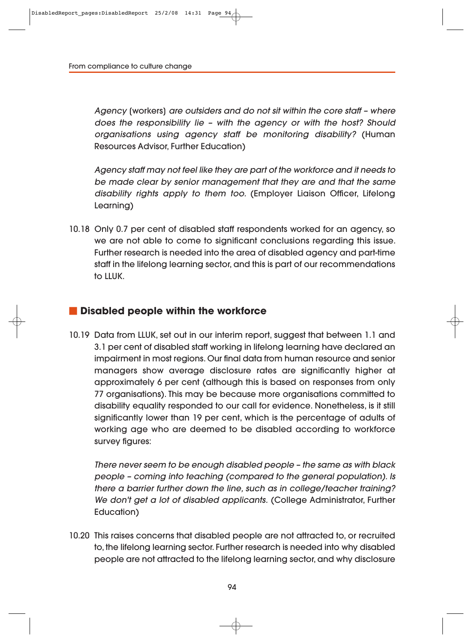Agency [workers] are outsiders and do not sit within the core staff – where does the responsibility lie – with the agency or with the host? Should organisations using agency staff be monitoring disability? (Human Resources Advisor, Further Education)

Agency staff may not feel like they are part of the workforce and it needs to be made clear by senior management that they are and that the same disability rights apply to them too. (Employer Liaison Officer, Lifelong Learning)

10.18 Only 0.7 per cent of disabled staff respondents worked for an agency, so we are not able to come to significant conclusions regarding this issue. Further research is needed into the area of disabled agency and part-time staff in the lifelong learning sector, and this is part of our recommendations to LLUK.

#### **Disabled people within the workforce**

10.19 Data from LLUK, set out in our interim report, suggest that between 1.1 and 3.1 per cent of disabled staff working in lifelong learning have declared an impairment in most regions. Our final data from human resource and senior managers show average disclosure rates are significantly higher at approximately 6 per cent (although this is based on responses from only 77 organisations). This may be because more organisations committed to disability equality responded to our call for evidence. Nonetheless, is it still significantly lower than 19 per cent, which is the percentage of adults of working age who are deemed to be disabled according to workforce survey figures:

There never seem to be enough disabled people – the same as with black people – coming into teaching (compared to the general population). Is there a barrier further down the line, such as in college/teacher training? We don't get a lot of disabled applicants. (College Administrator, Further Education)

10.20 This raises concerns that disabled people are not attracted to, or recruited to, the lifelong learning sector. Further research is needed into why disabled people are not attracted to the lifelong learning sector, and why disclosure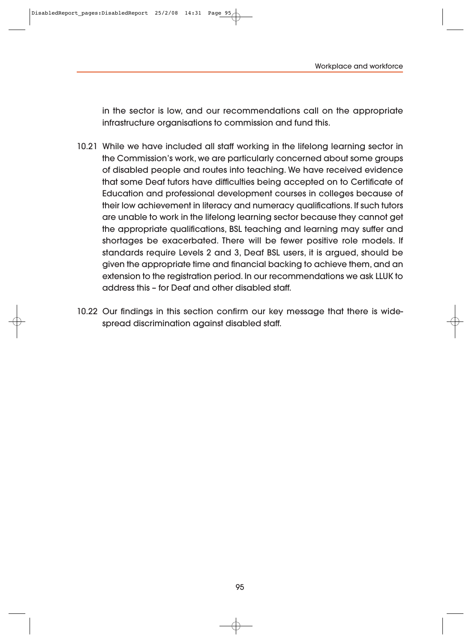in the sector is low, and our recommendations call on the appropriate infrastructure organisations to commission and fund this.

- 10.21 While we have included all staff working in the lifelong learning sector in the Commission's work, we are particularly concerned about some groups of disabled people and routes into teaching. We have received evidence that some Deaf tutors have difficulties being accepted on to Certificate of Education and professional development courses in colleges because of their low achievement in literacy and numeracy qualifications. If such tutors are unable to work in the lifelong learning sector because they cannot get the appropriate qualifications, BSL teaching and learning may suffer and shortages be exacerbated. There will be fewer positive role models. If standards require Levels 2 and 3, Deaf BSL users, it is argued, should be given the appropriate time and financial backing to achieve them, and an extension to the registration period. In our recommendations we ask LLUK to address this – for Deaf and other disabled staff.
- 10.22 Our findings in this section confirm our key message that there is widespread discrimination against disabled staff.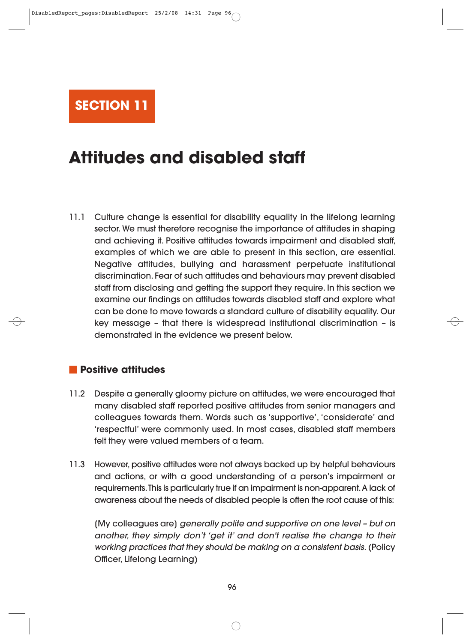

# **Attitudes and disabled staff**

11.1 Culture change is essential for disability equality in the lifelong learning sector. We must therefore recognise the importance of attitudes in shaping and achieving it. Positive attitudes towards impairment and disabled staff, examples of which we are able to present in this section, are essential. Negative attitudes, bullying and harassment perpetuate institutional discrimination. Fear of such attitudes and behaviours may prevent disabled staff from disclosing and getting the support they require. In this section we examine our findings on attitudes towards disabled staff and explore what can be done to move towards a standard culture of disability equality. Our key message – that there is widespread institutional discrimination – is demonstrated in the evidence we present below.

### **Positive attitudes**

- 11.2 Despite a generally gloomy picture on attitudes, we were encouraged that many disabled staff reported positive attitudes from senior managers and colleagues towards them. Words such as 'supportive', 'considerate' and 'respectful' were commonly used. In most cases, disabled staff members felt they were valued members of a team.
- 11.3 However, positive attitudes were not always backed up by helpful behaviours and actions, or with a good understanding of a person's impairment or requirements. This is particularly true if an impairment is non-apparent. A lack of awareness about the needs of disabled people is often the root cause of this:

[My colleagues are] generally polite and supportive on one level – but on another, they simply don't 'get it' and don't realise the change to their working practices that they should be making on a consistent basis. (Policy Officer, Lifelong Learning)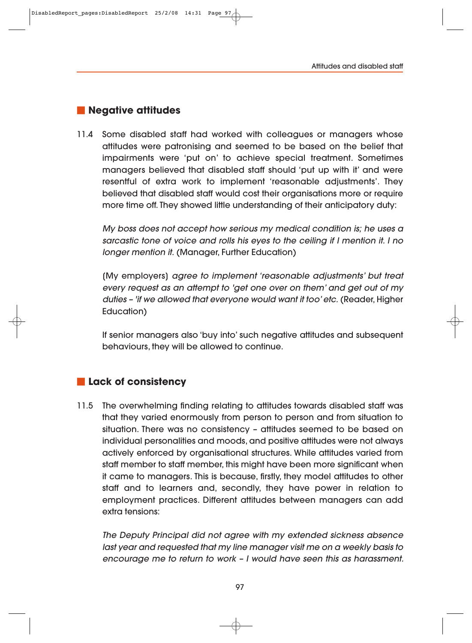#### **Negative attitudes**

11.4 Some disabled staff had worked with colleagues or managers whose attitudes were patronising and seemed to be based on the belief that impairments were 'put on' to achieve special treatment. Sometimes managers believed that disabled staff should 'put up with it' and were resentful of extra work to implement 'reasonable adjustments'. They believed that disabled staff would cost their organisations more or require more time off. They showed little understanding of their anticipatory duty:

My boss does not accept how serious my medical condition is; he uses a sarcastic tone of voice and rolls his eyes to the ceiling if I mention it. I no longer mention it. (Manager, Further Education)

[My employers] agree to implement 'reasonable adjustments' but treat every request as an attempt to 'get one over on them' and get out of my duties – 'if we allowed that everyone would want it too' etc. (Reader, Higher Education)

If senior managers also 'buy into' such negative attitudes and subsequent behaviours, they will be allowed to continue.

### **Lack of consistency**

11.5 The overwhelming finding relating to attitudes towards disabled staff was that they varied enormously from person to person and from situation to situation. There was no consistency – attitudes seemed to be based on individual personalities and moods, and positive attitudes were not always actively enforced by organisational structures. While attitudes varied from staff member to staff member, this might have been more significant when it came to managers. This is because, firstly, they model attitudes to other staff and to learners and, secondly, they have power in relation to employment practices. Different attitudes between managers can add extra tensions:

The Deputy Principal did not agree with my extended sickness absence last year and requested that my line manager visit me on a weekly basis to encourage me to return to work – I would have seen this as harassment.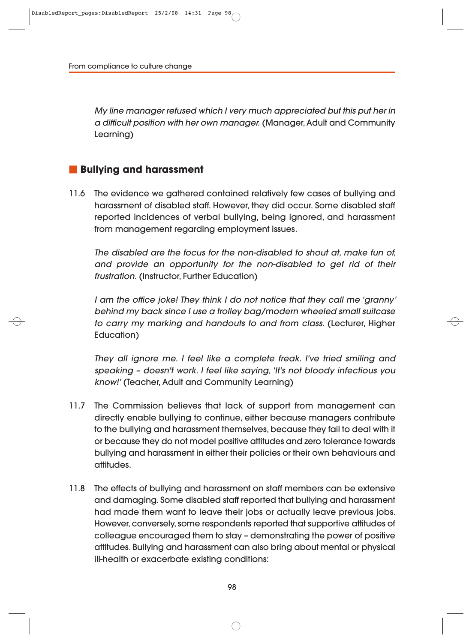My line manager refused which I very much appreciated but this put her in a difficult position with her own manager. (Manager, Adult and Community Learning)

## **Bullying and harassment**

11.6 The evidence we gathered contained relatively few cases of bullying and harassment of disabled staff. However, they did occur. Some disabled staff reported incidences of verbal bullying, being ignored, and harassment from management regarding employment issues.

The disabled are the focus for the non-disabled to shout at, make fun of, and provide an opportunity for the non-disabled to get rid of their frustration. (Instructor, Further Education)

I am the office joke! They think I do not notice that they call me 'granny' behind my back since I use a trolley bag/modern wheeled small suitcase to carry my marking and handouts to and from class. (Lecturer, Higher Education)

They all ignore me. I feel like a complete freak. I've tried smiling and speaking – doesn't work. I feel like saying, 'It's not bloody infectious you know!' (Teacher, Adult and Community Learning)

- 11.7 The Commission believes that lack of support from management can directly enable bullying to continue, either because managers contribute to the bullying and harassment themselves, because they fail to deal with it or because they do not model positive attitudes and zero tolerance towards bullying and harassment in either their policies or their own behaviours and attitudes.
- 11.8 The effects of bullying and harassment on staff members can be extensive and damaging. Some disabled staff reported that bullying and harassment had made them want to leave their jobs or actually leave previous jobs. However, conversely, some respondents reported that supportive attitudes of colleague encouraged them to stay – demonstrating the power of positive attitudes. Bullying and harassment can also bring about mental or physical ill-health or exacerbate existing conditions: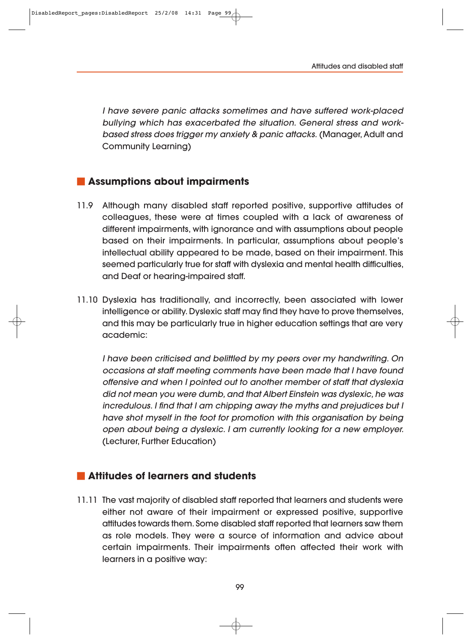I have severe panic attacks sometimes and have suffered work-placed bullying which has exacerbated the situation. General stress and workbased stress does trigger my anxiety & panic attacks. (Manager, Adult and Community Learning)

# **Assumptions about impairments**

- 11.9 Although many disabled staff reported positive, supportive attitudes of colleagues, these were at times coupled with a lack of awareness of different impairments, with ignorance and with assumptions about people based on their impairments. In particular, assumptions about people's intellectual ability appeared to be made, based on their impairment. This seemed particularly true for staff with dyslexia and mental health difficulties, and Deaf or hearing-impaired staff.
- 11.10 Dyslexia has traditionally, and incorrectly, been associated with lower intelligence or ability. Dyslexic staff may find they have to prove themselves, and this may be particularly true in higher education settings that are very academic:

I have been criticised and belittled by my peers over my handwriting. On occasions at staff meeting comments have been made that I have found offensive and when I pointed out to another member of staff that dyslexia did not mean you were dumb, and that Albert Einstein was dyslexic, he was incredulous. I find that I am chipping away the myths and prejudices but I have shot myself in the foot for promotion with this organisation by being open about being a dyslexic. I am currently looking for a new employer. (Lecturer, Further Education)

# **Attitudes of learners and students**

11.11 The vast majority of disabled staff reported that learners and students were either not aware of their impairment or expressed positive, supportive attitudes towards them. Some disabled staff reported that learners saw them as role models. They were a source of information and advice about certain impairments. Their impairments often affected their work with learners in a positive way: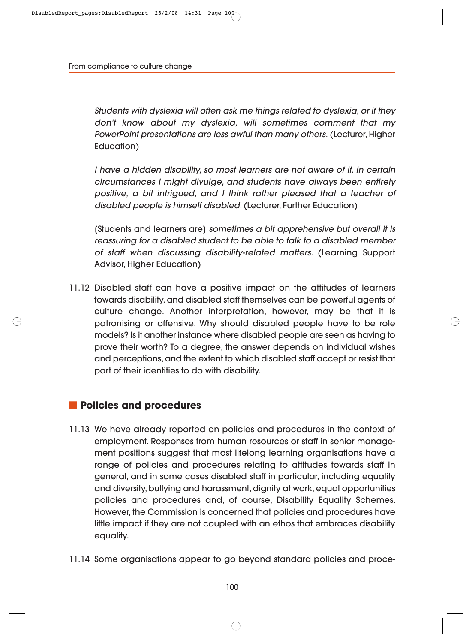Students with dyslexia will often ask me things related to dyslexia, or if they don't know about my dyslexia, will sometimes comment that my PowerPoint presentations are less awful than many others. (Lecturer, Higher Education)

I have a hidden disability, so most learners are not aware of it. In certain circumstances I might divulge, and students have always been entirely positive, a bit intrigued, and I think rather pleased that a teacher of disabled people is himself disabled. (Lecturer, Further Education)

[Students and learners are] sometimes a bit apprehensive but overall it is reassuring for a disabled student to be able to talk to a disabled member of staff when discussing disability-related matters. (Learning Support Advisor, Higher Education)

11.12 Disabled staff can have a positive impact on the attitudes of learners towards disability, and disabled staff themselves can be powerful agents of culture change. Another interpretation, however, may be that it is patronising or offensive. Why should disabled people have to be role models? Is it another instance where disabled people are seen as having to prove their worth? To a degree, the answer depends on individual wishes and perceptions, and the extent to which disabled staff accept or resist that part of their identities to do with disability.

#### **Policies and procedures**

- 11.13 We have already reported on policies and procedures in the context of employment. Responses from human resources or staff in senior manage ment positions suggest that most lifelong learning organisations have a range of policies and procedures relating to attitudes towards staff in general, and in some cases disabled staff in particular, including equality and diversity, bullying and harassment, dignity at work, equal opportunities policies and procedures and, of course, Disability Equality Schemes. However, the Commission is concerned that policies and procedures have little impact if they are not coupled with an ethos that embraces disability equality.
- 11.14 Some organisations appear to go beyond standard policies and proce-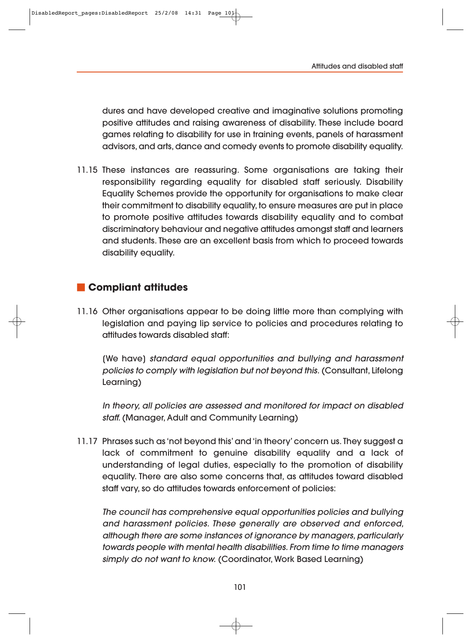dures and have developed creative and imaginative solutions promoting positive attitudes and raising awareness of disability. These include board games relating to disability for use in training events, panels of harassment advisors, and arts, dance and comedy events to promote disability equality.

11.15 These instances are reassuring. Some organisations are taking their responsibility regarding equality for disabled staff seriously. Disability Equality Schemes provide the opportunity for organisations to make clear their commitment to disability equality, to ensure measures are put in place to promote positive attitudes towards disability equality and to combat discriminatory behaviour and negative attitudes amongst staff and learners and students. These are an excellent basis from which to proceed towards disability equality.

## **Compliant attitudes**

11.16 Other organisations appear to be doing little more than complying with legislation and paying lip service to policies and procedures relating to attitudes towards disabled staff:

[We have] standard equal opportunities and bullying and harassment policies to comply with legislation but not beyond this. (Consultant, Lifelong Learning)

In theory, all policies are assessed and monitored for impact on disabled staff. (Manager, Adult and Community Learning)

11.17 Phrases such as 'not beyond this' and 'in theory' concern us. They suggest a lack of commitment to genuine disability equality and a lack of understanding of legal duties, especially to the promotion of disability equality. There are also some concerns that, as attitudes toward disabled staff vary, so do attitudes towards enforcement of policies:

The council has comprehensive equal opportunities policies and bullying and harassment policies. These generally are observed and enforced, although there are some instances of ignorance by managers, particularly towards people with mental health disabilities. From time to time managers simply do not want to know. (Coordinator, Work Based Learning)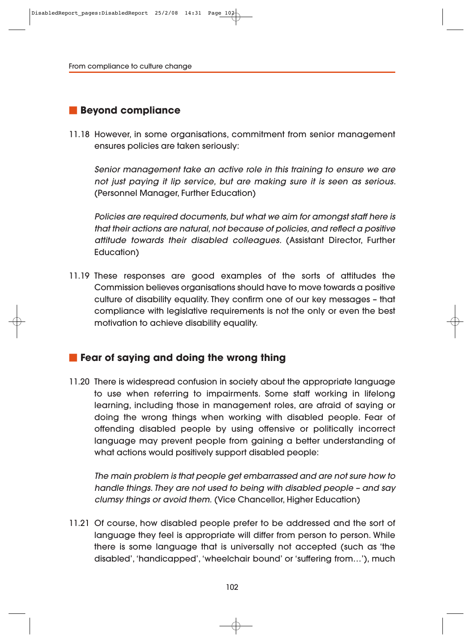# **Beyond compliance**

11.18 However, in some organisations, commitment from senior management ensures policies are taken seriously:

Senior management take an active role in this training to ensure we are not just paying it lip service, but are making sure it is seen as serious. (Personnel Manager, Further Education)

Policies are required documents, but what we aim for amongst staff here is that their actions are natural, not because of policies, and reflect a positive attitude towards their disabled colleagues. (Assistant Director, Further Education)

11.19 These responses are good examples of the sorts of attitudes the Commission believes organisations should have to move towards a positive culture of disability equality. They confirm one of our key messages – that compliance with legislative requirements is not the only or even the best motivation to achieve disability equality.

## **Fear of saying and doing the wrong thing**

11.20 There is widespread confusion in society about the appropriate language to use when referring to impairments. Some staff working in lifelong learning, including those in management roles, are afraid of saying or doing the wrong things when working with disabled people. Fear of offending disabled people by using offensive or politically incorrect language may prevent people from gaining a better understanding of what actions would positively support disabled people:

The main problem is that people get embarrassed and are not sure how to handle things. They are not used to being with disabled people – and say clumsy things or avoid them. (Vice Chancellor, Higher Education)

11.21 Of course, how disabled people prefer to be addressed and the sort of language they feel is appropriate will differ from person to person. While there is some language that is universally not accepted (such as 'the disabled', 'handicapped', 'wheelchair bound' or 'suffering from…'), much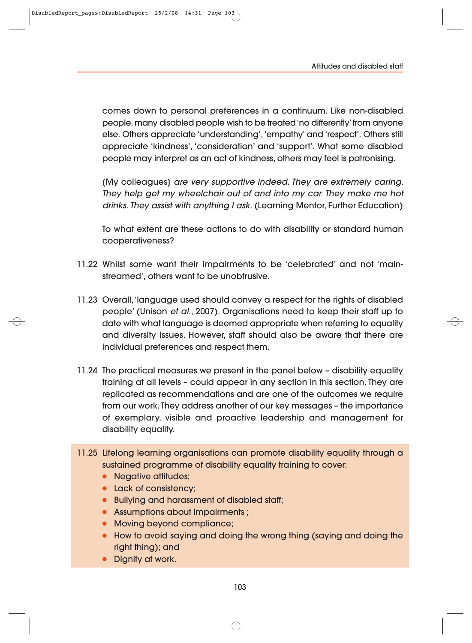comes down to personal preferences in a continuum. Like non-disabled people, many disabled people wish to be treated 'no differently' from anyone else. Others appreciate 'understanding', 'empathy' and 'respect'. Others still appreciate 'kindness', 'consideration' and 'support'. What some disabled people may interpret as an act of kindness, others may feel is patronising.

[My colleagues] are very supportive indeed. They are extremely caring. They help get my wheelchair out of and into my car. They make me hot drinks. They assist with anything I ask. (Learning Mentor, Further Education)

To what extent are these actions to do with disability or standard human cooperativeness?

- 11.22 Whilst some want their impairments to be 'celebrated' and not 'mainstreamed', others want to be unobtrusive.
- 11.23 Overall, 'language used should convey a respect for the rights of disabled people' (Unison et al., 2007). Organisations need to keep their staff up to date with what language is deemed appropriate when referring to equality and diversity issues. However, staff should also be aware that there are individual preferences and respect them.
- 11.24 The practical measures we present in the panel below disability equality training at all levels – could appear in any section in this section. They are replicated as recommendations and are one of the outcomes we require from our work. They address another of our key messages – the importance of exemplary, visible and proactive leadership and management for disability equality.
- 11.25 Lifelong learning organisations can promote disability equality through a sustained programme of disability equality training to cover:
	- Negative attitudes;
	- Lack of consistency;
	- Bullying and harassment of disabled staff;
	- Assumptions about impairments ;
	- Moving beyond compliance;
	- How to avoid saying and doing the wrong thing (saying and doing the right thing); and
	- Dignity at work.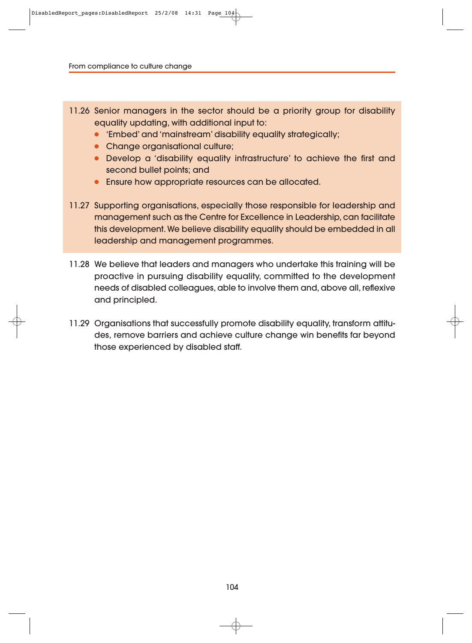- 11.26 Senior managers in the sector should be a priority group for disability equality updating, with additional input to:
	- 'Embed' and 'mainstream' disability equality strategically;
	- Change organisational culture;
	- Develop a 'disability equality infrastructure' to achieve the first and second bullet points; and
	- Ensure how appropriate resources can be allocated.
- 11.27 Supporting organisations, especially those responsible for leadership and management such as the Centre for Excellence in Leadership, can facilitate this development. We believe disability equality should be embedded in all leadership and management programmes.
- 11.28 We believe that leaders and managers who undertake this training will be proactive in pursuing disability equality, committed to the development needs of disabled colleagues, able to involve them and, above all, reflexive and principled.
- 11.29 Organisations that successfully promote disability equality, transform attitudes, remove barriers and achieve culture change win benefits far beyond those experienced by disabled staff.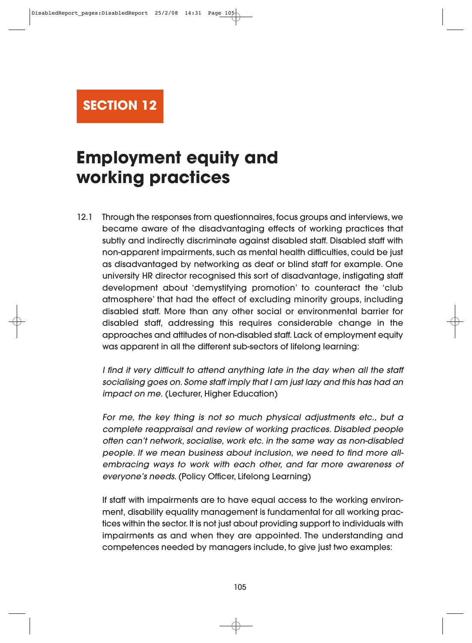**SECTION 12**

# **Employment equity and working practices**

12.1 Through the responses from questionnaires, focus groups and interviews, we became aware of the disadvantaging effects of working practices that subtly and indirectly discriminate against disabled staff. Disabled staff with non-apparent impairments, such as mental health difficulties, could be just as disadvantaged by networking as deaf or blind staff for example. One university HR director recognised this sort of disadvantage, instigating staff development about 'demystifying promotion' to counteract the 'club atmosphere' that had the effect of excluding minority groups, including disabled staff. More than any other social or environmental barrier for disabled staff, addressing this requires considerable change in the approaches and attitudes of non-disabled staff. Lack of employment equity was apparent in all the different sub-sectors of lifelong learning:

I find it very difficult to attend anything late in the day when all the staff socialising goes on. Some staff imply that I am just lazy and this has had an impact on me. (Lecturer, Higher Education)

For me, the key thing is not so much physical adjustments etc., but a complete reappraisal and review of working practices. Disabled people often can't network, socialise, work etc. in the same way as non-disabled people. If we mean business about inclusion, we need to find more allembracing ways to work with each other, and far more awareness of everyone's needs. (Policy Officer, Lifelong Learning)

If staff with impairments are to have equal access to the working environment, disability equality management is fundamental for all working practices within the sector. It is not just about providing support to individuals with impairments as and when they are appointed. The understanding and competences needed by managers include, to give just two examples: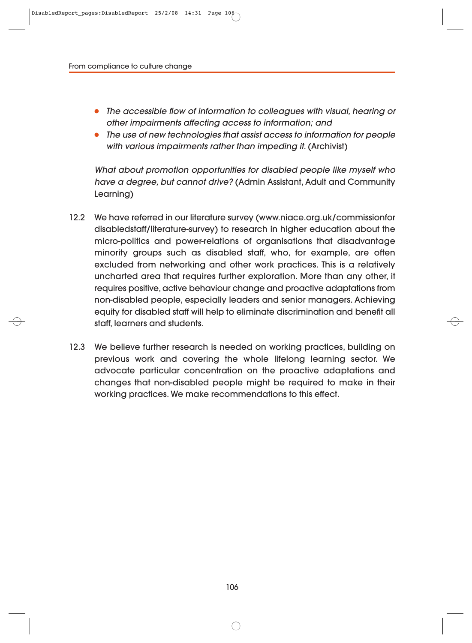- The accessible flow of information to colleagues with visual, hearing or other impairments affecting access to information; and
- The use of new technologies that assist access to information for people with various impairments rather than impeding it. (Archivist)

What about promotion opportunities for disabled people like myself who have a degree, but cannot drive? (Admin Assistant, Adult and Community Learning)

- 12.2 We have referred in our literature survey (www.niace.org.uk/commissionfor disabledstaff/literature-survey) to research in higher education about the micro-politics and power-relations of organisations that disadvantage minority groups such as disabled staff, who, for example, are often excluded from networking and other work practices. This is a relatively uncharted area that requires further exploration. More than any other, it requires positive, active behaviour change and proactive adaptations from non-disabled people, especially leaders and senior managers. Achieving equity for disabled staff will help to eliminate discrimination and benefit all staff, learners and students.
- 12.3 We believe further research is needed on working practices, building on previous work and covering the whole lifelong learning sector. We advocate particular concentration on the proactive adaptations and changes that non-disabled people might be required to make in their working practices. We make recommendations to this effect.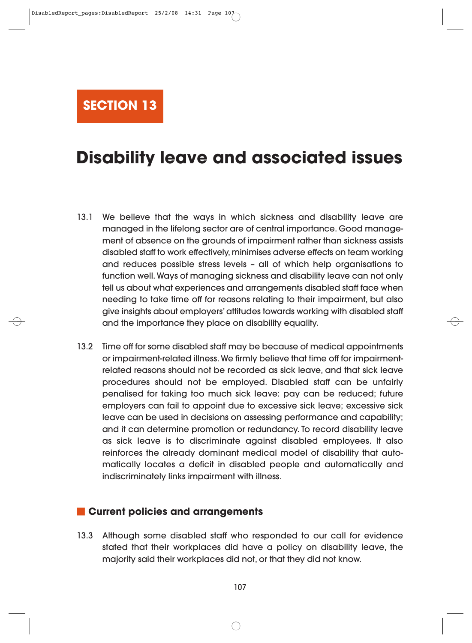**SECTION 13**

# **Disability leave and associated issues**

- 13.1 We believe that the ways in which sickness and disability leave are managed in the lifelong sector are of central importance. Good management of absence on the grounds of impairment rather than sickness assists disabled staff to work effectively, minimises adverse effects on team working and reduces possible stress levels – all of which help organisations to function well. Ways of managing sickness and disability leave can not only tell us about what experiences and arrangements disabled staff face when needing to take time off for reasons relating to their impairment, but also give insights about employers' attitudes towards working with disabled staff and the importance they place on disability equality.
- 13.2 Time off for some disabled staff may be because of medical appointments or impairment-related illness. We firmly believe that time off for impairmentrelated reasons should not be recorded as sick leave, and that sick leave procedures should not be employed. Disabled staff can be unfairly penalised for taking too much sick leave: pay can be reduced; future employers can fail to appoint due to excessive sick leave; excessive sick leave can be used in decisions on assessing performance and capability; and it can determine promotion or redundancy. To record disability leave as sick leave is to discriminate against disabled employees. It also reinforces the already dominant medical model of disability that automatically locates a deficit in disabled people and automatically and indiscriminately links impairment with illness.

#### **Current policies and arrangements**

13.3 Although some disabled staff who responded to our call for evidence stated that their workplaces did have a policy on disability leave, the majority said their workplaces did not, or that they did not know.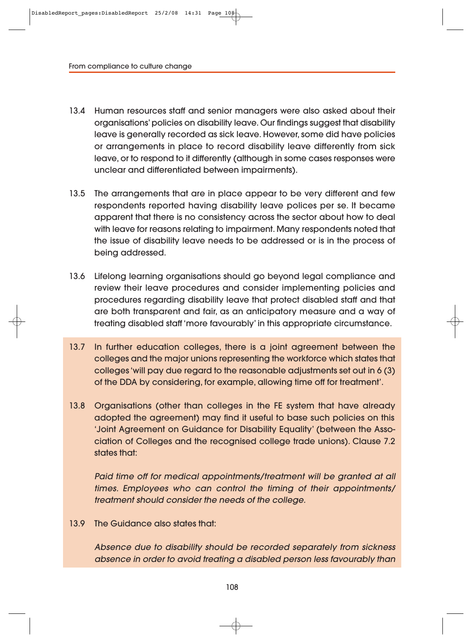- 13.4 Human resources staff and senior managers were also asked about their organisations' policies on disability leave. Our findings suggest that disability leave is generally recorded as sick leave. However, some did have policies or arrangements in place to record disability leave differently from sick leave, or to respond to it differently (although in some cases responses were unclear and differentiated between impairments).
- 13.5 The arrangements that are in place appear to be very different and few respondents reported having disability leave polices per se. It became apparent that there is no consistency across the sector about how to deal with leave for reasons relating to impairment. Many respondents noted that the issue of disability leave needs to be addressed or is in the process of being addressed.
- 13.6 Lifelong learning organisations should go beyond legal compliance and review their leave procedures and consider implementing policies and procedures regarding disability leave that protect disabled staff and that are both transparent and fair, as an anticipatory measure and a way of treating disabled staff 'more favourably' in this appropriate circumstance.
- 13.7 In further education colleges, there is a joint agreement between the colleges and the major unions representing the workforce which states that colleges 'will pay due regard to the reasonable adjustments set out in 6 (3) of the DDA by considering, for example, allowing time off for treatment'.
- 13.8 Organisations (other than colleges in the FE system that have already adopted the agreement) may find it useful to base such policies on this 'Joint Agreement on Guidance for Disability Equality' (between the Association of Colleges and the recognised college trade unions). Clause 7.2 states that:

Paid time off for medical appointments/treatment will be granted at all times. Employees who can control the timing of their appointments/ treatment should consider the needs of the college.

13.9 The Guidance also states that:

Absence due to disability should be recorded separately from sickness absence in order to avoid treating a disabled person less favourably than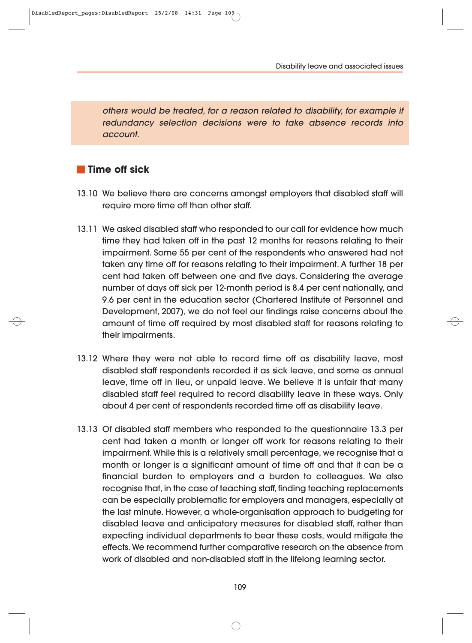Disability leave and associated issues

others would be treated, for a reason related to disability, for example if redundancy selection decisions were to take absence records into account.

## **Time off sick**

- 13.10 We believe there are concerns amongst employers that disabled staff will require more time off than other staff.
- 13.11 We asked disabled staff who responded to our call for evidence how much time they had taken off in the past 12 months for reasons relating to their impairment. Some 55 per cent of the respondents who answered had not taken any time off for reasons relating to their impairment. A further 18 per cent had taken off between one and five days. Considering the average number of days off sick per 12-month period is 8.4 per cent nationally, and 9.6 per cent in the education sector (Chartered Institute of Personnel and Development, 2007), we do not feel our findings raise concerns about the amount of time off required by most disabled staff for reasons relating to their impairments.
- 13.12 Where they were not able to record time off as disability leave, most disabled staff respondents recorded it as sick leave, and some as annual leave, time off in lieu, or unpaid leave. We believe it is unfair that many disabled staff feel required to record disability leave in these ways. Only about 4 per cent of respondents recorded time off as disability leave.
- 13.13 Of disabled staff members who responded to the questionnaire 13.3 per cent had taken a month or longer off work for reasons relating to their impairment. While this is a relatively small percentage, we recognise that a month or longer is a significant amount of time off and that it can be a financial burden to employers and a burden to colleagues. We also recognise that, in the case of teaching staff, finding teaching replacements can be especially problematic for employers and managers, especially at the last minute. However, a whole-organisation approach to budgeting for disabled leave and anticipatory measures for disabled staff, rather than expecting individual departments to bear these costs, would mitigate the effects. We recommend further comparative research on the absence from work of disabled and non-disabled staff in the lifelong learning sector.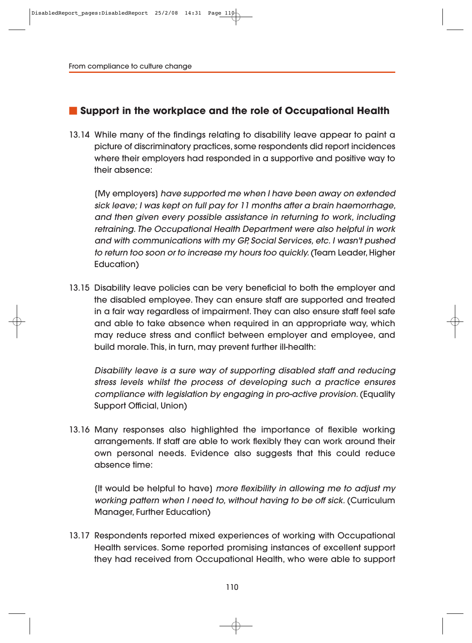# **Support in the workplace and the role of Occupational Health**

13.14 While many of the findings relating to disability leave appear to paint a picture of discriminatory practices, some respondents did report incidences where their employers had responded in a supportive and positive way to their absence:

[My employers] have supported me when I have been away on extended sick leave; I was kept on full pay for 11 months after a brain haemorrhage, and then given every possible assistance in returning to work, including retraining. The Occupational Health Department were also helpful in work and with communications with my GP, Social Services, etc. I wasn't pushed to return too soon or to increase my hours too quickly. (Team Leader, Higher Education)

13.15 Disability leave policies can be very beneficial to both the employer and the disabled employee. They can ensure staff are supported and treated in a fair way regardless of impairment. They can also ensure staff feel safe and able to take absence when required in an appropriate way, which may reduce stress and conflict between employer and employee, and build morale. This, in turn, may prevent further ill-health:

Disability leave is a sure way of supporting disabled staff and reducing stress levels whilst the process of developing such a practice ensures compliance with legislation by engaging in pro-active provision. (Equality Support Official, Union)

13.16 Many responses also highlighted the importance of flexible working arrangements. If staff are able to work flexibly they can work around their own personal needs. Evidence also suggests that this could reduce absence time:

[It would be helpful to have] more flexibility in allowing me to adjust my working pattern when I need to, without having to be off sick. (Curriculum Manager, Further Education)

13.17 Respondents reported mixed experiences of working with Occupational Health services. Some reported promising instances of excellent support they had received from Occupational Health, who were able to support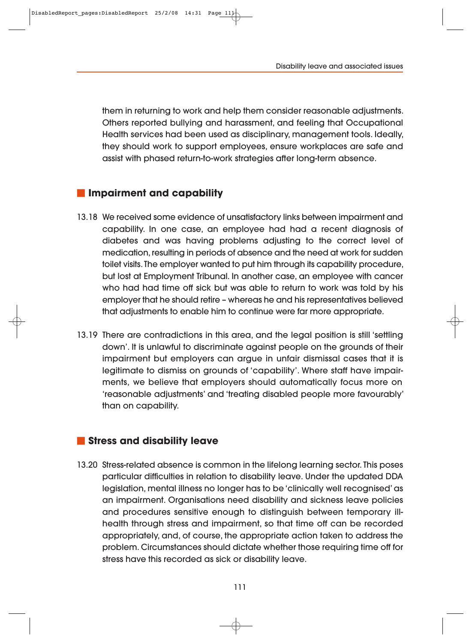them in returning to work and help them consider reasonable adjustments. Others reported bullying and harassment, and feeling that Occupational Health services had been used as disciplinary, management tools. Ideally, they should work to support employees, ensure workplaces are safe and assist with phased return-to-work strategies after long-term absence.

# **Impairment and capability**

- 13.18 We received some evidence of unsatisfactory links between impairment and capability. In one case, an employee had had a recent diagnosis of diabetes and was having problems adjusting to the correct level of medication, resulting in periods of absence and the need at work for sudden toilet visits. The employer wanted to put him through its capability procedure, but lost at Employment Tribunal. In another case, an employee with cancer who had had time off sick but was able to return to work was told by his employer that he should retire – whereas he and his representatives believed that adjustments to enable him to continue were far more appropriate.
- 13.19 There are contradictions in this area, and the legal position is still 'settling down'. It is unlawful to discriminate against people on the grounds of their impairment but employers can argue in unfair dismissal cases that it is legitimate to dismiss on grounds of 'capability'. Where staff have impairments, we believe that employers should automatically focus more on 'reasonable adjustments' and 'treating disabled people more favourably' than on capability.

#### **Stress and disability leave**

13.20 Stress-related absence is common in the lifelong learning sector. This poses particular difficulties in relation to disability leave. Under the updated DDA legislation, mental illness no longer has to be 'clinically well recognised' as an impairment. Organisations need disability and sickness leave policies and procedures sensitive enough to distinguish between temporary illhealth through stress and impairment, so that time off can be recorded appropriately, and, of course, the appropriate action taken to address the problem. Circumstances should dictate whether those requiring time off for stress have this recorded as sick or disability leave.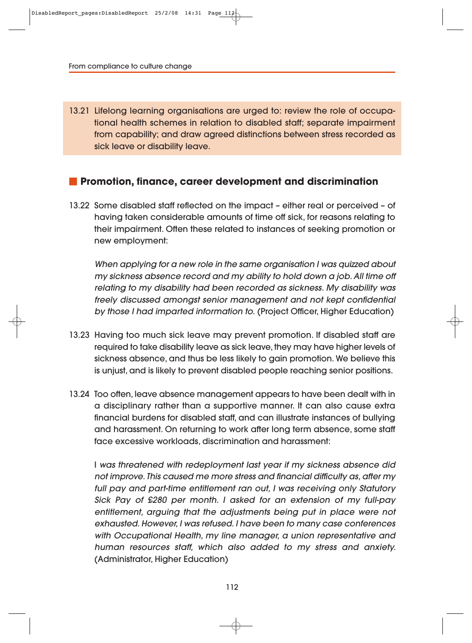13.21 Lifelong learning organisations are urged to: review the role of occupational health schemes in relation to disabled staff; separate impairment from capability; and draw agreed distinctions between stress recorded as sick leave or disability leave.

## **Promotion, finance, career development and discrimination**

13.22 Some disabled staff reflected on the impact – either real or perceived – of having taken considerable amounts of time off sick, for reasons relating to their impairment. Often these related to instances of seeking promotion or new employment:

When applying for a new role in the same organisation I was quizzed about my sickness absence record and my ability to hold down a job. All time off relating to my disability had been recorded as sickness. My disability was freely discussed amongst senior management and not kept confidential by those I had imparted information to. (Project Officer, Higher Education)

- 13.23 Having too much sick leave may prevent promotion. If disabled staff are required to take disability leave as sick leave, they may have higher levels of sickness absence, and thus be less likely to gain promotion. We believe this is unjust, and is likely to prevent disabled people reaching senior positions.
- 13.24 Too often, leave absence management appears to have been dealt with in a disciplinary rather than a supportive manner. It can also cause extra financial burdens for disabled staff, and can illustrate instances of bullying and harassment. On returning to work after long term absence, some staff face excessive workloads, discrimination and harassment:

I was threatened with redeployment last year if my sickness absence did not improve. This caused me more stress and financial difficulty as, after my full pay and part-time entitlement ran out, I was receiving only Statutory Sick Pay of £280 per month. I asked for an extension of my full-pay entitlement, arguing that the adjustments being put in place were not exhausted. However, I was refused. I have been to many case conferences with Occupational Health, my line manager, a union representative and human resources staff, which also added to my stress and anxiety. (Administrator, Higher Education)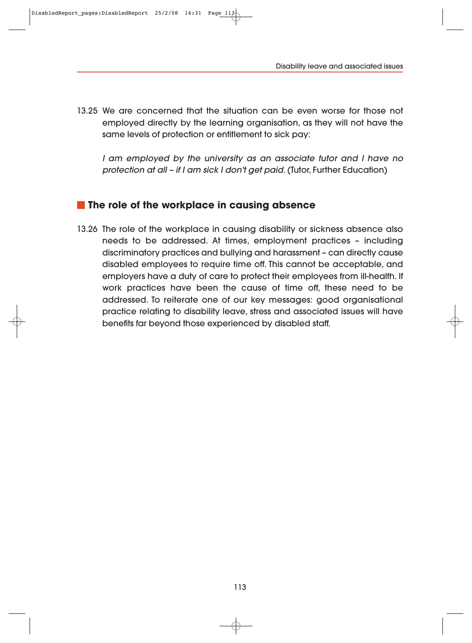13.25 We are concerned that the situation can be even worse for those not employed directly by the learning organisation, as they will not have the same levels of protection or entitlement to sick pay:

I am employed by the university as an associate tutor and I have no protection at all – if I am sick I don't get paid. (Tutor, Further Education)

#### **The role of the workplace in causing absence**

13.26 The role of the workplace in causing disability or sickness absence also needs to be addressed. At times, employment practices – including discriminatory practices and bullying and harassment – can directly cause disabled employees to require time off. This cannot be acceptable, and employers have a duty of care to protect their employees from ill-health. If work practices have been the cause of time off, these need to be addressed. To reiterate one of our key messages: good organisational practice relating to disability leave, stress and associated issues will have benefits far beyond those experienced by disabled staff.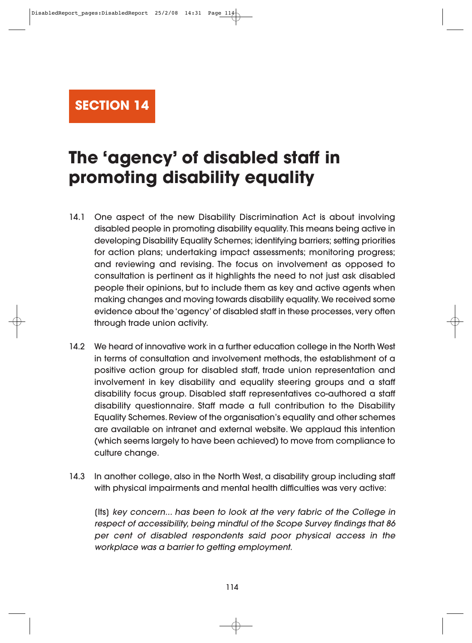**SECTION 14**

# **The 'agency' of disabled staff in promoting disability equality**

- 14.1 One aspect of the new Disability Discrimination Act is about involving disabled people in promoting disability equality. This means being active in developing Disability Equality Schemes; identifying barriers; setting priorities for action plans; undertaking impact assessments; monitoring progress; and reviewing and revising. The focus on involvement as opposed to consultation is pertinent as it highlights the need to not just ask disabled people their opinions, but to include them as key and active agents when making changes and moving towards disability equality. We received some evidence about the 'agency' of disabled staff in these processes, very often through trade union activity.
- 14.2 We heard of innovative work in a further education college in the North West in terms of consultation and involvement methods, the establishment of a positive action group for disabled staff, trade union representation and involvement in key disability and equality steering groups and a staff disability focus group. Disabled staff representatives co-authored a staff disability questionnaire. Staff made a full contribution to the Disability Equality Schemes. Review of the organisation's equality and other schemes are available on intranet and external website. We applaud this intention (which seems largely to have been achieved) to move from compliance to culture change.
- 14.3 In another college, also in the North West, a disability group including staff with physical impairments and mental health difficulties was very active:

[Its] key concern... has been to look at the very fabric of the College in respect of accessibility, being mindful of the Scope Survey findings that 86 per cent of disabled respondents said poor physical access in the workplace was a barrier to getting employment.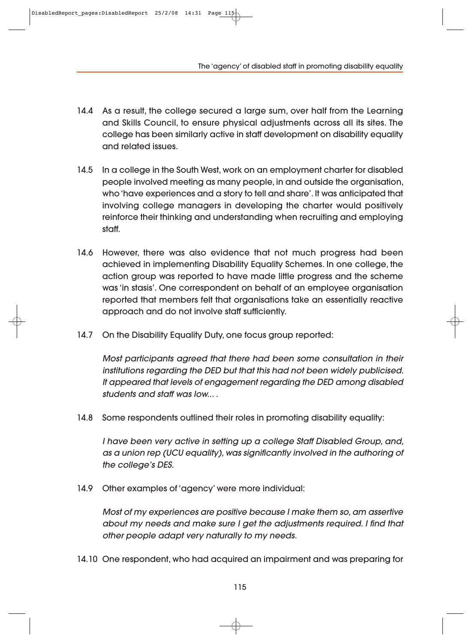The 'agency' of disabled staff in promoting disability equality

- 14.4 As a result, the college secured a large sum, over half from the Learning and Skills Council, to ensure physical adjustments across all its sites. The college has been similarly active in staff development on disability equality and related issues.
- 14.5 In a college in the South West, work on an employment charter for disabled people involved meeting as many people, in and outside the organisation, who 'have experiences and a story to tell and share'. It was anticipated that involving college managers in developing the charter would positively reinforce their thinking and understanding when recruiting and employing staff.
- 14.6 However, there was also evidence that not much progress had been achieved in implementing Disability Equality Schemes. In one college, the action group was reported to have made little progress and the scheme was 'in stasis'. One correspondent on behalf of an employee organisation reported that members felt that organisations take an essentially reactive approach and do not involve staff sufficiently.
- 14.7 On the Disability Equality Duty, one focus group reported:

Most participants agreed that there had been some consultation in their institutions regarding the DED but that this had not been widely publicised. It appeared that levels of engagement regarding the DED among disabled students and staff was low... .

14.8 Some respondents outlined their roles in promoting disability equality:

I have been very active in setting up a college Staff Disabled Group, and, as a union rep (UCU equality), was significantly involved in the authoring of the college's DES.

14.9 Other examples of 'agency' were more individual:

Most of my experiences are positive because I make them so, am assertive about my needs and make sure I get the adjustments required. I find that other people adapt very naturally to my needs.

14.10 One respondent, who had acquired an impairment and was preparing for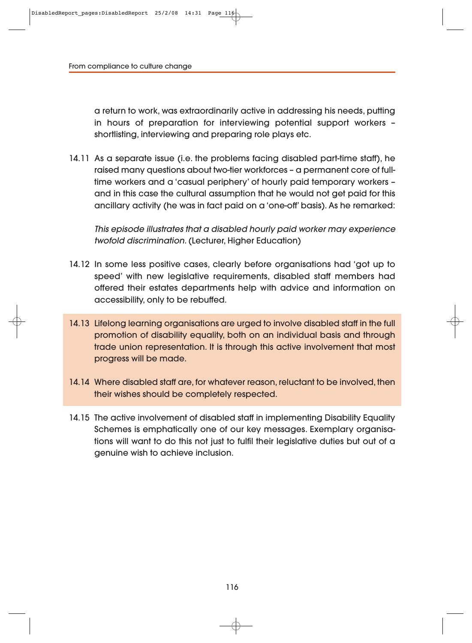a return to work, was extraordinarily active in addressing his needs, putting in hours of preparation for interviewing potential support workers – shortlisting, interviewing and preparing role plays etc.

14.11 As a separate issue (i.e. the problems facing disabled part-time staff), he raised many questions about two-tier workforces – a permanent core of fulltime workers and a 'casual periphery' of hourly paid temporary workers – and in this case the cultural assumption that he would not get paid for this ancillary activity (he was in fact paid on a 'one-off' basis). As he remarked:

This episode illustrates that a disabled hourly paid worker may experience twofold discrimination. (Lecturer, Higher Education)

- 14.12 In some less positive cases, clearly before organisations had 'got up to speed' with new legislative requirements, disabled staff members had offered their estates departments help with advice and information on accessibility, only to be rebuffed.
- 14.13 Lifelong learning organisations are urged to involve disabled staff in the full promotion of disability equality, both on an individual basis and through trade union representation. It is through this active involvement that most progress will be made.
- 14.14 Where disabled staff are, for whatever reason, reluctant to be involved, then their wishes should be completely respected.
- 14.15 The active involvement of disabled staff in implementing Disability Equality Schemes is emphatically one of our key messages. Exemplary organisations will want to do this not just to fulfil their legislative duties but out of a genuine wish to achieve inclusion.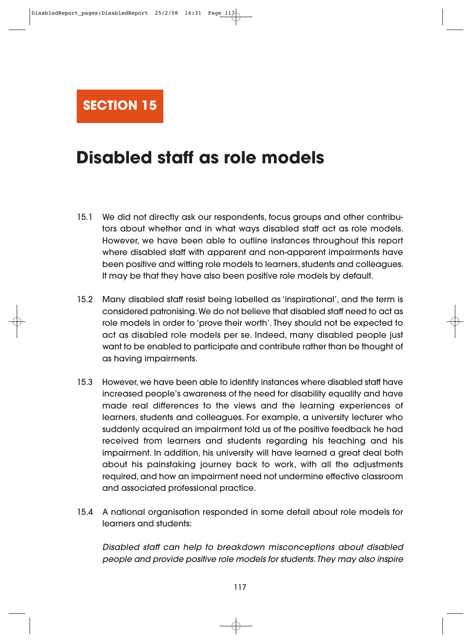

# **Disabled staff as role models**

- 15.1 We did not directly ask our respondents, focus groups and other contributors about whether and in what ways disabled staff act as role models. However, we have been able to outline instances throughout this report where disabled staff with apparent and non-apparent impairments have been positive and witting role models to learners, students and colleagues. It may be that they have also been positive role models by default.
- 15.2 Many disabled staff resist being labelled as 'inspirational', and the term is considered patronising. We do not believe that disabled staff need to act as role models in order to 'prove their worth'. They should not be expected to act as disabled role models per se. Indeed, many disabled people just want to be enabled to participate and contribute rather than be thought of as having impairments.
- 15.3 However, we have been able to identify instances where disabled staff have increased people's awareness of the need for disability equality and have made real differences to the views and the learning experiences of learners, students and colleagues. For example, a university lecturer who suddenly acquired an impairment told us of the positive feedback he had received from learners and students regarding his teaching and his impairment. In addition, his university will have learned a great deal both about his painstaking journey back to work, with all the adjustments required, and how an impairment need not undermine effective classroom and associated professional practice.
- 15.4 A national organisation responded in some detail about role models for learners and students:

Disabled staff can help to breakdown misconceptions about disabled people and provide positive role models for students. They may also inspire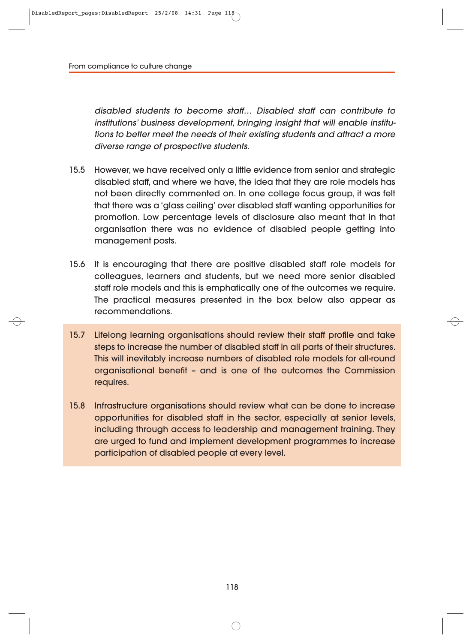disabled students to become staff… Disabled staff can contribute to institutions' business development, bringing insight that will enable institutions to better meet the needs of their existing students and attract a more diverse range of prospective students.

- 15.5 However, we have received only a little evidence from senior and strategic disabled staff, and where we have, the idea that they are role models has not been directly commented on. In one college focus group, it was felt that there was a 'glass ceiling' over disabled staff wanting opportunities for promotion. Low percentage levels of disclosure also meant that in that organisation there was no evidence of disabled people getting into management posts.
- 15.6 It is encouraging that there are positive disabled staff role models for colleagues, learners and students, but we need more senior disabled staff role models and this is emphatically one of the outcomes we require. The practical measures presented in the box below also appear as recommendations.
- 15.7 Lifelong learning organisations should review their staff profile and take steps to increase the number of disabled staff in all parts of their structures. This will inevitably increase numbers of disabled role models for all-round organisational benefit – and is one of the outcomes the Commission requires.
- 15.8 Infrastructure organisations should review what can be done to increase opportunities for disabled staff in the sector, especially at senior levels, including through access to leadership and management training. They are urged to fund and implement development programmes to increase participation of disabled people at every level.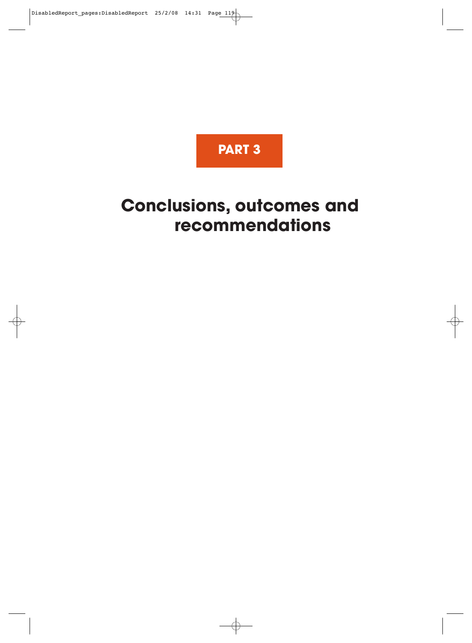

# **Conclusions, outcomes and recommendations**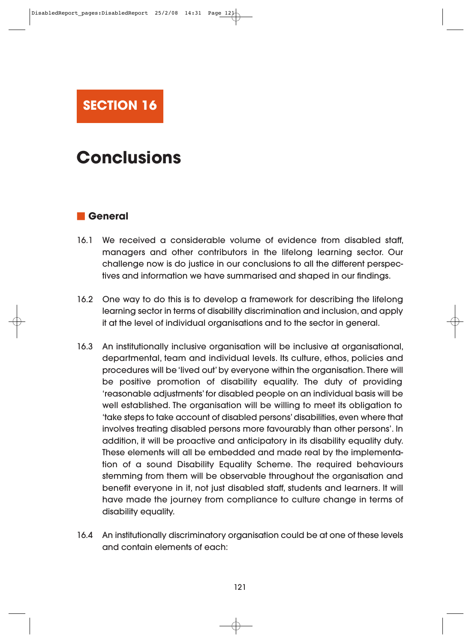

# **Conclusions**

# **General**

- 16.1 We received a considerable volume of evidence from disabled staff, managers and other contributors in the lifelong learning sector. Our challenge now is do justice in our conclusions to all the different perspectives and information we have summarised and shaped in our findings.
- 16.2 One way to do this is to develop a framework for describing the lifelong learning sector in terms of disability discrimination and inclusion, and apply it at the level of individual organisations and to the sector in general.
- 16.3 An institutionally inclusive organisation will be inclusive at organisational, departmental, team and individual levels. Its culture, ethos, policies and procedures will be 'lived out' by everyone within the organisation. There will be positive promotion of disability equality. The duty of providing 'reasonable adjustments' for disabled people on an individual basis will be well established. The organisation will be willing to meet its obligation to 'take steps to take account of disabled persons' disabilities, even where that involves treating disabled persons more favourably than other persons'. In addition, it will be proactive and anticipatory in its disability equality duty. These elements will all be embedded and made real by the implementation of a sound Disability Equality Scheme. The required behaviours stemming from them will be observable throughout the organisation and benefit everyone in it, not just disabled staff, students and learners. It will have made the journey from compliance to culture change in terms of disability equality.
- 16.4 An institutionally discriminatory organisation could be at one of these levels and contain elements of each: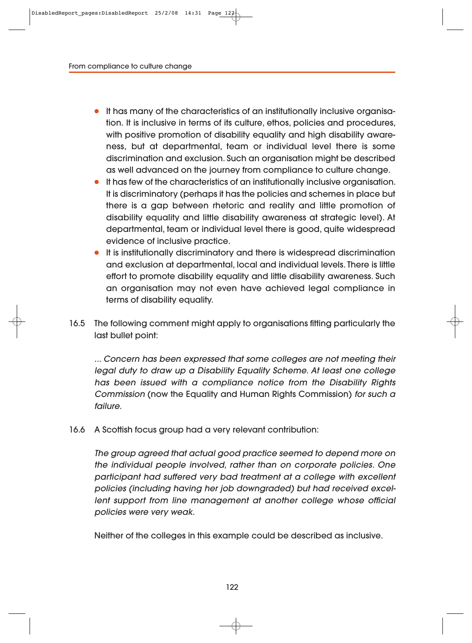- It has many of the characteristics of an institutionally inclusive organisation. It is inclusive in terms of its culture, ethos, policies and procedures, with positive promotion of disability equality and high disability awareness, but at departmental, team or individual level there is some discrimination and exclusion. Such an organisation might be described as well advanced on the journey from compliance to culture change.
- It has few of the characteristics of an institutionally inclusive organisation. It is discriminatory (perhaps it has the policies and schemes in place but there is a gap between rhetoric and reality and little promotion of disability equality and little disability awareness at strategic level). At departmental, team or individual level there is good, quite widespread evidence of inclusive practice.
- It is institutionally discriminatory and there is widespread discrimination and exclusion at departmental, local and individual levels. There is little effort to promote disability equality and little disability awareness. Such an organisation may not even have achieved legal compliance in terms of disability equality.
- 16.5 The following comment might apply to organisations fitting particularly the last bullet point:

... Concern has been expressed that some colleges are not meeting their legal duty to draw up a Disability Equality Scheme. At least one college has been issued with a compliance notice from the Disability Rights Commission (now the Equality and Human Rights Commission) for such a failure.

16.6 A Scottish focus group had a very relevant contribution:

The group agreed that actual good practice seemed to depend more on the individual people involved, rather than on corporate policies. One participant had suffered very bad treatment at a college with excellent policies (including having her job downgraded) but had received excellent support from line management at another college whose official policies were very weak.

Neither of the colleges in this example could be described as inclusive.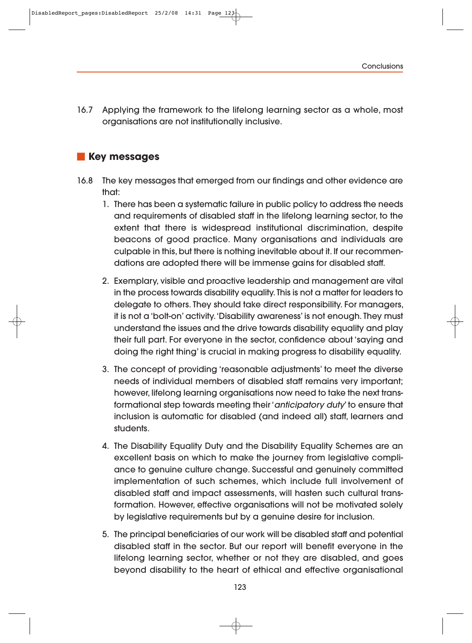16.7 Applying the framework to the lifelong learning sector as a whole, most organisations are not institutionally inclusive.

# **Key messages**

- 16.8 The key messages that emerged from our findings and other evidence are that:
	- 1. There has been a systematic failure in public policy to address the needs and requirements of disabled staff in the lifelong learning sector, to the extent that there is widespread institutional discrimination, despite beacons of good practice. Many organisations and individuals are culpable in this, but there is nothing inevitable about it. If our recommendations are adopted there will be immense gains for disabled staff.
	- 2. Exemplary, visible and proactive leadership and management are vital in the process towards disability equality. This is not a matter for leaders to delegate to others. They should take direct responsibility. For managers, it is not a 'bolt-on' activity. 'Disability awareness' is not enough. They must understand the issues and the drive towards disability equality and play their full part. For everyone in the sector, confidence about 'saying and doing the right thing' is crucial in making progress to disability equality.
	- 3. The concept of providing 'reasonable adjustments' to meet the diverse needs of individual members of disabled staff remains very important; however, lifelong learning organisations now need to take the next transformational step towards meeting their 'anticipatory duty' to ensure that inclusion is automatic for disabled (and indeed all) staff, learners and students.
	- 4. The Disability Equality Duty and the Disability Equality Schemes are an excellent basis on which to make the journey from legislative compliance to genuine culture change. Successful and genuinely committed implementation of such schemes, which include full involvement of disabled staff and impact assessments, will hasten such cultural trans formation. However, effective organisations will not be motivated solely by legislative requirements but by a genuine desire for inclusion.
	- 5. The principal beneficiaries of our work will be disabled staff and potential disabled staff in the sector. But our report will benefit everyone in the lifelong learning sector, whether or not they are disabled, and goes beyond disability to the heart of ethical and effective organisational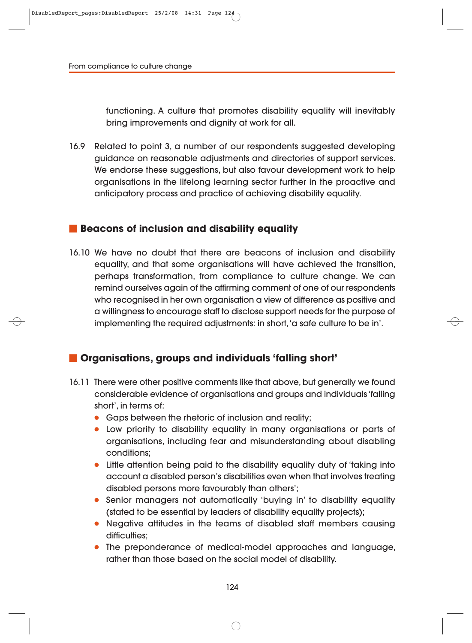functioning. A culture that promotes disability equality will inevitably bring improvements and dignity at work for all.

16.9 Related to point 3, a number of our respondents suggested developing guidance on reasonable adjustments and directories of support services. We endorse these suggestions, but also favour development work to help organisations in the lifelong learning sector further in the proactive and anticipatory process and practice of achieving disability equality.

## **Beacons of inclusion and disability equality**

16.10 We have no doubt that there are beacons of inclusion and disability equality, and that some organisations will have achieved the transition, perhaps transformation, from compliance to culture change. We can remind ourselves again of the affirming comment of one of our respondents who recognised in her own organisation a view of difference as positive and a willingness to encourage staff to disclose support needs for the purpose of implementing the required adjustments: in short, 'a safe culture to be in'.

# **Organisations, groups and individuals 'falling short'**

- 16.11 There were other positive comments like that above, but generally we found considerable evidence of organisations and groups and individuals 'falling short', in terms of:
	- Gaps between the rhetoric of inclusion and reality;
	- Low priority to disability equality in many organisations or parts of organisations, including fear and misunderstanding about disabling conditions;
	- Little attention being paid to the disability equality duty of 'taking into account a disabled person's disabilities even when that involves treating disabled persons more favourably than others';
	- Senior managers not automatically 'buying in' to disability equality (stated to be essential by leaders of disability equality projects);
	- Negative attitudes in the teams of disabled staff members causing difficulties;
	- The preponderance of medical-model approaches and language, rather than those based on the social model of disability.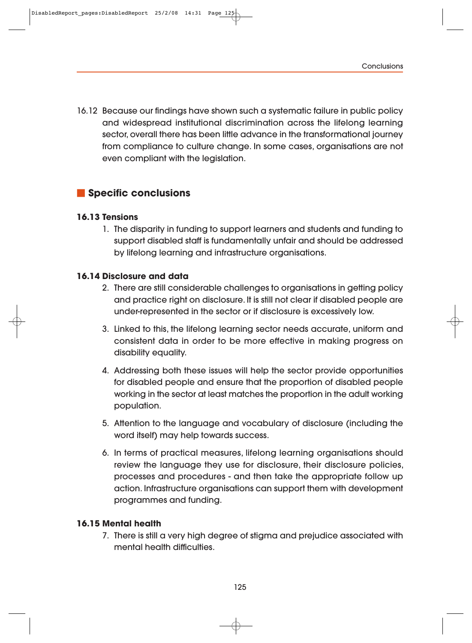16.12 Because our findings have shown such a systematic failure in public policy and widespread institutional discrimination across the lifelong learning sector, overall there has been little advance in the transformational journey from compliance to culture change. In some cases, organisations are not even compliant with the legislation.

# **Specific conclusions**

## **16.13 Tensions**

1. The disparity in funding to support learners and students and funding to support disabled staff is fundamentally unfair and should be addressed by lifelong learning and infrastructure organisations.

#### **16.14 Disclosure and data**

- 2. There are still considerable challenges to organisations in getting policy and practice right on disclosure. It is still not clear if disabled people are under-represented in the sector or if disclosure is excessively low.
- 3. Linked to this, the lifelong learning sector needs accurate, uniform and consistent data in order to be more effective in making progress on disability equality.
- 4. Addressing both these issues will help the sector provide opportunities for disabled people and ensure that the proportion of disabled people working in the sector at least matches the proportion in the adult working population.
- 5. Attention to the language and vocabulary of disclosure (including the word itself) may help towards success.
- 6. In terms of practical measures, lifelong learning organisations should review the language they use for disclosure, their disclosure policies, processes and procedures - and then take the appropriate follow up action. Infrastructure organisations can support them with development programmes and funding.

#### **16.15 Mental health**

7. There is still a very high degree of stigma and prejudice associated with mental health difficulties.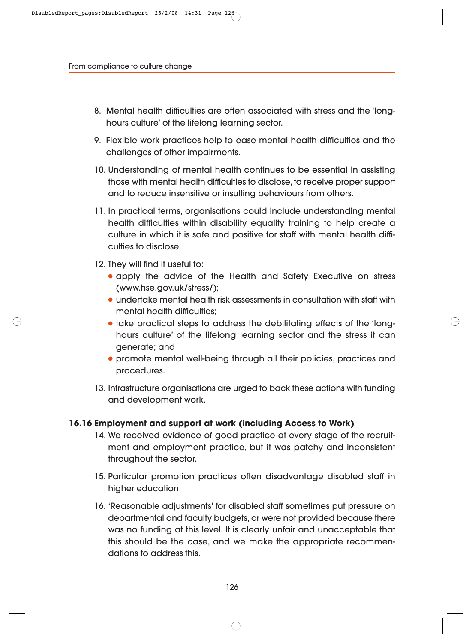- 8. Mental health difficulties are often associated with stress and the 'longhours culture' of the lifelong learning sector.
- 9. Flexible work practices help to ease mental health difficulties and the challenges of other impairments.
- 10. Understanding of mental health continues to be essential in assisting those with mental health difficulties to disclose, to receive proper support and to reduce insensitive or insulting behaviours from others.
- 11. In practical terms, organisations could include understanding mental health difficulties within disability equality training to help create a culture in which it is safe and positive for staff with mental health difficulties to disclose.
- 12. They will find it useful to:
	- apply the advice of the Health and Safety Executive on stress (www.hse.gov.uk/stress/);
	- undertake mental health risk assessments in consultation with staff with mental health difficulties;
	- take practical steps to address the debilitating effects of the 'longhours culture' of the lifelong learning sector and the stress it can generate; and
	- promote mental well-being through all their policies, practices and procedures.
- 13. Infrastructure organisations are urged to back these actions with funding and development work.

#### **16.16 Employment and support at work (including Access to Work)**

- 14. We received evidence of good practice at every stage of the recruitment and employment practice, but it was patchy and inconsistent throughout the sector.
- 15. Particular promotion practices often disadvantage disabled staff in higher education.
- 16. 'Reasonable adjustments' for disabled staff sometimes put pressure on departmental and faculty budgets, or were not provided because there was no funding at this level. It is clearly unfair and unacceptable that this should be the case, and we make the appropriate recommendations to address this.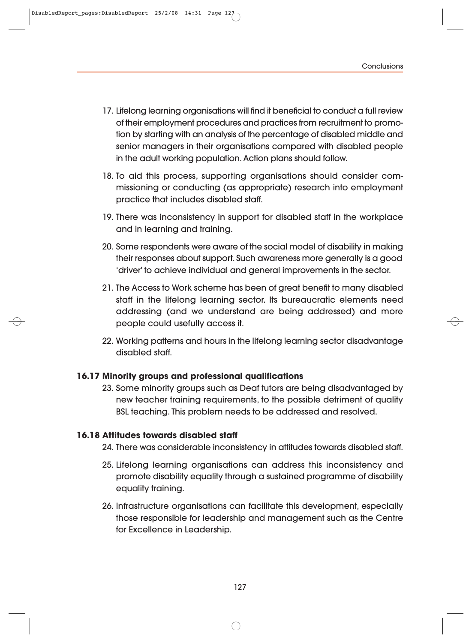- 17. Lifelong learning organisations will find it beneficial to conduct a full review of their employment procedures and practices from recruitment to promotion by starting with an analysis of the percentage of disabled middle and senior managers in their organisations compared with disabled people in the adult working population. Action plans should follow.
- 18. To aid this process, supporting organisations should consider commissioning or conducting (as appropriate) research into employment practice that includes disabled staff.
- 19. There was inconsistency in support for disabled staff in the workplace and in learning and training.
- 20. Some respondents were aware of the social model of disability in making their responses about support. Such awareness more generally is a good 'driver' to achieve individual and general improvements in the sector.
- 21. The Access to Work scheme has been of great benefit to many disabled staff in the lifelong learning sector. Its bureaucratic elements need addressing (and we understand are being addressed) and more people could usefully access it.
- 22. Working patterns and hours in the lifelong learning sector disadvantage disabled staff.

#### **16.17 Minority groups and professional qualifications**

23. Some minority groups such as Deaf tutors are being disadvantaged by new teacher training requirements, to the possible detriment of quality BSL teaching. This problem needs to be addressed and resolved.

#### **16.18 Attitudes towards disabled staff**

- 24. There was considerable inconsistency in attitudes towards disabled staff.
- 25. Lifelong learning organisations can address this inconsistency and promote disability equality through a sustained programme of disability equality training.
- 26. Infrastructure organisations can facilitate this development, especially those responsible for leadership and management such as the Centre for Excellence in Leadership.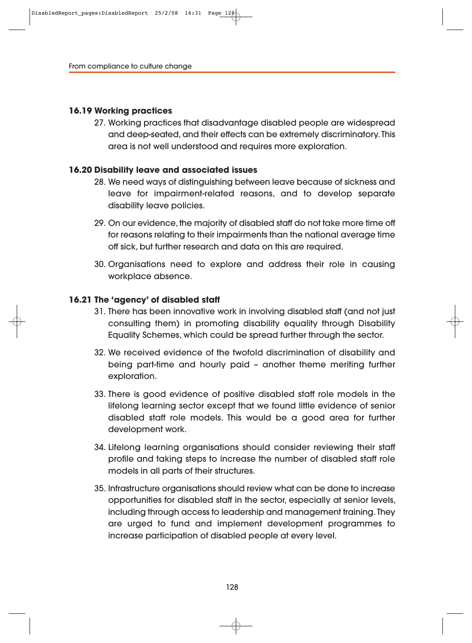#### **16.19 Working practices**

27. Working practices that disadvantage disabled people are widespread and deep-seated, and their effects can be extremely discriminatory. This area is not well understood and requires more exploration.

#### **16.20 Disability leave and associated issues**

- 28. We need ways of distinguishing between leave because of sickness and leave for impairment-related reasons, and to develop separate disability leave policies.
- 29. On our evidence, the majority of disabled staff do not take more time off for reasons relating to their impairments than the national average time off sick, but further research and data on this are required.
- 30. Organisations need to explore and address their role in causing workplace absence.

#### **16.21 The 'agency' of disabled staff**

- 31. There has been innovative work in involving disabled staff (and not just consulting them) in promoting disability equality through Disability Equality Schemes, which could be spread further through the sector.
- 32. We received evidence of the twofold discrimination of disability and being part-time and hourly paid – another theme meriting further exploration.
- 33. There is good evidence of positive disabled staff role models in the lifelong learning sector except that we found little evidence of senior disabled staff role models. This would be a good area for further development work.
- 34. Lifelong learning organisations should consider reviewing their staff profile and taking steps to increase the number of disabled staff role models in all parts of their structures.
- 35. Infrastructure organisations should review what can be done to increase opportunities for disabled staff in the sector, especially at senior levels, including through access to leadership and management training. They are urged to fund and implement development programmes to increase participation of disabled people at every level.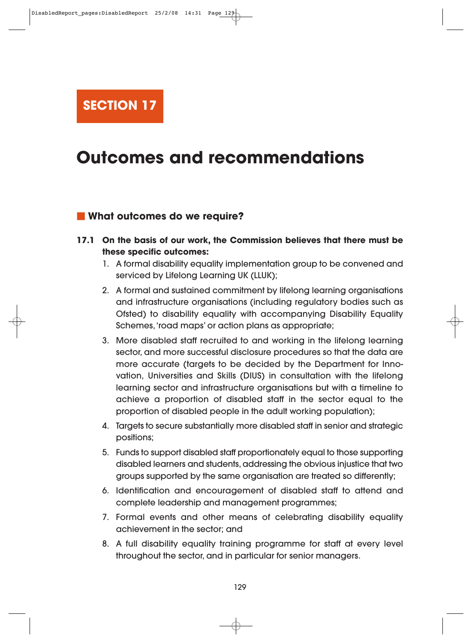**SECTION 17**

# **Outcomes and recommendations**

#### **What outcomes do we require?**

- **17.1 On the basis of our work, the Commission believes that there must be these specific outcomes:**
	- 1. A formal disability equality implementation group to be convened and serviced by Lifelong Learning UK (LLUK);
	- 2. A formal and sustained commitment by lifelong learning organisations and infrastructure organisations (including regulatory bodies such as Ofsted) to disability equality with accompanying Disability Equality Schemes, 'road maps' or action plans as appropriate;
	- 3. More disabled staff recruited to and working in the lifelong learning sector, and more successful disclosure procedures so that the data are more accurate (targets to be decided by the Department for Innovation, Universities and Skills (DIUS) in consultation with the lifelong learning sector and infrastructure organisations but with a timeline to achieve a proportion of disabled staff in the sector equal to the proportion of disabled people in the adult working population);
	- 4. Targets to secure substantially more disabled staff in senior and strategic positions;
	- 5. Funds to support disabled staff proportionately equal to those supporting disabled learners and students, addressing the obvious injustice that two groups supported by the same organisation are treated so differently;
	- 6. Identification and encouragement of disabled staff to attend and complete leadership and management programmes;
	- 7. Formal events and other means of celebrating disability equality achievement in the sector; and
	- 8. A full disability equality training programme for staff at every level throughout the sector, and in particular for senior managers.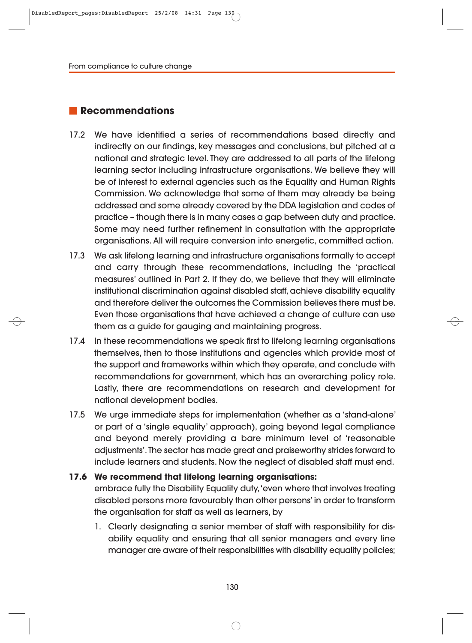# **Recommendations**

- 17.2 We have identified a series of recommendations based directly and indirectly on our findings, key messages and conclusions, but pitched at a national and strategic level. They are addressed to all parts of the lifelong learning sector including infrastructure organisations. We believe they will be of interest to external agencies such as the Equality and Human Rights Commission. We acknowledge that some of them may already be being addressed and some already covered by the DDA legislation and codes of practice – though there is in many cases a gap between duty and practice. Some may need further refinement in consultation with the appropriate organisations. All will require conversion into energetic, committed action.
- 17.3 We ask lifelong learning and infrastructure organisations formally to accept and carry through these recommendations, including the 'practical measures' outlined in Part 2. If they do, we believe that they will eliminate institutional discrimination against disabled staff, achieve disability equality and therefore deliver the outcomes the Commission believes there must be. Even those organisations that have achieved a change of culture can use them as a guide for gauging and maintaining progress.
- 17.4 In these recommendations we speak first to lifelong learning organisations themselves, then to those institutions and agencies which provide most of the support and frameworks within which they operate, and conclude with recommendations for government, which has an overarching policy role. Lastly, there are recommendations on research and development for national development bodies.
- 17.5 We urge immediate steps for implementation (whether as a 'stand-alone' or part of a 'single equality' approach), going beyond legal compliance and beyond merely providing a bare minimum level of 'reasonable adjustments'. The sector has made great and praiseworthy strides forward to include learners and students. Now the neglect of disabled staff must end.

#### **17.6 We recommend that lifelong learning organisations:**

embrace fully the Disability Equality duty, 'even where that involves treating disabled persons more favourably than other persons' in order to transform the organisation for staff as well as learners, by

1. Clearly designating a senior member of staff with responsibility for disability equality and ensuring that all senior managers and every line manager are aware of their responsibilities with disability equality policies;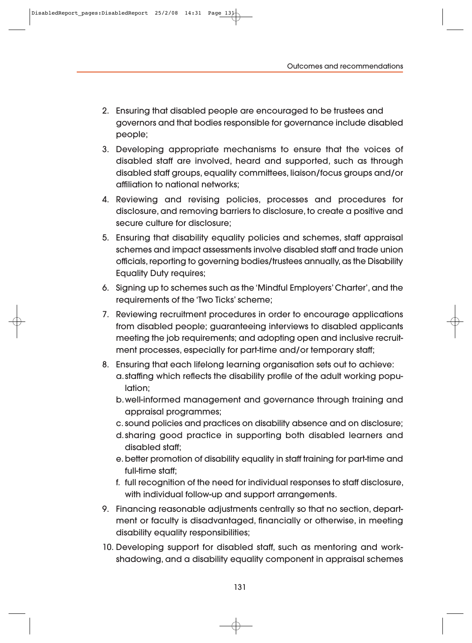- 2. Ensuring that disabled people are encouraged to be trustees and governors and that bodies responsible for governance include disabled people;
- 3. Developing appropriate mechanisms to ensure that the voices of disabled staff are involved, heard and supported, such as through disabled staff groups, equality committees, liaison/focus groups and/or affiliation to national networks;
- 4. Reviewing and revising policies, processes and procedures for disclosure, and removing barriers to disclosure, to create a positive and secure culture for disclosure;
- 5. Ensuring that disability equality policies and schemes, staff appraisal schemes and impact assessments involve disabled staff and trade union officials, reporting to governing bodies/trustees annually, as the Disability Equality Duty requires;
- 6. Signing up to schemes such as the 'Mindful Employers' Charter', and the requirements of the 'Two Ticks' scheme;
- 7. Reviewing recruitment procedures in order to encourage applications from disabled people; guaranteeing interviews to disabled applicants meeting the job requirements; and adopting open and inclusive recruitment processes, especially for part-time and/or temporary staff;
- 8. Ensuring that each lifelong learning organisation sets out to achieve: a. staffing which reflects the disability profile of the adult working population;
	- b.well-informed management and governance through training and appraisal programmes;
	- c. sound policies and practices on disability absence and on disclosure;
	- d.sharing good practice in supporting both disabled learners and disabled staff;
	- e. better promotion of disability equality in staff training for part-time and full-time staff;
	- f. full recognition of the need for individual responses to staff disclosure, with individual follow-up and support arrangements.
- 9. Financing reasonable adjustments centrally so that no section, department or faculty is disadvantaged, financially or otherwise, in meeting disability equality responsibilities;
- 10. Developing support for disabled staff, such as mentoring and workshadowing, and a disability equality component in appraisal schemes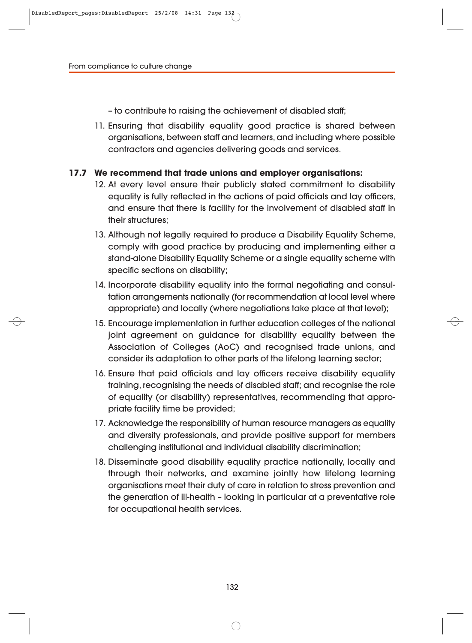– to contribute to raising the achievement of disabled staff;

11. Ensuring that disability equality good practice is shared between organisations, between staff and learners, and including where possible contractors and agencies delivering goods and services.

#### **17.7 We recommend that trade unions and employer organisations:**

- 12. At every level ensure their publicly stated commitment to disability equality is fully reflected in the actions of paid officials and lay officers, and ensure that there is facility for the involvement of disabled staff in their structures;
- 13. Although not legally required to produce a Disability Equality Scheme, comply with good practice by producing and implementing either a stand-alone Disability Equality Scheme or a single equality scheme with specific sections on disability;
- 14. Incorporate disability equality into the formal negotiating and consultation arrangements nationally (for recommendation at local level where appropriate) and locally (where negotiations take place at that level);
- 15. Encourage implementation in further education colleges of the national joint agreement on guidance for disability equality between the Association of Colleges (AoC) and recognised trade unions, and consider its adaptation to other parts of the lifelong learning sector;
- 16. Ensure that paid officials and lay officers receive disability equality training, recognising the needs of disabled staff; and recognise the role of equality (or disability) representatives, recommending that appropriate facility time be provided;
- 17. Acknowledge the responsibility of human resource managers as equality and diversity professionals, and provide positive support for members challenging institutional and individual disability discrimination;
- 18. Disseminate good disability equality practice nationally, locally and through their networks, and examine jointly how lifelong learning organisations meet their duty of care in relation to stress prevention and the generation of ill-health – looking in particular at a preventative role for occupational health services.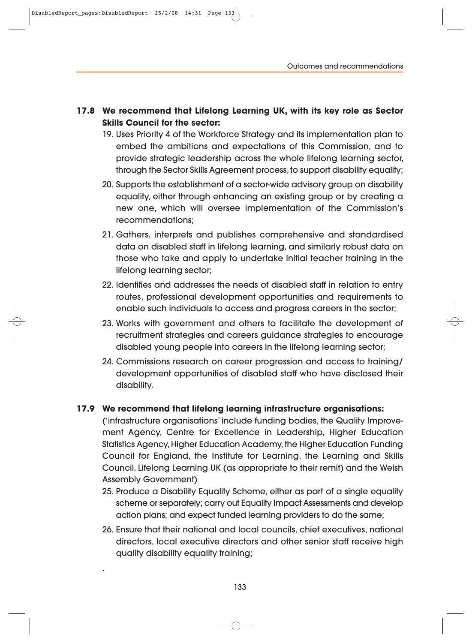- **17.8 We recommend that Lifelong Learning UK, with its key role as Sector Skills Council for the sector:**
	- 19. Uses Priority 4 of the Workforce Strategy and its implementation plan to embed the ambitions and expectations of this Commission, and to provide strategic leadership across the whole lifelong learning sector, through the Sector Skills Agreement process, to support disability equality;
	- 20. Supports the establishment of a sector-wide advisory group on disability equality, either through enhancing an existing group or by creating a new one, which will oversee implementation of the Commission's recommendations;
	- 21. Gathers, interprets and publishes comprehensive and standardised data on disabled staff in lifelong learning, and similarly robust data on those who take and apply to undertake initial teacher training in the lifelong learning sector;
	- 22. Identifies and addresses the needs of disabled staff in relation to entry routes, professional development opportunities and requirements to enable such individuals to access and progress careers in the sector;
	- 23. Works with government and others to facilitate the development of recruitment strategies and careers guidance strategies to encourage disabled young people into careers in the lifelong learning sector;
	- 24. Commissions research on career progression and access to training/ development opportunities of disabled staff who have disclosed their disability.

#### **17.9 We recommend that lifelong learning infrastructure organisations:**

('infrastructure organisations' include funding bodies, the Quality Improve ment Agency, Centre for Excellence in Leadership, Higher Education Statistics Agency, Higher Education Academy, the Higher Education Funding Council for England, the Institute for Learning, the Learning and Skills Council, Lifelong Learning UK (as appropriate to their remit) and the Welsh Assembly Government)

- 25. Produce a Disability Equality Scheme, either as part of a single equality scheme or separately; carry out Equality Impact Assessments and develop action plans; and expect funded learning providers to do the same;
- 26. Ensure that their national and local councils, chief executives, national directors, local executive directors and other senior staff receive high quality disability equality training;

.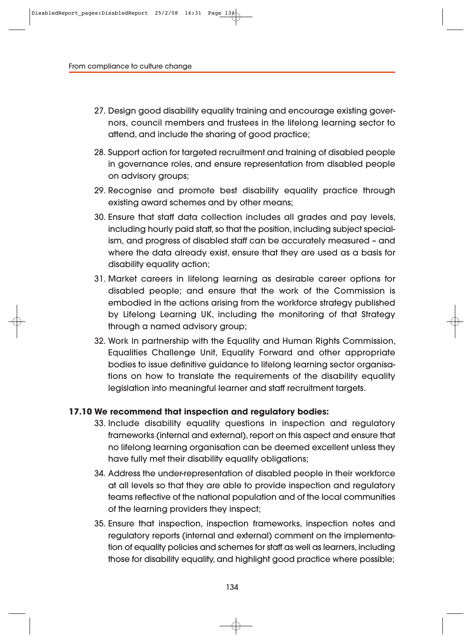- 27. Design good disability equality training and encourage existing governors, council members and trustees in the lifelong learning sector to attend, and include the sharing of good practice;
- 28. Support action for targeted recruitment and training of disabled people in governance roles, and ensure representation from disabled people on advisory groups;
- 29. Recognise and promote best disability equality practice through existing award schemes and by other means;
- 30. Ensure that staff data collection includes all grades and pay levels, including hourly paid staff, so that the position, including subject specialism, and progress of disabled staff can be accurately measured – and where the data already exist, ensure that they are used as a basis for disability equality action;
- 31. Market careers in lifelong learning as desirable career options for disabled people; and ensure that the work of the Commission is embodied in the actions arising from the workforce strategy published by Lifelong Learning UK, including the monitoring of that Strategy through a named advisory group;
- 32. Work in partnership with the Equality and Human Rights Commission, Equalities Challenge Unit, Equality Forward and other appropriate bodies to issue definitive guidance to lifelong learning sector organisations on how to translate the requirements of the disability equality legislation into meaningful learner and staff recruitment targets.

#### **17.10 We recommend that inspection and regulatory bodies:**

- 33. Include disability equality questions in inspection and regulatory frameworks (internal and external), report on this aspect and ensure that no lifelong learning organisation can be deemed excellent unless they have fully met their disability equality obligations;
- 34. Address the under-representation of disabled people in their workforce at all levels so that they are able to provide inspection and regulatory teams reflective of the national population and of the local communities of the learning providers they inspect;
- 35. Ensure that inspection, inspection frameworks, inspection notes and regulatory reports (internal and external) comment on the implementation of equality policies and schemes for staff as well as learners, including those for disability equality, and highlight good practice where possible;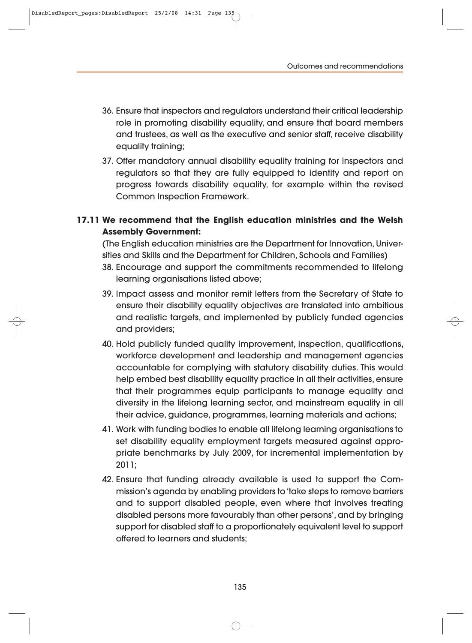- 36. Ensure that inspectors and regulators understand their critical leadership role in promoting disability equality, and ensure that board members and trustees, as well as the executive and senior staff, receive disability equality training;
- 37. Offer mandatory annual disability equality training for inspectors and regulators so that they are fully equipped to identify and report on progress towards disability equality, for example within the revised Common Inspection Framework.

### **17.11 We recommend that the English education ministries and the Welsh Assembly Government:**

(The English education ministries are the Department for Innovation, Univer sities and Skills and the Department for Children, Schools and Families)

- 38. Encourage and support the commitments recommended to lifelong learning organisations listed above;
- 39. Impact assess and monitor remit letters from the Secretary of State to ensure their disability equality objectives are translated into ambitious and realistic targets, and implemented by publicly funded agencies and providers;
- 40. Hold publicly funded quality improvement, inspection, qualifications, workforce development and leadership and management agencies accountable for complying with statutory disability duties. This would help embed best disability equality practice in all their activities, ensure that their programmes equip participants to manage equality and diversity in the lifelong learning sector, and mainstream equality in all their advice, guidance, programmes, learning materials and actions;
- 41. Work with funding bodies to enable all lifelong learning organisations to set disability equality employment targets measured against appropriate benchmarks by July 2009, for incremental implementation by 2011;
- 42. Ensure that funding already available is used to support the Commission's agenda by enabling providers to 'take steps to remove barriers and to support disabled people, even where that involves treating disabled persons more favourably than other persons', and by bringing support for disabled staff to a proportionately equivalent level to support offered to learners and students;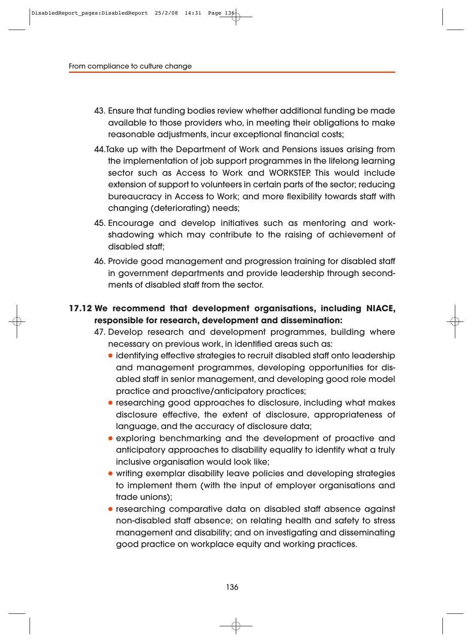- 43. Ensure that funding bodies review whether additional funding be made available to those providers who, in meeting their obligations to make reasonable adjustments, incur exceptional financial costs;
- 44.Take up with the Department of Work and Pensions issues arising from the implementation of job support programmes in the lifelong learning sector such as Access to Work and WORKSTEP. This would include extension of support to volunteers in certain parts of the sector; reducing bureaucracy in Access to Work; and more flexibility towards staff with changing (deteriorating) needs;
- 45. Encourage and develop initiatives such as mentoring and workshadowing which may contribute to the raising of achievement of disabled staff;
- 46. Provide good management and progression training for disabled staff in government departments and provide leadership through secondments of disabled staff from the sector.

### **17.12 We recommend that development organisations, including NIACE, responsible for research, development and dissemination:**

- 47. Develop research and development programmes, building where necessary on previous work, in identified areas such as:
	- identifying effective strategies to recruit disabled staff onto leadership and management programmes, developing opportunities for disabled staff in senior management, and developing good role model practice and proactive/anticipatory practices;
	- researching good approaches to disclosure, including what makes disclosure effective, the extent of disclosure, appropriateness of language, and the accuracy of disclosure data;
	- exploring benchmarking and the development of proactive and anticipatory approaches to disability equality to identify what a truly inclusive organisation would look like;
	- writing exemplar disability leave policies and developing strategies to implement them (with the input of employer organisations and trade unions);
	- researching comparative data on disabled staff absence against non-disabled staff absence; on relating health and safety to stress management and disability; and on investigating and disseminating good practice on workplace equity and working practices.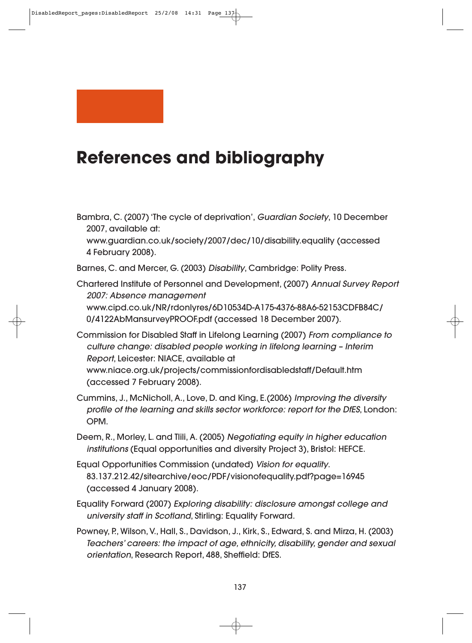

## **References and bibliography**

Bambra, C. (2007) 'The cycle of deprivation', Guardian Society, 10 December 2007, available at:

www.guardian.co.uk/society/2007/dec/10/disability.equality (accessed 4 February 2008).

Barnes, C. and Mercer, G. (2003) Disability, Cambridge: Polity Press.

Chartered Institute of Personnel and Development, (2007) Annual Survey Report 2007: Absence management www.cipd.co.uk/NR/rdonlyres/6D10534D-A175-4376-88A6-52153CDFB84C/ 0/4122AbMansurveyPROOF.pdf (accessed 18 December 2007).

- Commission for Disabled Staff in Lifelong Learning (2007) From compliance to culture change: disabled people working in lifelong learning – Interim Report, Leicester: NIACE, available at www.niace.org.uk/projects/commissionfordisabledstaff/Default.htm (accessed 7 February 2008).
- Cummins, J., McNicholl, A., Love, D. and King, E.(2006) Improving the diversity profile of the learning and skills sector workforce: report for the DfES, London: OPM.

Deem, R., Morley, L. and Tlili, A. (2005) Negotiating equity in higher education institutions (Equal opportunities and diversity Project 3), Bristol: HEFCE.

- Equal Opportunities Commission (undated) Vision for equality. 83.137.212.42/sitearchive/eoc/PDF/visionofequality.pdf?page=16945 (accessed 4 January 2008).
- Equality Forward (2007) Exploring disability: disclosure amongst college and university staff in Scotland, Stirling: Equality Forward.
- Powney, P., Wilson, V., Hall, S., Davidson, J., Kirk, S., Edward, S. and Mirza, H. (2003) Teachers' careers: the impact of age, ethnicity, disability, gender and sexual orientation, Research Report, 488, Sheffield: DfES.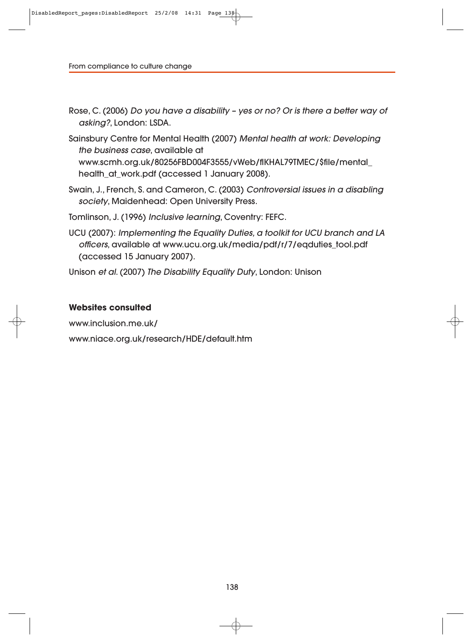- Rose, C. (2006) Do you have a disability yes or no? Or is there a better way of asking?, London: LSDA.
- Sainsbury Centre for Mental Health (2007) Mental health at work: Developing the business case, available at www.scmh.org.uk/80256FBD004F3555/vWeb/flKHAL79TMEC/\$file/mental\_ health\_at\_work.pdf (accessed 1 January 2008).
- Swain, J., French, S. and Cameron, C. (2003) Controversial issues in a disabling society, Maidenhead: Open University Press.

Tomlinson, J. (1996) Inclusive learning, Coventry: FEFC.

UCU (2007): Implementing the Equality Duties, a toolkit for UCU branch and LA officers, available at www.ucu.org.uk/media/pdf/r/7/eqduties\_tool.pdf (accessed 15 January 2007).

Unison et al. (2007) The Disability Equality Duty, London: Unison

#### **Websites consulted**

www.inclusion.me.uk/

www.niace.org.uk/research/HDE/default.htm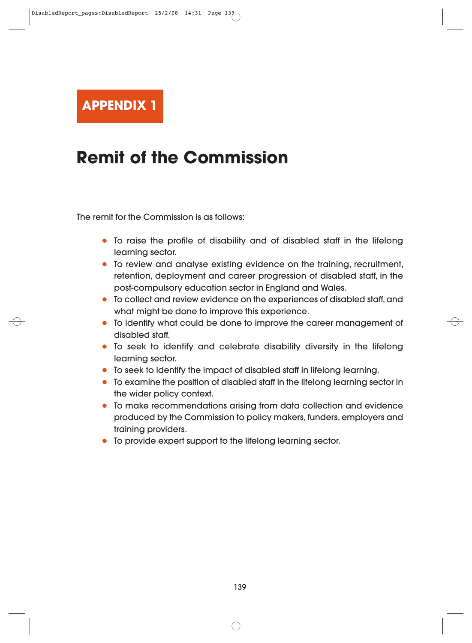

## **Remit of the Commission**

The remit for the Commission is as follows:

- To raise the profile of disability and of disabled staff in the lifelong learning sector.
- To review and analyse existing evidence on the training, recruitment, retention, deployment and career progression of disabled staff, in the post-compulsory education sector in England and Wales.
- To collect and review evidence on the experiences of disabled staff, and what might be done to improve this experience.
- To identify what could be done to improve the career management of disabled staff.
- To seek to identify and celebrate disability diversity in the lifelong learning sector.
- To seek to identify the impact of disabled staff in lifelong learning.
- To examine the position of disabled staff in the lifelong learning sector in the wider policy context.
- To make recommendations arising from data collection and evidence produced by the Commission to policy makers, funders, employers and training providers.
- To provide expert support to the lifelong learning sector.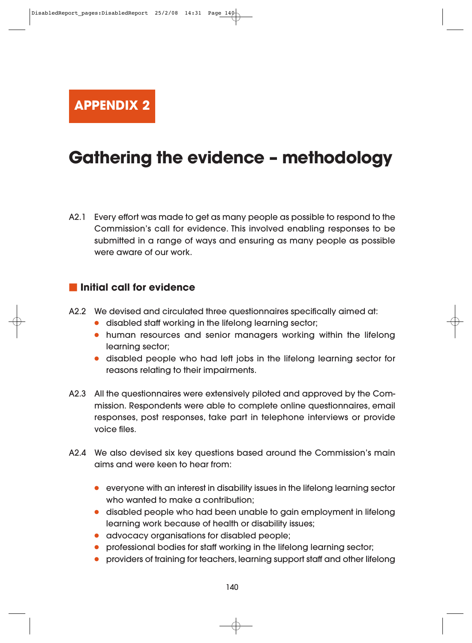**APPENDIX 2**

## **Gathering the evidence – methodology**

A2.1 Every effort was made to get as many people as possible to respond to the Commission's call for evidence. This involved enabling responses to be submitted in a range of ways and ensuring as many people as possible were aware of our work.

### **Initial call for evidence**

- A2.2 We devised and circulated three questionnaires specifically aimed at:
	- disabled staff working in the lifelong learning sector;
	- human resources and senior managers working within the lifelong learning sector;
	- disabled people who had left jobs in the lifelong learning sector for reasons relating to their impairments.
- A2.3 All the questionnaires were extensively piloted and approved by the Commission. Respondents were able to complete online questionnaires, email responses, post responses, take part in telephone interviews or provide voice files.
- A2.4 We also devised six key questions based around the Commission's main aims and were keen to hear from:
	- everyone with an interest in disability issues in the lifelong learning sector who wanted to make a contribution;
	- disabled people who had been unable to gain employment in lifelong learning work because of health or disability issues;
	- advocacy organisations for disabled people;
	- professional bodies for staff working in the lifelong learning sector;
	- providers of training for teachers, learning support staff and other lifelong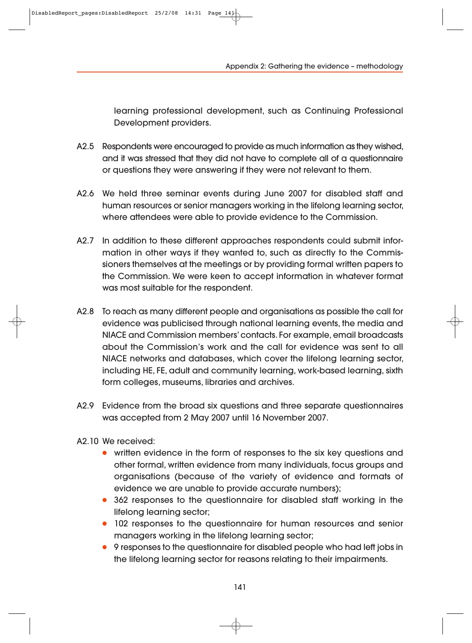learning professional development, such as Continuing Professional Development providers.

- A2.5 Respondents were encouraged to provide as much information as they wished, and it was stressed that they did not have to complete all of a questionnaire or questions they were answering if they were not relevant to them.
- A2.6 We held three seminar events during June 2007 for disabled staff and human resources or senior managers working in the lifelong learning sector, where attendees were able to provide evidence to the Commission.
- A2.7 In addition to these different approaches respondents could submit infor mation in other ways if they wanted to, such as directly to the Commissioners themselves at the meetings or by providing formal written papers to the Commission. We were keen to accept information in whatever format was most suitable for the respondent.
- A2.8 To reach as many different people and organisations as possible the call for evidence was publicised through national learning events, the media and NIACE and Commission members' contacts. For example, email broadcasts about the Commission's work and the call for evidence was sent to all NIACE networks and databases, which cover the lifelong learning sector, including HE, FE, adult and community learning, work-based learning, sixth form colleges, museums, libraries and archives.
- A2.9 Evidence from the broad six questions and three separate questionnaires was accepted from 2 May 2007 until 16 November 2007.
- A2.10 We received:
	- written evidence in the form of responses to the six key questions and other formal, written evidence from many individuals, focus groups and organisations (because of the variety of evidence and formats of evidence we are unable to provide accurate numbers);
	- 362 responses to the questionnaire for disabled staff working in the lifelong learning sector;
	- 102 responses to the questionnaire for human resources and senior managers working in the lifelong learning sector;
	- 9 responses to the questionnaire for disabled people who had left jobs in the lifelong learning sector for reasons relating to their impairments.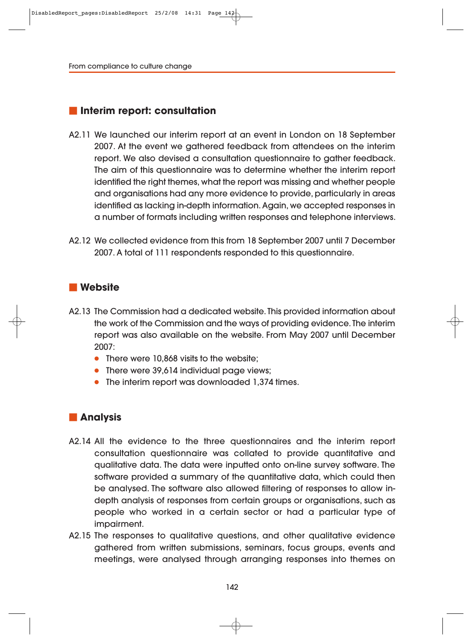### **Interim report: consultation**

- A2.11 We launched our interim report at an event in London on 18 September 2007. At the event we gathered feedback from attendees on the interim report. We also devised a consultation questionnaire to gather feedback. The aim of this questionnaire was to determine whether the interim report identified the right themes, what the report was missing and whether people and organisations had any more evidence to provide, particularly in areas identified as lacking in-depth information. Again, we accepted responses in a number of formats including written responses and telephone interviews.
- A2.12 We collected evidence from this from 18 September 2007 until 7 December 2007. A total of 111 respondents responded to this questionnaire.

#### **Website**

- A2.13 The Commission had a dedicated website. This provided information about the work of the Commission and the ways of providing evidence. The interim report was also available on the website. From May 2007 until December 2007:
	- There were 10,868 visits to the website;
	- There were 39,614 individual page views;
	- The interim report was downloaded 1,374 times.

#### **Analysis**

- A2.14 All the evidence to the three questionnaires and the interim report consultation questionnaire was collated to provide quantitative and qualitative data. The data were inputted onto on-line survey software. The software provided a summary of the quantitative data, which could then be analysed. The software also allowed filtering of responses to allow indepth analysis of responses from certain groups or organisations, such as people who worked in a certain sector or had a particular type of impairment.
- A2.15 The responses to qualitative questions, and other qualitative evidence gathered from written submissions, seminars, focus groups, events and meetings, were analysed through arranging responses into themes on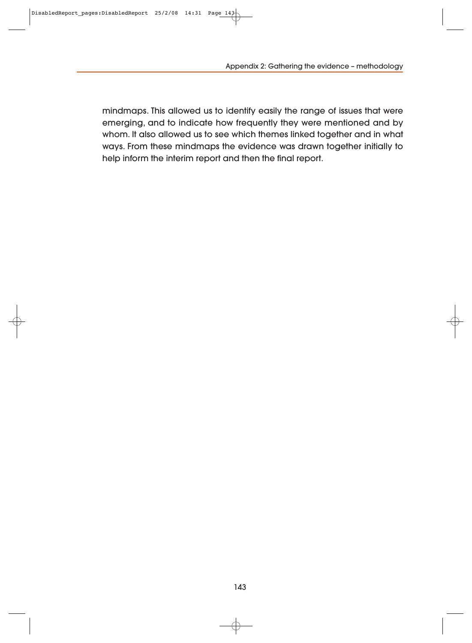Appendix 2: Gathering the evidence – methodology

mindmaps. This allowed us to identify easily the range of issues that were emerging, and to indicate how frequently they were mentioned and by whom. It also allowed us to see which themes linked together and in what ways. From these mindmaps the evidence was drawn together initially to help inform the interim report and then the final report.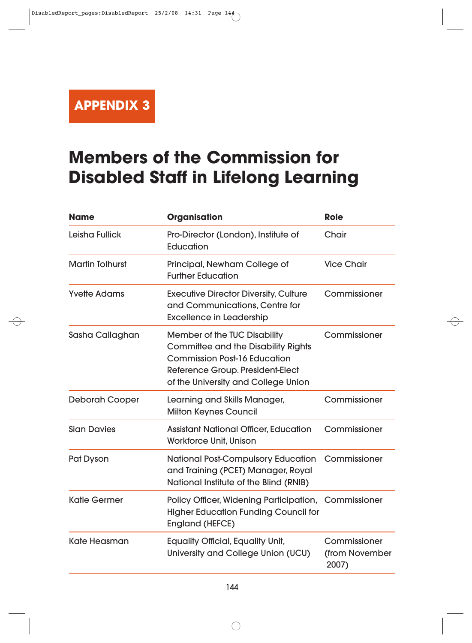**APPENDIX 3**

# **Members of the Commission for Disabled Staff in Lifelong Learning**

| <b>Name</b>            | <b>Organisation</b>                                                                                                                                                                                 | <b>Role</b>                             |
|------------------------|-----------------------------------------------------------------------------------------------------------------------------------------------------------------------------------------------------|-----------------------------------------|
| <b>Leisha Fullick</b>  | Pro-Director (London), Institute of<br>Education                                                                                                                                                    | Chair                                   |
| <b>Martin Tolhurst</b> | Principal, Newham College of<br><b>Further Education</b>                                                                                                                                            | <b>Vice Chair</b>                       |
| <b>Yvette Adams</b>    | <b>Executive Director Diversity, Culture</b><br>and Communications, Centre for<br><b>Excellence in Leadership</b>                                                                                   | Commissioner                            |
| Sasha Callaghan        | <b>Member of the TUC Disability</b><br><b>Committee and the Disability Rights</b><br><b>Commission Post-16 Education</b><br>Reference Group. President-Elect<br>of the University and College Union | Commissioner                            |
| <b>Deborah Cooper</b>  | Learning and Skills Manager,<br><b>Milton Keynes Council</b>                                                                                                                                        | Commissioner                            |
| <b>Sian Davies</b>     | <b>Assistant National Officer, Education</b><br><b>Workforce Unit, Unison</b>                                                                                                                       | Commissioner                            |
| Pat Dyson              | <b>National Post-Compulsory Education</b><br>and Training (PCET) Manager, Royal<br>National Institute of the Blind (RNIB)                                                                           | Commissioner                            |
| <b>Katie Germer</b>    | Policy Officer, Widening Participation, Commissioner<br><b>Higher Education Funding Council for</b><br><b>England (HEFCE)</b>                                                                       |                                         |
| <b>Kate Heasman</b>    | <b>Equality Official, Equality Unit,</b><br>University and College Union (UCU)                                                                                                                      | Commissioner<br>(from November<br>2007) |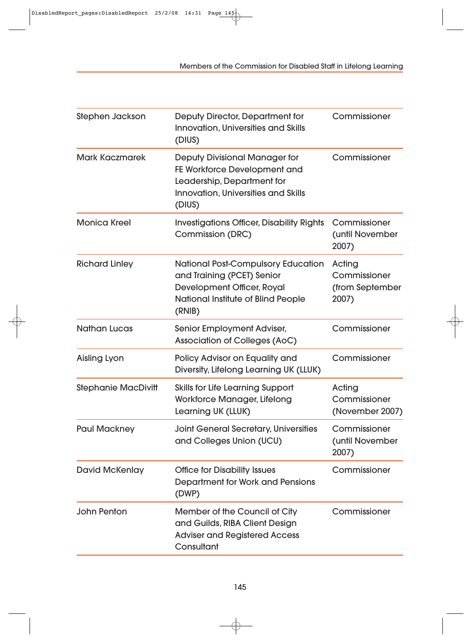Members of the Commission for Disabled Staff in Lifelong Learning

| Stephen Jackson            | Deputy Director, Department for<br>Innovation, Universities and Skills<br>(DIUS)                                                                           | Commissioner                                       |
|----------------------------|------------------------------------------------------------------------------------------------------------------------------------------------------------|----------------------------------------------------|
| <b>Mark Kaczmarek</b>      | <b>Deputy Divisional Manager for</b><br>FE Workforce Development and<br>Leadership, Department for<br><b>Innovation, Universities and Skills</b><br>(DIUS) | Commissioner                                       |
| <b>Monica Kreel</b>        | <b>Investigations Officer, Disability Rights</b><br><b>Commission (DRC)</b>                                                                                | Commissioner<br>(until November<br>2007)           |
| <b>Richard Linley</b>      | <b>National Post-Compulsory Education</b><br>and Training (PCET) Senior<br>Development Officer, Royal<br>National Institute of Blind People<br>(RNIB)      | Acting<br>Commissioner<br>(from September<br>2007) |
| <b>Nathan Lucas</b>        | Senior Employment Adviser,<br>Association of Colleges (AoC)                                                                                                | Commissioner                                       |
| <b>Aisling Lyon</b>        | Policy Advisor on Equality and<br>Diversity, Lifelong Learning UK (LLUK)                                                                                   | Commissioner                                       |
| <b>Stephanie MacDivitt</b> | <b>Skills for Life Learning Support</b><br>Workforce Manager, Lifelong<br>Learning UK (LLUK)                                                               | Acting<br>Commissioner<br>(November 2007)          |
| <b>Paul Mackney</b>        | <b>Joint General Secretary, Universities</b><br>and Colleges Union (UCU)                                                                                   | Commissioner<br>(until November<br>2007)           |
| <b>David McKenlay</b>      | <b>Office for Disability Issues</b><br>Department for Work and Pensions<br>(DWP)                                                                           | Commissioner                                       |
| <b>John Penton</b>         | Member of the Council of City<br>and Guilds, RIBA Client Design<br><b>Adviser and Registered Access</b><br>Consultant                                      | Commissioner                                       |

 $\ominus$